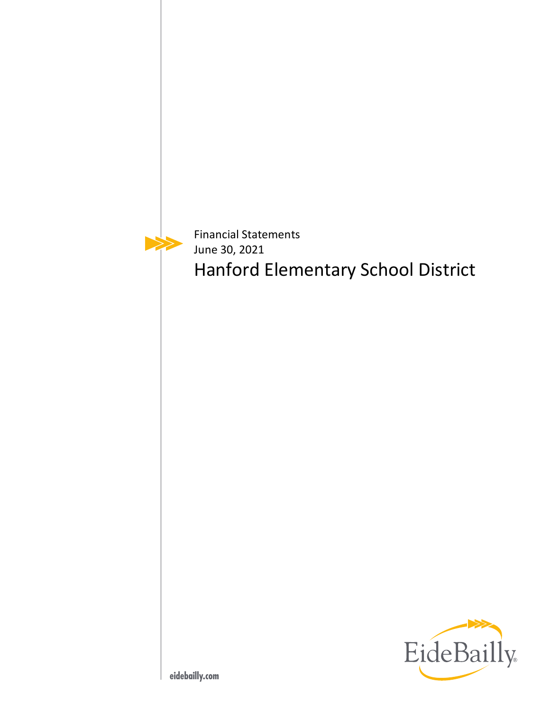Financial Statements June 30, 2021 Hanford Elementary School District

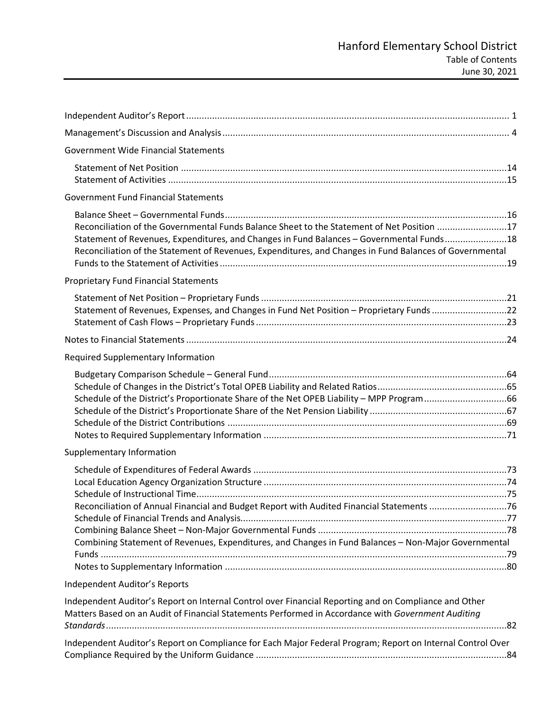| <b>Government Wide Financial Statements</b>                                                                                                                                                                                                                                                       |
|---------------------------------------------------------------------------------------------------------------------------------------------------------------------------------------------------------------------------------------------------------------------------------------------------|
|                                                                                                                                                                                                                                                                                                   |
| <b>Government Fund Financial Statements</b>                                                                                                                                                                                                                                                       |
| Reconciliation of the Governmental Funds Balance Sheet to the Statement of Net Position 17<br>Statement of Revenues, Expenditures, and Changes in Fund Balances - Governmental Funds18<br>Reconciliation of the Statement of Revenues, Expenditures, and Changes in Fund Balances of Governmental |
| <b>Proprietary Fund Financial Statements</b>                                                                                                                                                                                                                                                      |
| Statement of Revenues, Expenses, and Changes in Fund Net Position - Proprietary Funds 22                                                                                                                                                                                                          |
|                                                                                                                                                                                                                                                                                                   |
| <b>Required Supplementary Information</b>                                                                                                                                                                                                                                                         |
| Schedule of the District's Proportionate Share of the Net OPEB Liability - MPP Program66                                                                                                                                                                                                          |
| Supplementary Information                                                                                                                                                                                                                                                                         |
| Reconciliation of Annual Financial and Budget Report with Audited Financial Statements 76<br>Combining Statement of Revenues, Expenditures, and Changes in Fund Balances - Non-Major Governmental                                                                                                 |
|                                                                                                                                                                                                                                                                                                   |
| <b>Independent Auditor's Reports</b>                                                                                                                                                                                                                                                              |
| Independent Auditor's Report on Internal Control over Financial Reporting and on Compliance and Other<br>Matters Based on an Audit of Financial Statements Performed in Accordance with Government Auditing                                                                                       |

Independent Auditor's [Report on Compliance for Each Major Federal Program; Report on Internal Control Over](#page-89-0)  Compliance Required by the Uniform Guidance [.................................................................................................84](#page-89-0)

*Standards*[...........................................................................................................................................................82](#page-87-1)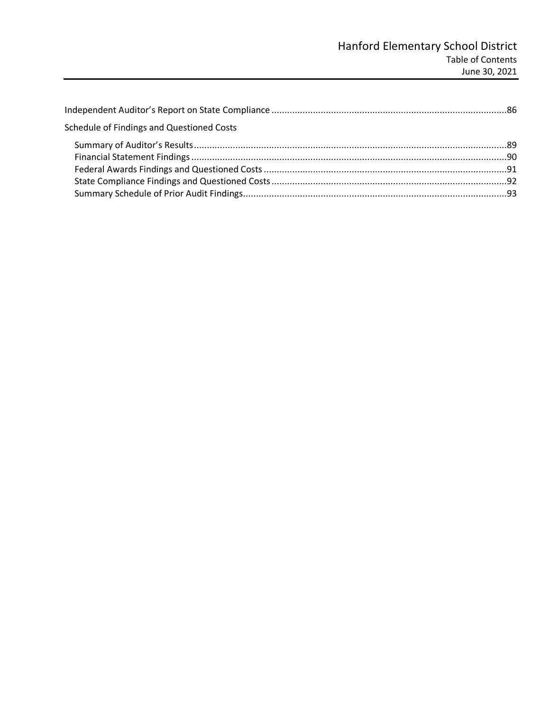| Schedule of Findings and Questioned Costs |  |
|-------------------------------------------|--|
|                                           |  |
|                                           |  |
|                                           |  |
|                                           |  |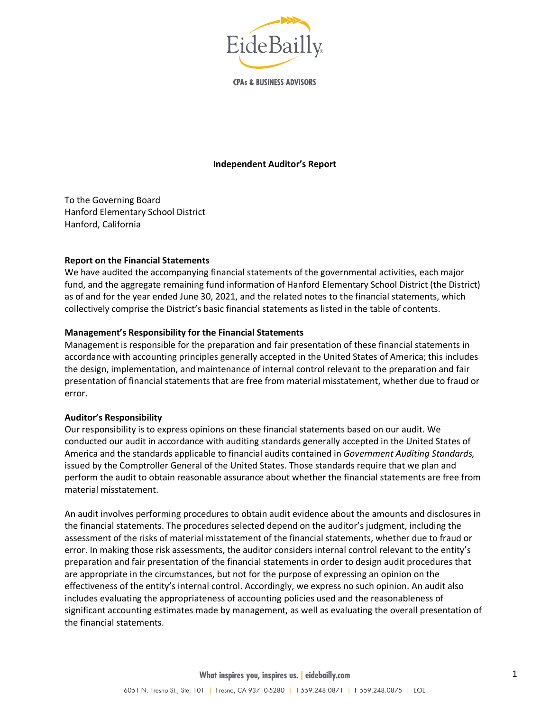

**CPAs & BUSINESS ADVISORS** 

### **Independent Auditor's Report**

<span id="page-3-0"></span>To the Governing Board Hanford Elementary School District Hanford, California

### **Report on the Financial Statements**

We have audited the accompanying financial statements of the governmental activities, each major fund, and the aggregate remaining fund information of Hanford Elementary School District (the District) as of and for the year ended June 30, 2021, and the related notes to the financial statements, which collectively comprise the District's basic financial statements as listed in the table of contents.

### **Management's Responsibility for the Financial Statements**

Management is responsible for the preparation and fair presentation of these financial statements in accordance with accounting principles generally accepted in the United States of America; this includes the design, implementation, and maintenance of internal control relevant to the preparation and fair presentation of financial statements that are free from material misstatement, whether due to fraud or error.

### **Auditor's Responsibility**

Our responsibility is to express opinions on these financial statements based on our audit. We conducted our audit in accordance with auditing standards generally accepted in the United States of America and the standards applicable to financial audits contained in *Government Auditing Standards,*  issued by the Comptroller General of the United States. Those standards require that we plan and perform the audit to obtain reasonable assurance about whether the financial statements are free from material misstatement.

An audit involves performing procedures to obtain audit evidence about the amounts and disclosures in the financial statements. The procedures selected depend on the auditor's judgment, including the assessment of the risks of material misstatement of the financial statements, whether due to fraud or error. In making those risk assessments, the auditor considers internal control relevant to the entity's preparation and fair presentation of the financial statements in order to design audit procedures that are appropriate in the circumstances, but not for the purpose of expressing an opinion on the effectiveness of the entity's internal control. Accordingly, we express no such opinion. An audit also includes evaluating the appropriateness of accounting policies used and the reasonableness of significant accounting estimates made by management, as well as evaluating the overall presentation of the financial statements.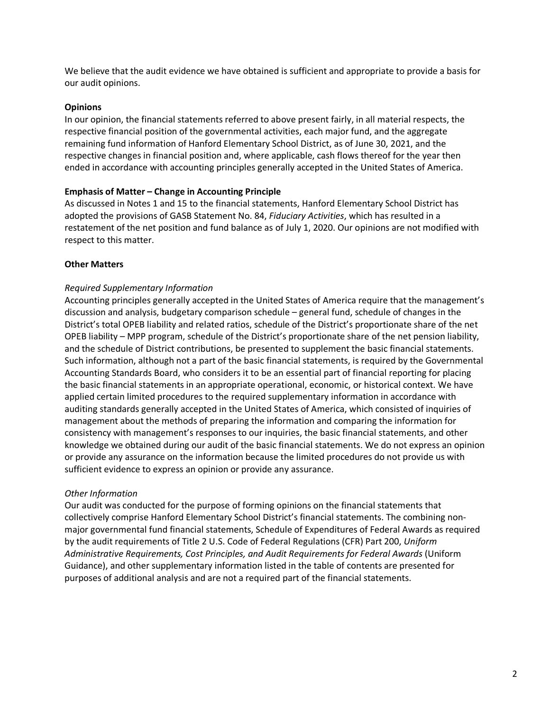We believe that the audit evidence we have obtained is sufficient and appropriate to provide a basis for our audit opinions.

### **Opinions**

In our opinion, the financial statements referred to above present fairly, in all material respects, the respective financial position of the governmental activities, each major fund, and the aggregate remaining fund information of Hanford Elementary School District, as of June 30, 2021, and the respective changes in financial position and, where applicable, cash flows thereof for the year then ended in accordance with accounting principles generally accepted in the United States of America.

### **Emphasis of Matter – Change in Accounting Principle**

As discussed in Notes 1 and 15 to the financial statements, Hanford Elementary School District has adopted the provisions of GASB Statement No. 84, *Fiduciary Activities*, which has resulted in a restatement of the net position and fund balance as of July 1, 2020. Our opinions are not modified with respect to this matter.

### **Other Matters**

### *Required Supplementary Information*

Accounting principles generally accepted in the United States of America require that the management's discussion and analysis, budgetary comparison schedule – general fund, schedule of changes in the District's total OPEB liability and related ratios, schedule of the District's proportionate share of the net OPEB liability – MPP program, schedule of the District's proportionate share of the net pension liability, and the schedule of District contributions, be presented to supplement the basic financial statements. Such information, although not a part of the basic financial statements, is required by the Governmental Accounting Standards Board, who considers it to be an essential part of financial reporting for placing the basic financial statements in an appropriate operational, economic, or historical context. We have applied certain limited procedures to the required supplementary information in accordance with auditing standards generally accepted in the United States of America, which consisted of inquiries of management about the methods of preparing the information and comparing the information for consistency with management's responses to our inquiries, the basic financial statements, and other knowledge we obtained during our audit of the basic financial statements. We do not express an opinion or provide any assurance on the information because the limited procedures do not provide us with sufficient evidence to express an opinion or provide any assurance.

### *Other Information*

Our audit was conducted for the purpose of forming opinions on the financial statements that collectively comprise Hanford Elementary School District's financial statements. The combining nonmajor governmental fund financial statements, Schedule of Expenditures of Federal Awards as required by the audit requirements of Title 2 U.S. Code of Federal Regulations (CFR) Part 200, *Uniform Administrative Requirements, Cost Principles, and Audit Requirements for Federal Awards* (Uniform Guidance), and other supplementary information listed in the table of contents are presented for purposes of additional analysis and are not a required part of the financial statements.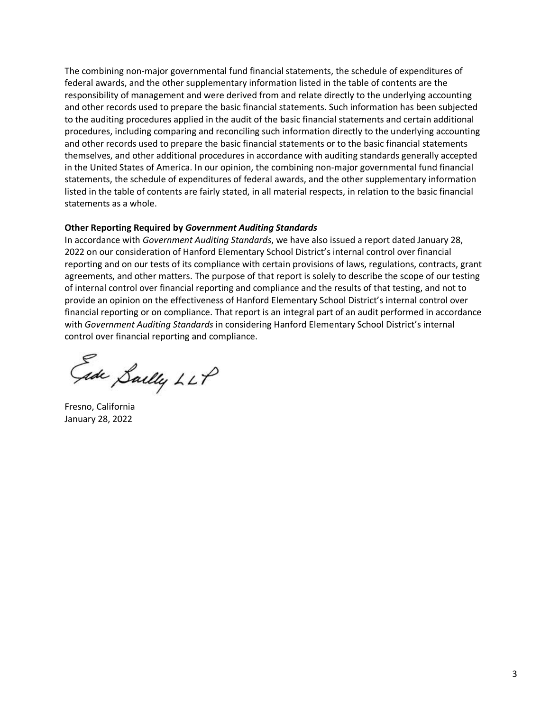The combining non-major governmental fund financial statements, the schedule of expenditures of federal awards, and the other supplementary information listed in the table of contents are the responsibility of management and were derived from and relate directly to the underlying accounting and other records used to prepare the basic financial statements. Such information has been subjected to the auditing procedures applied in the audit of the basic financial statements and certain additional procedures, including comparing and reconciling such information directly to the underlying accounting and other records used to prepare the basic financial statements or to the basic financial statements themselves, and other additional procedures in accordance with auditing standards generally accepted in the United States of America. In our opinion, the combining non-major governmental fund financial statements, the schedule of expenditures of federal awards, and the other supplementary information listed in the table of contents are fairly stated, in all material respects, in relation to the basic financial statements as a whole.

### **Other Reporting Required by** *Government Auditing Standards*

In accordance with *Government Auditing Standards*, we have also issued a report dated January 28, 2022 on our consideration of Hanford Elementary School District's internal control over financial reporting and on our tests of its compliance with certain provisions of laws, regulations, contracts, grant agreements, and other matters. The purpose of that report is solely to describe the scope of our testing of internal control over financial reporting and compliance and the results of that testing, and not to provide an opinion on the effectiveness of Hanford Elementary School District's internal control over financial reporting or on compliance. That report is an integral part of an audit performed in accordance with *Government Auditing Standards* in considering Hanford Elementary School District's internal control over financial reporting and compliance.

Jede Sailly LLP

Fresno, California January 28, 2022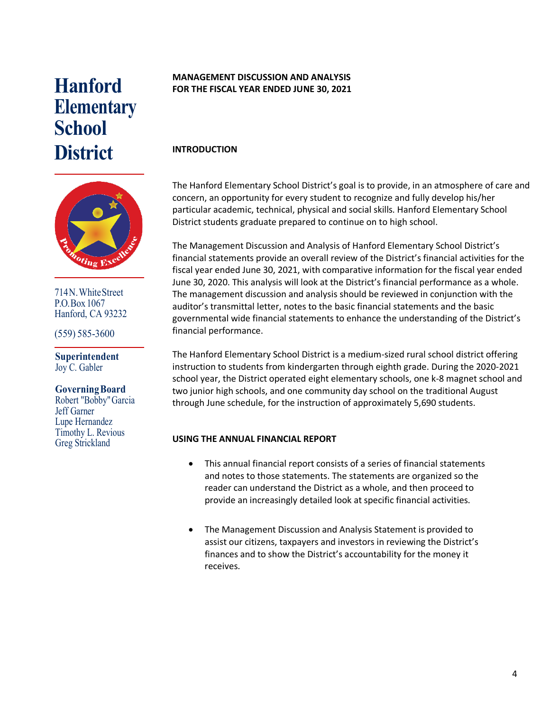<span id="page-6-0"></span>

714N.WhiteStreet P.O.Box 1067 Hanford, CA 93232

(559) 585-3600

**Superintendent** Joy C. Gabler

### **GoverningBoard**

Robert "Bobby"Garcia Jeff Garner Lupe Hernandez Timothy L. Revious Greg Strickland

### **MANAGEMENT DISCUSSION AND ANALYSIS FOR THE FISCAL YEAR ENDED JUNE 30, 2021**

### **INTRODUCTION**

The Hanford Elementary School District's goal is to provide, in an atmosphere of care and concern, an opportunity for every student to recognize and fully develop his/her particular academic, technical, physical and social skills. Hanford Elementary School District students graduate prepared to continue on to high school.

The Management Discussion and Analysis of Hanford Elementary School District's financial statements provide an overall review of the District's financial activities for the fiscal year ended June 30, 2021, with comparative information for the fiscal year ended June 30, 2020. This analysis will look at the District's financial performance as a whole. The management discussion and analysis should be reviewed in conjunction with the auditor's transmittal letter, notes to the basic financial statements and the basic governmental wide financial statements to enhance the understanding of the District's financial performance.

The Hanford Elementary School District is a medium-sized rural school district offering instruction to students from kindergarten through eighth grade. During the 2020-2021 school year, the District operated eight elementary schools, one k-8 magnet school and two junior high schools, and one community day school on the traditional August through June schedule, for the instruction of approximately 5,690 students.

### **USING THE ANNUAL FINANCIAL REPORT**

- This annual financial report consists of a series of financial statements and notes to those statements. The statements are organized so the reader can understand the District as a whole, and then proceed to provide an increasingly detailed look at specific financial activities.
- The Management Discussion and Analysis Statement is provided to assist our citizens, taxpayers and investors in reviewing the District's finances and to show the District's accountability for the money it receives.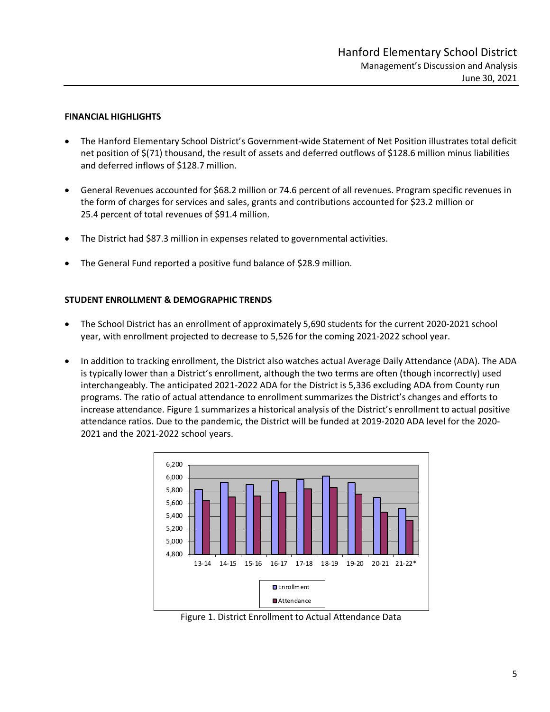### **FINANCIAL HIGHLIGHTS**

- The Hanford Elementary School District's Government-wide Statement of Net Position illustrates total deficit net position of \$(71) thousand, the result of assets and deferred outflows of \$128.6 million minus liabilities and deferred inflows of \$128.7 million.
- General Revenues accounted for \$68.2 million or 74.6 percent of all revenues. Program specific revenues in the form of charges for services and sales, grants and contributions accounted for \$23.2 million or 25.4 percent of total revenues of \$91.4 million.
- The District had \$87.3 million in expenses related to governmental activities.
- The General Fund reported a positive fund balance of \$28.9 million.

### **STUDENT ENROLLMENT & DEMOGRAPHIC TRENDS**

- The School District has an enrollment of approximately 5,690 students for the current 2020-2021 school year, with enrollment projected to decrease to 5,526 for the coming 2021-2022 school year.
- In addition to tracking enrollment, the District also watches actual Average Daily Attendance (ADA). The ADA is typically lower than a District's enrollment, although the two terms are often (though incorrectly) used interchangeably. The anticipated 2021-2022 ADA for the District is 5,336 excluding ADA from County run programs. The ratio of actual attendance to enrollment summarizes the District's changes and efforts to increase attendance. Figure 1 summarizes a historical analysis of the District's enrollment to actual positive attendance ratios. Due to the pandemic, the District will be funded at 2019-2020 ADA level for the 2020- 2021 and the 2021-2022 school years.



Figure 1. District Enrollment to Actual Attendance Data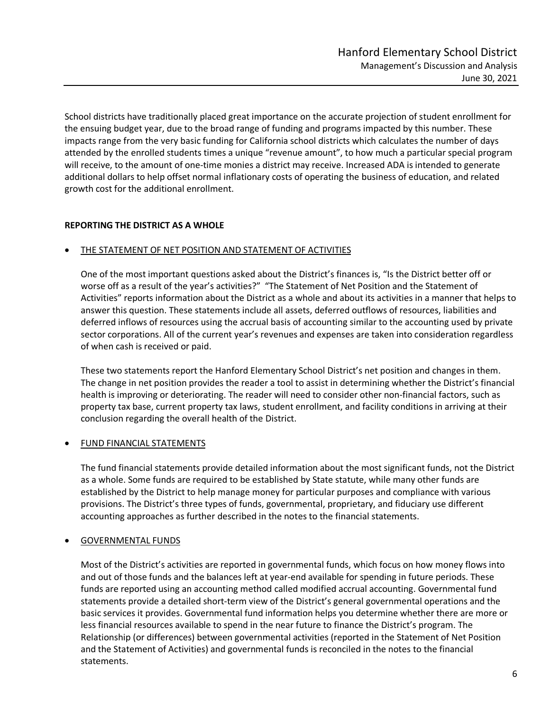School districts have traditionally placed great importance on the accurate projection of student enrollment for the ensuing budget year, due to the broad range of funding and programs impacted by this number. These impacts range from the very basic funding for California school districts which calculates the number of days attended by the enrolled students times a unique "revenue amount", to how much a particular special program will receive, to the amount of one-time monies a district may receive. Increased ADA is intended to generate additional dollars to help offset normal inflationary costs of operating the business of education, and related growth cost for the additional enrollment.

### **REPORTING THE DISTRICT AS A WHOLE**

### THE STATEMENT OF NET POSITION AND STATEMENT OF ACTIVITIES

One of the most important questions asked about the District's finances is, "Is the District better off or worse off as a result of the year's activities?" "The Statement of Net Position and the Statement of Activities" reports information about the District as a whole and about its activities in a manner that helps to answer this question. These statements include all assets, deferred outflows of resources, liabilities and deferred inflows of resources using the accrual basis of accounting similar to the accounting used by private sector corporations. All of the current year's revenues and expenses are taken into consideration regardless of when cash is received or paid.

These two statements report the Hanford Elementary School District's net position and changes in them. The change in net position provides the reader a tool to assist in determining whether the District's financial health is improving or deteriorating. The reader will need to consider other non-financial factors, such as property tax base, current property tax laws, student enrollment, and facility conditions in arriving at their conclusion regarding the overall health of the District.

### • FUND FINANCIAL STATEMENTS

The fund financial statements provide detailed information about the most significant funds, not the District as a whole. Some funds are required to be established by State statute, while many other funds are established by the District to help manage money for particular purposes and compliance with various provisions. The District's three types of funds, governmental, proprietary, and fiduciary use different accounting approaches as further described in the notes to the financial statements.

### • GOVERNMENTAL FUNDS

Most of the District's activities are reported in governmental funds, which focus on how money flows into and out of those funds and the balances left at year-end available for spending in future periods. These funds are reported using an accounting method called modified accrual accounting. Governmental fund statements provide a detailed short-term view of the District's general governmental operations and the basic services it provides. Governmental fund information helps you determine whether there are more or less financial resources available to spend in the near future to finance the District's program. The Relationship (or differences) between governmental activities (reported in the Statement of Net Position and the Statement of Activities) and governmental funds is reconciled in the notes to the financial statements.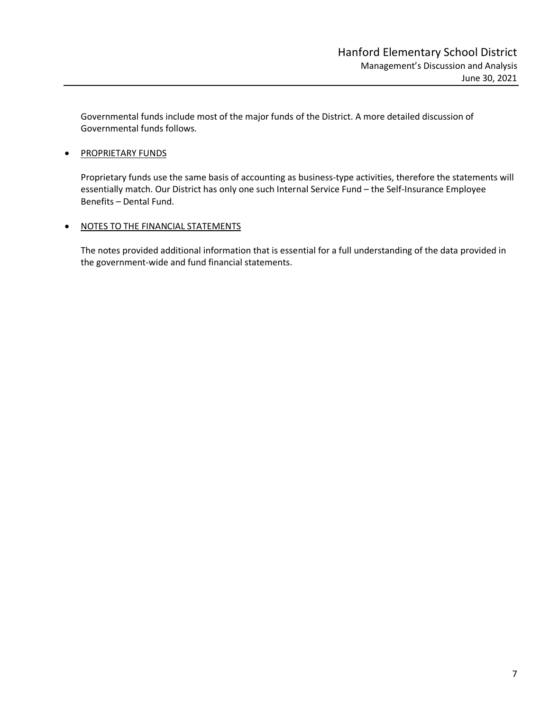Governmental funds include most of the major funds of the District. A more detailed discussion of Governmental funds follows.

### • PROPRIETARY FUNDS

Proprietary funds use the same basis of accounting as business-type activities, therefore the statements will essentially match. Our District has only one such Internal Service Fund – the Self-Insurance Employee Benefits – Dental Fund.

### • NOTES TO THE FINANCIAL STATEMENTS

The notes provided additional information that is essential for a full understanding of the data provided in the government-wide and fund financial statements.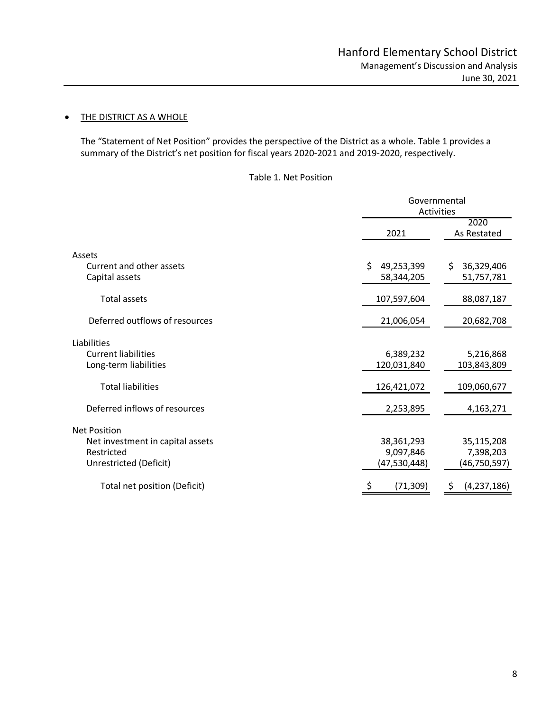### • THE DISTRICT AS A WHOLE

The "Statement of Net Position" provides the perspective of the District as a whole. Table 1 provides a summary of the District's net position for fiscal years 2020-2021 and 2019-2020, respectively.

### Table 1. Net Position

|                                  | Governmental<br><b>Activities</b> |                     |
|----------------------------------|-----------------------------------|---------------------|
|                                  | 2021                              | 2020<br>As Restated |
| Assets                           |                                   |                     |
| Current and other assets         | Ś.<br>49,253,399                  | \$<br>36,329,406    |
| Capital assets                   | 58,344,205                        | 51,757,781          |
| <b>Total assets</b>              | 107,597,604                       | 88,087,187          |
| Deferred outflows of resources   | 21,006,054                        | 20,682,708          |
| Liabilities                      |                                   |                     |
| <b>Current liabilities</b>       | 6,389,232                         | 5,216,868           |
| Long-term liabilities            | 120,031,840                       | 103,843,809         |
| <b>Total liabilities</b>         | 126,421,072                       | 109,060,677         |
| Deferred inflows of resources    | 2,253,895                         | 4,163,271           |
| <b>Net Position</b>              |                                   |                     |
| Net investment in capital assets | 38,361,293                        | 35,115,208          |
| Restricted                       | 9,097,846                         | 7,398,203           |
| Unrestricted (Deficit)           | (47,530,448)                      | (46, 750, 597)      |
| Total net position (Deficit)     | (71, 309)<br>\$                   | \$<br>(4, 237, 186) |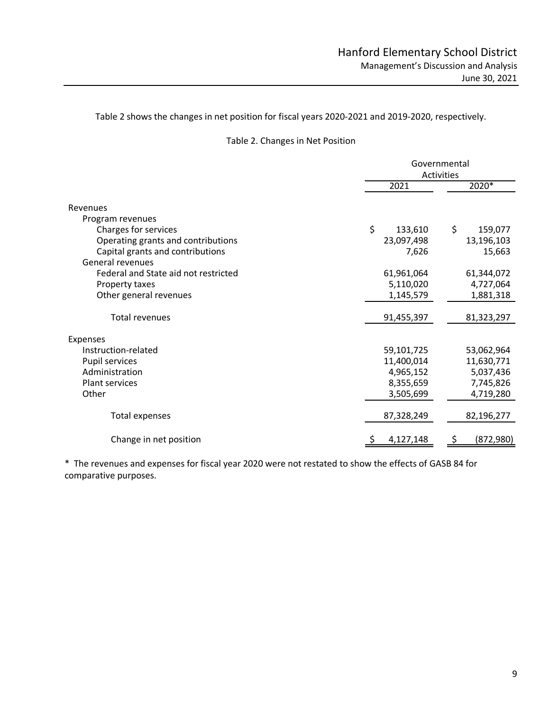### Table 2 shows the changes in net position for fiscal years 2020-2021 and 2019-2020, respectively.

### Table 2. Changes in Net Position

|                                      | Governmental<br><b>Activities</b> |            |    |            |  |
|--------------------------------------|-----------------------------------|------------|----|------------|--|
|                                      |                                   | 2021       |    |            |  |
|                                      |                                   |            |    |            |  |
| Revenues                             |                                   |            |    |            |  |
| Program revenues                     |                                   |            |    |            |  |
| <b>Charges for services</b>          | \$                                | 133,610    | \$ | 159,077    |  |
| Operating grants and contributions   |                                   | 23,097,498 |    | 13,196,103 |  |
| Capital grants and contributions     |                                   | 7,626      |    | 15,663     |  |
| General revenues                     |                                   |            |    |            |  |
| Federal and State aid not restricted |                                   | 61,961,064 |    | 61,344,072 |  |
| Property taxes                       |                                   | 5,110,020  |    | 4,727,064  |  |
| Other general revenues               |                                   | 1,145,579  |    | 1,881,318  |  |
| Total revenues                       |                                   | 91,455,397 |    | 81,323,297 |  |
| <b>Expenses</b>                      |                                   |            |    |            |  |
| Instruction-related                  |                                   | 59,101,725 |    | 53,062,964 |  |
| Pupil services                       |                                   | 11,400,014 |    | 11,630,771 |  |
| Administration                       |                                   | 4,965,152  |    | 5,037,436  |  |
| <b>Plant services</b>                |                                   | 8,355,659  |    | 7,745,826  |  |
| Other                                |                                   | 3,505,699  |    | 4,719,280  |  |
| Total expenses                       |                                   | 87,328,249 |    | 82,196,277 |  |
| Change in net position               | \$                                | 4,127,148  | \$ | (872,980)  |  |

\* The revenues and expenses for fiscal year 2020 were not restated to show the effects of GASB 84 for comparative purposes.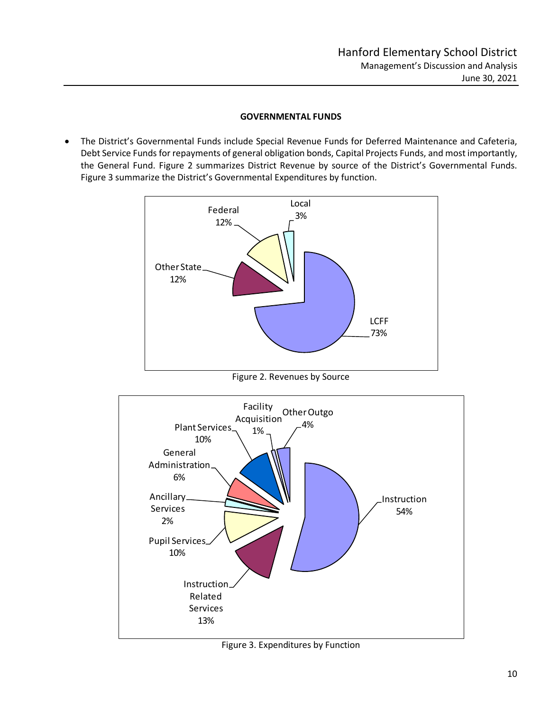### **GOVERNMENTAL FUNDS**

• The District's Governmental Funds include Special Revenue Funds for Deferred Maintenance and Cafeteria, Debt Service Funds for repayments of general obligation bonds, Capital Projects Funds, and most importantly, the General Fund. Figure 2 summarizes District Revenue by source of the District's Governmental Funds. Figure 3 summarize the District's Governmental Expenditures by function.



Figure 2. Revenues by Source



Figure 3. Expenditures by Function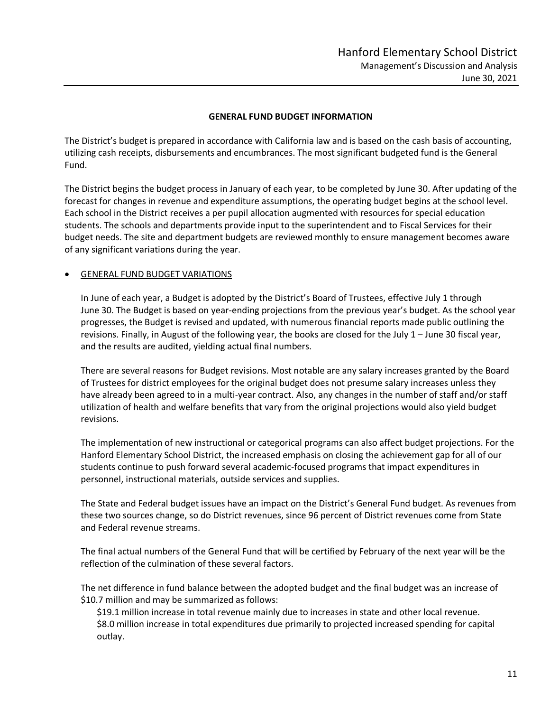### **GENERAL FUND BUDGET INFORMATION**

The District's budget is prepared in accordance with California law and is based on the cash basis of accounting, utilizing cash receipts, disbursements and encumbrances. The most significant budgeted fund is the General Fund.

The District begins the budget process in January of each year, to be completed by June 30. After updating of the forecast for changes in revenue and expenditure assumptions, the operating budget begins at the school level. Each school in the District receives a per pupil allocation augmented with resources for special education students. The schools and departments provide input to the superintendent and to Fiscal Services for their budget needs. The site and department budgets are reviewed monthly to ensure management becomes aware of any significant variations during the year.

### GENERAL FUND BUDGET VARIATIONS

In June of each year, a Budget is adopted by the District's Board of Trustees, effective July 1 through June 30. The Budget is based on year-ending projections from the previous year's budget. As the school year progresses, the Budget is revised and updated, with numerous financial reports made public outlining the revisions. Finally, in August of the following year, the books are closed for the July 1 – June 30 fiscal year, and the results are audited, yielding actual final numbers.

There are several reasons for Budget revisions. Most notable are any salary increases granted by the Board of Trustees for district employees for the original budget does not presume salary increases unless they have already been agreed to in a multi-year contract. Also, any changes in the number of staff and/or staff utilization of health and welfare benefits that vary from the original projections would also yield budget revisions.

The implementation of new instructional or categorical programs can also affect budget projections. For the Hanford Elementary School District, the increased emphasis on closing the achievement gap for all of our students continue to push forward several academic-focused programs that impact expenditures in personnel, instructional materials, outside services and supplies.

The State and Federal budget issues have an impact on the District's General Fund budget. As revenues from these two sources change, so do District revenues, since 96 percent of District revenues come from State and Federal revenue streams.

The final actual numbers of the General Fund that will be certified by February of the next year will be the reflection of the culmination of these several factors.

The net difference in fund balance between the adopted budget and the final budget was an increase of \$10.7 million and may be summarized as follows:

\$19.1 million increase in total revenue mainly due to increases in state and other local revenue. \$8.0 million increase in total expenditures due primarily to projected increased spending for capital outlay.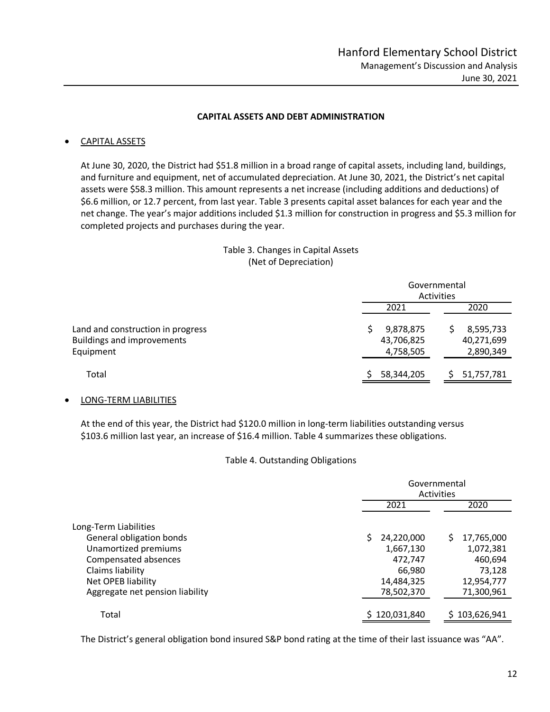### **CAPITAL ASSETS AND DEBT ADMINISTRATION**

### **CAPITAL ASSETS**

At June 30, 2020, the District had \$51.8 million in a broad range of capital assets, including land, buildings, and furniture and equipment, net of accumulated depreciation. At June 30, 2021, the District's net capital assets were \$58.3 million. This amount represents a net increase (including additions and deductions) of \$6.6 million, or 12.7 percent, from last year. Table 3 presents capital asset balances for each year and the net change. The year's major additions included \$1.3 million for construction in progress and \$5.3 million for completed projects and purchases during the year.

### Table 3. Changes in Capital Assets (Net of Depreciation)

|                                                                                     | Governmental<br>Activities           |                                      |
|-------------------------------------------------------------------------------------|--------------------------------------|--------------------------------------|
|                                                                                     | 2021                                 | 2020                                 |
| Land and construction in progress<br><b>Buildings and improvements</b><br>Equipment | 9,878,875<br>43,706,825<br>4,758,505 | 8,595,733<br>40,271,699<br>2,890,349 |
| Total                                                                               | 58,344,205                           | 51,757,781                           |

### • LONG-TERM LIABILITIES

At the end of this year, the District had \$120.0 million in long-term liabilities outstanding versus \$103.6 million last year, an increase of \$16.4 million. Table 4 summarizes these obligations.

### Table 4. Outstanding Obligations

|                                 | Governmental<br>Activities |                 |  |  |  |
|---------------------------------|----------------------------|-----------------|--|--|--|
|                                 | 2021                       | 2020            |  |  |  |
| Long-Term Liabilities           |                            |                 |  |  |  |
| General obligation bonds        | Ś.<br>24,220,000           | Ś<br>17,765,000 |  |  |  |
| Unamortized premiums            | 1,667,130                  | 1,072,381       |  |  |  |
| Compensated absences            | 472,747                    | 460,694         |  |  |  |
| Claims liability                | 66,980                     | 73,128          |  |  |  |
| Net OPEB liability              | 14,484,325                 | 12,954,777      |  |  |  |
| Aggregate net pension liability | 78,502,370                 | 71,300,961      |  |  |  |
|                                 |                            |                 |  |  |  |
| Total                           | \$120,031,840              | \$103,626,941   |  |  |  |

The District's general obligation bond insured S&P bond rating at the time of their last issuance was "AA".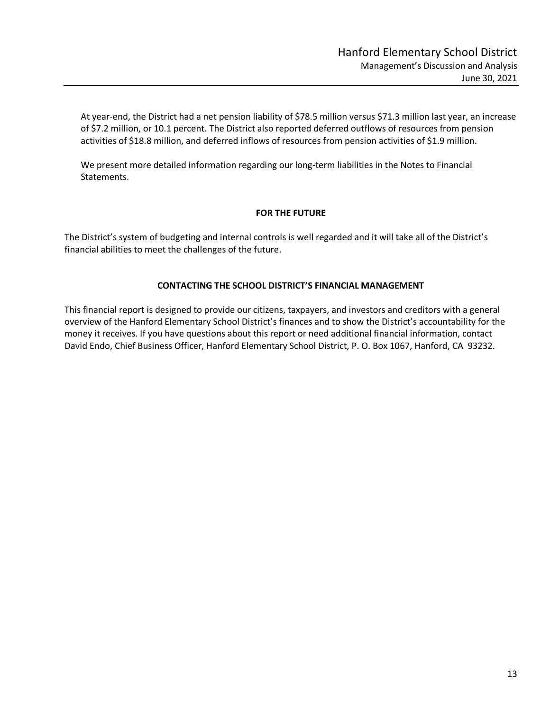At year-end, the District had a net pension liability of \$78.5 million versus \$71.3 million last year, an increase of \$7.2 million, or 10.1 percent. The District also reported deferred outflows of resources from pension activities of \$18.8 million, and deferred inflows of resources from pension activities of \$1.9 million.

We present more detailed information regarding our long-term liabilities in the Notes to Financial Statements.

### **FOR THE FUTURE**

The District's system of budgeting and internal controls is well regarded and it will take all of the District's financial abilities to meet the challenges of the future.

### **CONTACTING THE SCHOOL DISTRICT'S FINANCIAL MANAGEMENT**

This financial report is designed to provide our citizens, taxpayers, and investors and creditors with a general overview of the Hanford Elementary School District's finances and to show the District's accountability for the money it receives. If you have questions about this report or need additional financial information, contact David Endo, Chief Business Officer, Hanford Elementary School District, P. O. Box 1067, Hanford, CA 93232.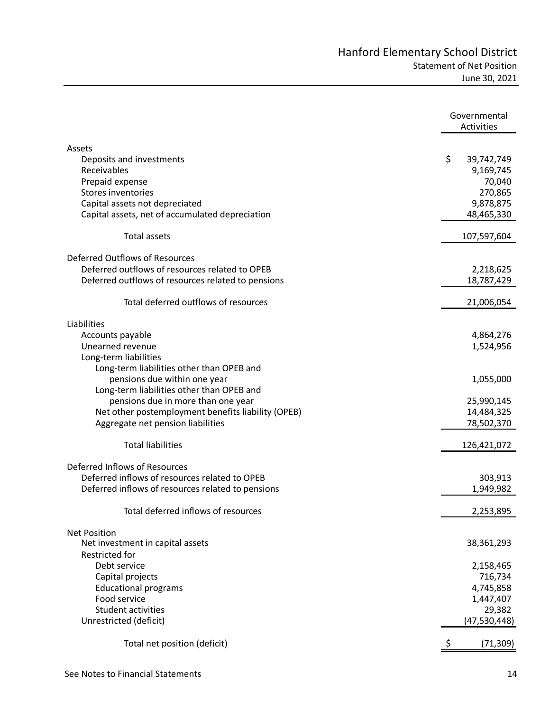<span id="page-16-1"></span><span id="page-16-0"></span>

|                                                                                         | Governmental<br>Activities |
|-----------------------------------------------------------------------------------------|----------------------------|
| Assets                                                                                  |                            |
| Deposits and investments                                                                | \$<br>39,742,749           |
| Receivables                                                                             | 9,169,745                  |
| Prepaid expense                                                                         | 70,040                     |
| Stores inventories                                                                      | 270,865                    |
| Capital assets not depreciated                                                          | 9,878,875                  |
| Capital assets, net of accumulated depreciation                                         | 48,465,330                 |
| Total assets                                                                            | 107,597,604                |
| Deferred Outflows of Resources                                                          |                            |
| Deferred outflows of resources related to OPEB                                          | 2,218,625                  |
| Deferred outflows of resources related to pensions                                      | 18,787,429                 |
| Total deferred outflows of resources                                                    | 21,006,054                 |
| Liabilities                                                                             |                            |
| Accounts payable                                                                        | 4,864,276                  |
| Unearned revenue                                                                        | 1,524,956                  |
| Long-term liabilities                                                                   |                            |
| Long-term liabilities other than OPEB and                                               |                            |
| pensions due within one year                                                            | 1,055,000                  |
| Long-term liabilities other than OPEB and                                               |                            |
| pensions due in more than one year                                                      | 25,990,145                 |
| Net other postemployment benefits liability (OPEB)<br>Aggregate net pension liabilities | 14,484,325                 |
|                                                                                         | 78,502,370                 |
| <b>Total liabilities</b>                                                                | 126,421,072                |
| Deferred Inflows of Resources                                                           |                            |
| Deferred inflows of resources related to OPEB                                           | 303,913                    |
| Deferred inflows of resources related to pensions                                       | 1,949,982                  |
| Total deferred inflows of resources                                                     | 2,253,895                  |
|                                                                                         |                            |
| <b>Net Position</b>                                                                     |                            |
| Net investment in capital assets                                                        | 38,361,293                 |
| Restricted for<br>Debt service                                                          | 2,158,465                  |
| Capital projects                                                                        | 716,734                    |
| <b>Educational programs</b>                                                             | 4,745,858                  |
| Food service                                                                            | 1,447,407                  |
| <b>Student activities</b>                                                               | 29,382                     |
| Unrestricted (deficit)                                                                  | (47, 530, 448)             |
| Total net position (deficit)                                                            | (71, 309)                  |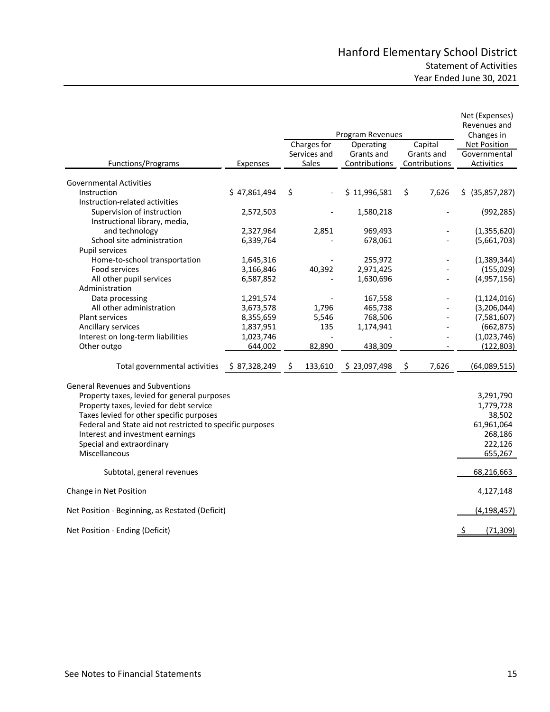<span id="page-17-0"></span>

|                                                                                                       |                 |                             |                                             |                       | Net (Expenses)<br>Revenues and                    |
|-------------------------------------------------------------------------------------------------------|-----------------|-----------------------------|---------------------------------------------|-----------------------|---------------------------------------------------|
|                                                                                                       |                 | Charges for<br>Services and | Program Revenues<br>Operating<br>Grants and | Capital<br>Grants and | Changes in<br><b>Net Position</b><br>Governmental |
| Functions/Programs                                                                                    | <b>Expenses</b> | Sales                       | Contributions                               | Contributions         | Activities                                        |
| <b>Governmental Activities</b>                                                                        |                 |                             |                                             |                       |                                                   |
| Instruction                                                                                           | \$47,861,494    | \$                          | \$11,996,581                                | \$<br>7,626           | $$$ (35,857,287)                                  |
| Instruction-related activities                                                                        |                 |                             |                                             |                       |                                                   |
| Supervision of instruction                                                                            | 2,572,503       |                             | 1,580,218                                   |                       | (992, 285)                                        |
| Instructional library, media,                                                                         |                 |                             |                                             |                       |                                                   |
| and technology                                                                                        | 2,327,964       | 2,851                       | 969,493                                     |                       | (1,355,620)                                       |
| School site administration                                                                            | 6,339,764       |                             | 678,061                                     |                       | (5,661,703)                                       |
| Pupil services                                                                                        |                 |                             |                                             |                       |                                                   |
| Home-to-school transportation                                                                         | 1,645,316       |                             | 255,972                                     |                       | (1,389,344)                                       |
| Food services                                                                                         | 3,166,846       | 40,392                      | 2,971,425                                   |                       | (155, 029)                                        |
| All other pupil services                                                                              | 6,587,852       |                             | 1,630,696                                   |                       | (4,957,156)                                       |
| Administration                                                                                        |                 |                             |                                             |                       |                                                   |
| Data processing                                                                                       | 1,291,574       |                             | 167,558                                     |                       | (1, 124, 016)                                     |
| All other administration                                                                              | 3,673,578       | 1,796                       | 465,738                                     |                       | (3,206,044)                                       |
| <b>Plant services</b>                                                                                 | 8,355,659       | 5,546                       | 768,506                                     |                       | (7,581,607)                                       |
| Ancillary services                                                                                    | 1,837,951       | 135                         | 1,174,941                                   |                       | (662, 875)                                        |
| Interest on long-term liabilities                                                                     | 1,023,746       |                             |                                             |                       | (1,023,746)                                       |
| Other outgo                                                                                           | 644,002         | 82,890                      | 438,309                                     |                       | (122, 803)                                        |
|                                                                                                       |                 |                             |                                             |                       |                                                   |
| Total governmental activities                                                                         | \$87,328,249    | 133,610<br>S.               | \$23,097,498                                | 7,626<br>\$.          | (64,089,515)                                      |
|                                                                                                       |                 |                             |                                             |                       |                                                   |
| <b>General Revenues and Subventions</b>                                                               |                 |                             |                                             |                       |                                                   |
| Property taxes, levied for general purposes                                                           |                 |                             |                                             |                       | 3,291,790                                         |
| Property taxes, levied for debt service                                                               |                 |                             |                                             |                       | 1,779,728                                         |
| Taxes levied for other specific purposes<br>Federal and State aid not restricted to specific purposes |                 |                             |                                             |                       | 38,502                                            |
|                                                                                                       |                 |                             |                                             |                       | 61,961,064                                        |
| Interest and investment earnings                                                                      |                 |                             |                                             |                       | 268,186                                           |
| Special and extraordinary                                                                             |                 |                             |                                             |                       | 222,126                                           |
| Miscellaneous                                                                                         |                 |                             |                                             |                       | 655,267                                           |
| Subtotal, general revenues                                                                            |                 |                             |                                             |                       | 68,216,663                                        |
| Change in Net Position                                                                                |                 |                             |                                             |                       | 4,127,148                                         |
| Net Position - Beginning, as Restated (Deficit)                                                       |                 |                             |                                             |                       | (4, 198, 457)                                     |
| Net Position - Ending (Deficit)                                                                       |                 |                             |                                             |                       | <u>ې</u><br>(71, 309)                             |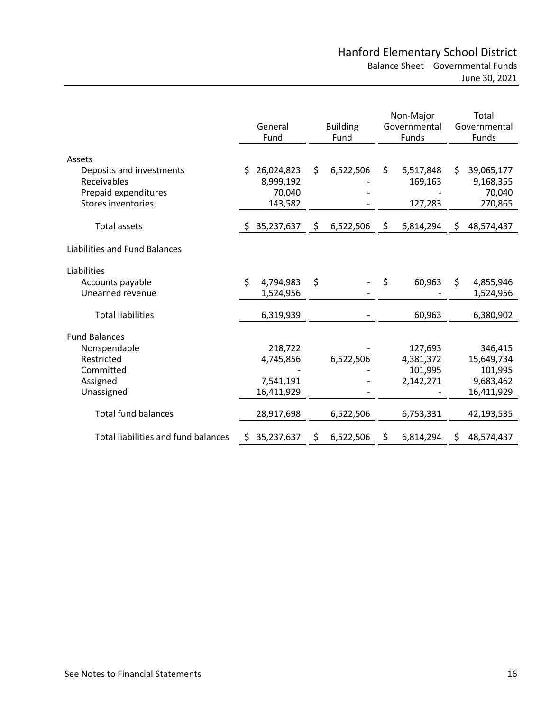<span id="page-18-1"></span><span id="page-18-0"></span>

|                                     | General<br><b>Building</b><br>Fund<br>Fund |    | Funds     |    |           |    |            |  | Non-Major<br>Governmental | Total<br>Governmental<br>Funds |  |
|-------------------------------------|--------------------------------------------|----|-----------|----|-----------|----|------------|--|---------------------------|--------------------------------|--|
| Assets                              |                                            |    |           |    |           |    |            |  |                           |                                |  |
| Deposits and investments            | Ś<br>26,024,823                            | \$ | 6,522,506 | \$ | 6,517,848 | \$ | 39,065,177 |  |                           |                                |  |
| Receivables                         | 8,999,192                                  |    |           |    | 169,163   |    | 9,168,355  |  |                           |                                |  |
| Prepaid expenditures                | 70,040                                     |    |           |    |           |    | 70,040     |  |                           |                                |  |
| <b>Stores inventories</b>           | 143,582                                    |    |           |    | 127,283   |    | 270,865    |  |                           |                                |  |
| <b>Total assets</b>                 | 35,237,637<br>S                            | \$ | 6,522,506 | \$ | 6,814,294 | \$ | 48,574,437 |  |                           |                                |  |
| Liabilities and Fund Balances       |                                            |    |           |    |           |    |            |  |                           |                                |  |
| Liabilities                         |                                            |    |           |    |           |    |            |  |                           |                                |  |
| Accounts payable                    | \$<br>4,794,983                            | \$ |           | \$ | 60,963    | \$ | 4,855,946  |  |                           |                                |  |
| Unearned revenue                    | 1,524,956                                  |    |           |    |           |    | 1,524,956  |  |                           |                                |  |
| <b>Total liabilities</b>            | 6,319,939                                  |    |           |    | 60,963    |    | 6,380,902  |  |                           |                                |  |
| <b>Fund Balances</b>                |                                            |    |           |    |           |    |            |  |                           |                                |  |
| Nonspendable                        | 218,722                                    |    |           |    | 127,693   |    | 346,415    |  |                           |                                |  |
| Restricted                          | 4,745,856                                  |    | 6,522,506 |    | 4,381,372 |    | 15,649,734 |  |                           |                                |  |
| Committed                           |                                            |    |           |    | 101,995   |    | 101,995    |  |                           |                                |  |
| Assigned                            | 7,541,191                                  |    |           |    | 2,142,271 |    | 9,683,462  |  |                           |                                |  |
| Unassigned                          | 16,411,929                                 |    |           |    |           |    | 16,411,929 |  |                           |                                |  |
| <b>Total fund balances</b>          | 28,917,698                                 |    | 6,522,506 |    | 6,753,331 |    | 42,193,535 |  |                           |                                |  |
| Total liabilities and fund balances | 35,237,637<br>Ś                            | \$ | 6,522,506 | \$ | 6,814,294 | \$ | 48,574,437 |  |                           |                                |  |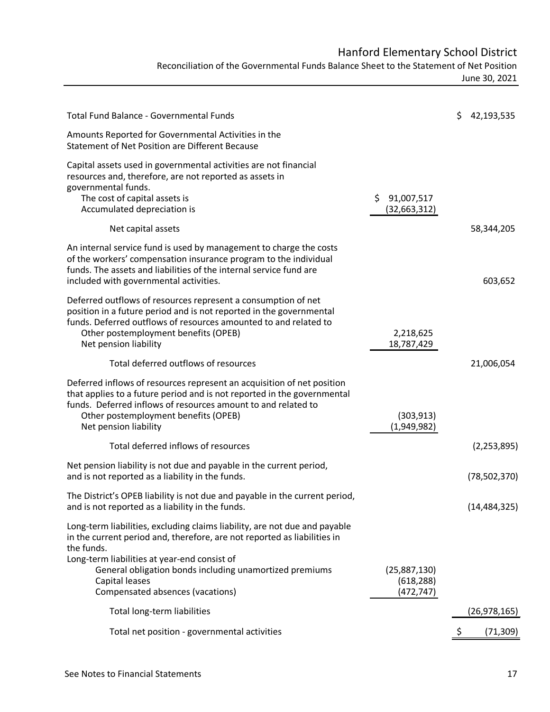Reconciliation of the Governmental Funds Balance Sheet to the Statement of Net Position

June 30, 2021

<span id="page-19-0"></span>

| <b>Total Fund Balance - Governmental Funds</b>                                                                                                                                                                                                                                      |                                          |   | \$42,193,535   |
|-------------------------------------------------------------------------------------------------------------------------------------------------------------------------------------------------------------------------------------------------------------------------------------|------------------------------------------|---|----------------|
| Amounts Reported for Governmental Activities in the<br>Statement of Net Position are Different Because                                                                                                                                                                              |                                          |   |                |
| Capital assets used in governmental activities are not financial<br>resources and, therefore, are not reported as assets in<br>governmental funds.<br>The cost of capital assets is                                                                                                 | \$91,007,517                             |   |                |
| Accumulated depreciation is                                                                                                                                                                                                                                                         | (32,663,312)                             |   |                |
| Net capital assets                                                                                                                                                                                                                                                                  |                                          |   | 58,344,205     |
| An internal service fund is used by management to charge the costs<br>of the workers' compensation insurance program to the individual<br>funds. The assets and liabilities of the internal service fund are<br>included with governmental activities.                              |                                          |   | 603,652        |
| Deferred outflows of resources represent a consumption of net<br>position in a future period and is not reported in the governmental<br>funds. Deferred outflows of resources amounted to and related to<br>Other postemployment benefits (OPEB)<br>Net pension liability           | 2,218,625<br>18,787,429                  |   |                |
| Total deferred outflows of resources                                                                                                                                                                                                                                                |                                          |   | 21,006,054     |
| Deferred inflows of resources represent an acquisition of net position<br>that applies to a future period and is not reported in the governmental<br>funds. Deferred inflows of resources amount to and related to<br>Other postemployment benefits (OPEB)<br>Net pension liability | (303, 913)<br>(1,949,982)                |   |                |
| Total deferred inflows of resources                                                                                                                                                                                                                                                 |                                          |   | (2,253,895)    |
| Net pension liability is not due and payable in the current period,<br>and is not reported as a liability in the funds.                                                                                                                                                             |                                          |   | (78, 502, 370) |
| The District's OPEB liability is not due and payable in the current period,<br>and is not reported as a liability in the funds.                                                                                                                                                     |                                          |   | (14, 484, 325) |
| Long-term liabilities, excluding claims liability, are not due and payable<br>in the current period and, therefore, are not reported as liabilities in<br>the funds.                                                                                                                |                                          |   |                |
| Long-term liabilities at year-end consist of<br>General obligation bonds including unamortized premiums<br>Capital leases<br>Compensated absences (vacations)                                                                                                                       | (25,887,130)<br>(618, 288)<br>(472, 747) |   |                |
| Total long-term liabilities                                                                                                                                                                                                                                                         |                                          |   | (26,978,165)   |
| Total net position - governmental activities                                                                                                                                                                                                                                        |                                          | S | (71, 309)      |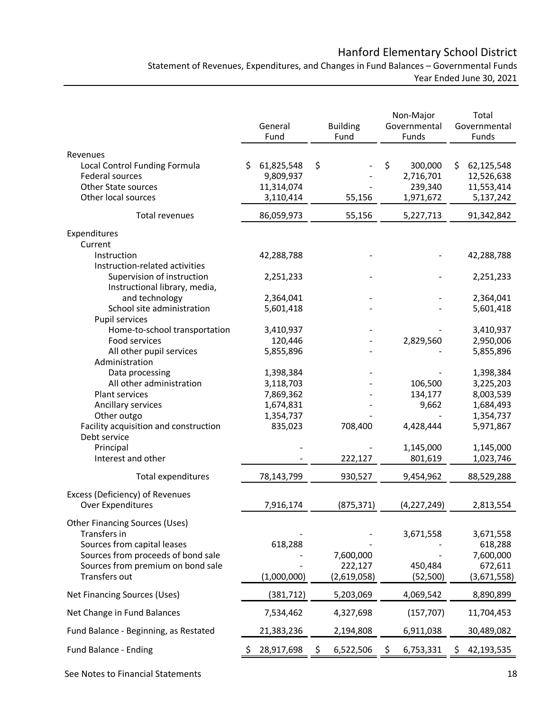Statement of Revenues, Expenditures, and Changes in Fund Balances – Governmental Funds Year Ended June 30, 2021

<span id="page-20-0"></span>

|                                                                                                                   | General<br>Fund                                          | <b>Building</b><br>Fund             |    | Non-Major<br>Governmental<br>Funds           |    | Total<br>Governmental<br>Funds                      |
|-------------------------------------------------------------------------------------------------------------------|----------------------------------------------------------|-------------------------------------|----|----------------------------------------------|----|-----------------------------------------------------|
| Revenues<br>Local Control Funding Formula<br>Federal sources<br><b>Other State sources</b><br>Other local sources | \$<br>61,825,548<br>9,809,937<br>11,314,074<br>3,110,414 | \$<br>55,156                        | \$ | 300,000<br>2,716,701<br>239,340<br>1,971,672 | \$ | 62,125,548<br>12,526,638<br>11,553,414<br>5,137,242 |
| Total revenues                                                                                                    | 86,059,973                                               | 55,156                              |    | 5,227,713                                    |    | 91,342,842                                          |
| Expenditures<br>Current<br>Instruction                                                                            | 42,288,788                                               |                                     |    |                                              |    | 42,288,788                                          |
| Instruction-related activities                                                                                    |                                                          |                                     |    |                                              |    |                                                     |
| Supervision of instruction<br>Instructional library, media,                                                       | 2,251,233                                                |                                     |    |                                              |    | 2,251,233                                           |
| and technology<br>School site administration<br>Pupil services                                                    | 2,364,041<br>5,601,418                                   |                                     |    |                                              |    | 2,364,041<br>5,601,418                              |
| Home-to-school transportation<br>Food services<br>All other pupil services                                        | 3,410,937<br>120,446<br>5,855,896                        |                                     |    | 2,829,560                                    |    | 3,410,937<br>2,950,006<br>5,855,896                 |
| Administration<br>Data processing                                                                                 | 1,398,384                                                |                                     |    |                                              |    | 1,398,384                                           |
| All other administration<br>Plant services<br>Ancillary services                                                  | 3,118,703<br>7,869,362<br>1,674,831                      |                                     |    | 106,500<br>134,177<br>9,662                  |    | 3,225,203<br>8,003,539<br>1,684,493                 |
| Other outgo<br>Facility acquisition and construction<br>Debt service                                              | 1,354,737<br>835,023                                     | 708,400                             |    | 4,428,444                                    |    | 1,354,737<br>5,971,867                              |
| Principal<br>Interest and other                                                                                   |                                                          | 222,127                             |    | 1,145,000<br>801,619                         |    | 1,145,000<br>1,023,746                              |
| <b>Total expenditures</b>                                                                                         | 78,143,799                                               | 930,527                             |    | 9,454,962                                    |    | 88,529,288                                          |
| Excess (Deficiency) of Revenues<br>Over Expenditures                                                              | 7,916,174                                                | (875, 371)                          |    | (4,227,249)                                  |    | 2,813,554                                           |
| <b>Other Financing Sources (Uses)</b><br>Transfers in<br>Sources from capital leases                              | 618,288                                                  |                                     |    | 3,671,558                                    |    | 3,671,558<br>618,288                                |
| Sources from proceeds of bond sale<br>Sources from premium on bond sale<br>Transfers out                          | (1,000,000)                                              | 7,600,000<br>222,127<br>(2,619,058) |    | 450,484<br>(52, 500)                         |    | 7,600,000<br>672,611<br>(3,671,558)                 |
| Net Financing Sources (Uses)                                                                                      | (381, 712)                                               | 5,203,069                           |    | 4,069,542                                    |    | 8,890,899                                           |
| Net Change in Fund Balances                                                                                       | 7,534,462                                                | 4,327,698                           |    | (157, 707)                                   |    | 11,704,453                                          |
| Fund Balance - Beginning, as Restated                                                                             | 21,383,236                                               | 2,194,808                           |    | 6,911,038                                    |    | 30,489,082                                          |
| Fund Balance - Ending                                                                                             | 28,917,698                                               | \$<br>6,522,506                     | Ş  | 6,753,331                                    | Ş  | 42,193,535                                          |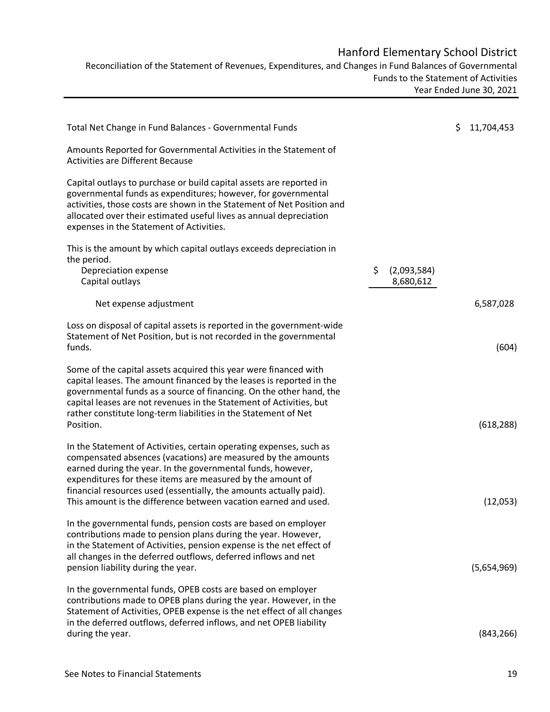<span id="page-21-0"></span>Reconciliation of the Statement of Revenues, Expenditures, and Changes in Fund Balances of Governmental Funds to the Statement of Activities Year Ended June 30, 2021

| Total Net Change in Fund Balances - Governmental Funds                                                                                                                                                                                                                                                                                                                                                    |                                | S. | 11,704,453  |
|-----------------------------------------------------------------------------------------------------------------------------------------------------------------------------------------------------------------------------------------------------------------------------------------------------------------------------------------------------------------------------------------------------------|--------------------------------|----|-------------|
| Amounts Reported for Governmental Activities in the Statement of<br><b>Activities are Different Because</b>                                                                                                                                                                                                                                                                                               |                                |    |             |
| Capital outlays to purchase or build capital assets are reported in<br>governmental funds as expenditures; however, for governmental<br>activities, those costs are shown in the Statement of Net Position and<br>allocated over their estimated useful lives as annual depreciation<br>expenses in the Statement of Activities.                                                                          |                                |    |             |
| This is the amount by which capital outlays exceeds depreciation in<br>the period.<br>Depreciation expense<br>Capital outlays                                                                                                                                                                                                                                                                             | \$<br>(2,093,584)<br>8,680,612 |    |             |
| Net expense adjustment                                                                                                                                                                                                                                                                                                                                                                                    |                                |    | 6,587,028   |
| Loss on disposal of capital assets is reported in the government-wide<br>Statement of Net Position, but is not recorded in the governmental<br>funds.                                                                                                                                                                                                                                                     |                                |    | (604)       |
| Some of the capital assets acquired this year were financed with<br>capital leases. The amount financed by the leases is reported in the<br>governmental funds as a source of financing. On the other hand, the<br>capital leases are not revenues in the Statement of Activities, but<br>rather constitute long-term liabilities in the Statement of Net<br>Position.                                    |                                |    | (618, 288)  |
| In the Statement of Activities, certain operating expenses, such as<br>compensated absences (vacations) are measured by the amounts<br>earned during the year. In the governmental funds, however,<br>expenditures for these items are measured by the amount of<br>financial resources used (essentially, the amounts actually paid).<br>This amount is the difference between vacation earned and used. |                                |    | (12,053)    |
| In the governmental funds, pension costs are based on employer<br>contributions made to pension plans during the year. However,<br>in the Statement of Activities, pension expense is the net effect of<br>all changes in the deferred outflows, deferred inflows and net<br>pension liability during the year.                                                                                           |                                |    | (5,654,969) |
| In the governmental funds, OPEB costs are based on employer<br>contributions made to OPEB plans during the year. However, in the<br>Statement of Activities, OPEB expense is the net effect of all changes<br>in the deferred outflows, deferred inflows, and net OPEB liability<br>during the year.                                                                                                      |                                |    | (843, 266)  |
|                                                                                                                                                                                                                                                                                                                                                                                                           |                                |    |             |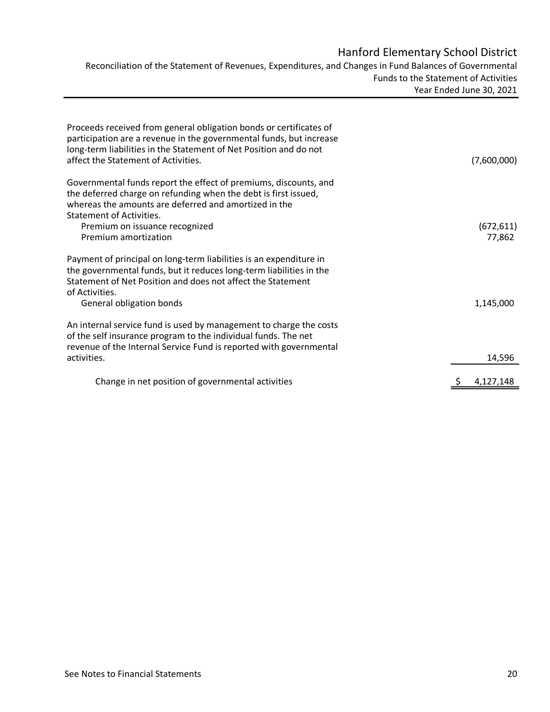| Reconciliation of the Statement of Revenues, Expenditures, and Changes in Fund Balances of Governmental |
|---------------------------------------------------------------------------------------------------------|
| <b>Funds to the Statement of Activities</b>                                                             |
| Year Ended June 30, 2021                                                                                |

| Proceeds received from general obligation bonds or certificates of<br>participation are a revenue in the governmental funds, but increase<br>long-term liabilities in the Statement of Net Position and do not<br>affect the Statement of Activities.      | (7,600,000) |
|------------------------------------------------------------------------------------------------------------------------------------------------------------------------------------------------------------------------------------------------------------|-------------|
| Governmental funds report the effect of premiums, discounts, and<br>the deferred charge on refunding when the debt is first issued,<br>whereas the amounts are deferred and amortized in the<br>Statement of Activities.<br>Premium on issuance recognized | (672, 611)  |
| Premium amortization                                                                                                                                                                                                                                       | 77,862      |
| Payment of principal on long-term liabilities is an expenditure in<br>the governmental funds, but it reduces long-term liabilities in the<br>Statement of Net Position and does not affect the Statement<br>of Activities.                                 |             |
| General obligation bonds                                                                                                                                                                                                                                   | 1,145,000   |
| An internal service fund is used by management to charge the costs<br>of the self insurance program to the individual funds. The net<br>revenue of the Internal Service Fund is reported with governmental                                                 |             |
| activities.                                                                                                                                                                                                                                                | 14,596      |
| Change in net position of governmental activities                                                                                                                                                                                                          | 4,127,148   |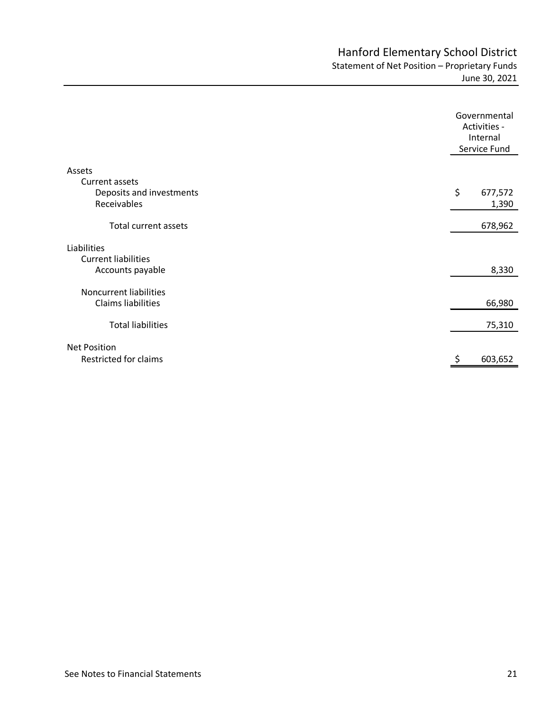<span id="page-23-1"></span><span id="page-23-0"></span>

|                               | Governmental<br>Activities -<br>Internal<br>Service Fund |         |
|-------------------------------|----------------------------------------------------------|---------|
| Assets                        |                                                          |         |
| <b>Current assets</b>         |                                                          |         |
| Deposits and investments      | \$                                                       | 677,572 |
| Receivables                   |                                                          | 1,390   |
|                               |                                                          |         |
| <b>Total current assets</b>   |                                                          | 678,962 |
|                               |                                                          |         |
| Liabilities                   |                                                          |         |
| <b>Current liabilities</b>    |                                                          |         |
| Accounts payable              |                                                          | 8,330   |
|                               |                                                          |         |
| <b>Noncurrent liabilities</b> |                                                          |         |
| <b>Claims liabilities</b>     |                                                          | 66,980  |
|                               |                                                          |         |
| <b>Total liabilities</b>      |                                                          | 75,310  |
|                               |                                                          |         |
| <b>Net Position</b>           |                                                          |         |
| <b>Restricted for claims</b>  |                                                          | 603,652 |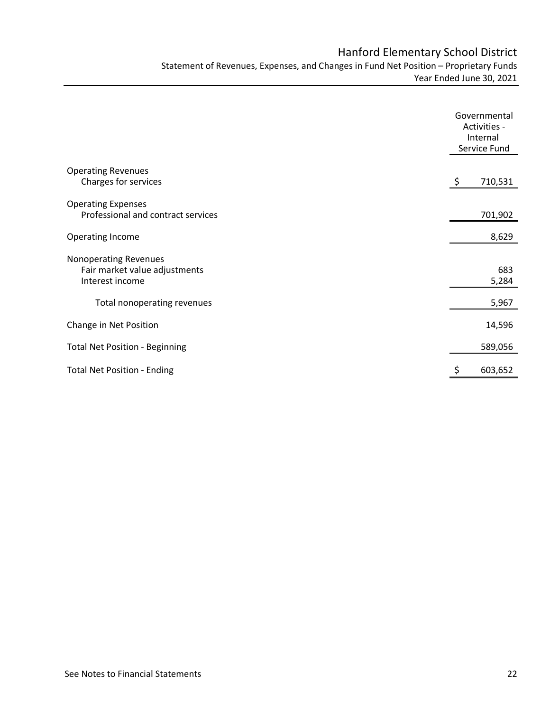Statement of Revenues, Expenses, and Changes in Fund Net Position – Proprietary Funds Year Ended June 30, 2021

<span id="page-24-0"></span>

|                                                                                  | Governmental<br>Activities -<br>Internal<br>Service Fund |  |
|----------------------------------------------------------------------------------|----------------------------------------------------------|--|
| <b>Operating Revenues</b><br>Charges for services                                | \$<br>710,531                                            |  |
| <b>Operating Expenses</b><br>Professional and contract services                  | 701,902                                                  |  |
| Operating Income                                                                 | 8,629                                                    |  |
| <b>Nonoperating Revenues</b><br>Fair market value adjustments<br>Interest income | 683<br>5,284                                             |  |
| Total nonoperating revenues                                                      | 5,967                                                    |  |
| Change in Net Position                                                           | 14,596                                                   |  |
| <b>Total Net Position - Beginning</b>                                            | 589,056                                                  |  |
| <b>Total Net Position - Ending</b>                                               | \$<br>603,652                                            |  |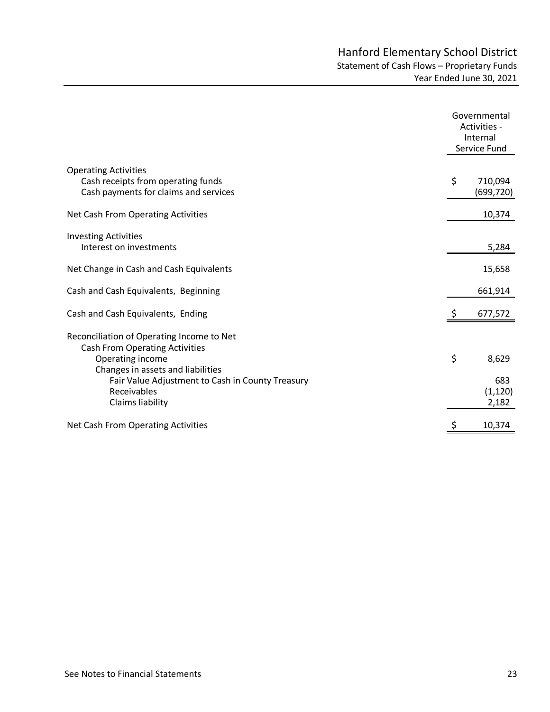<span id="page-25-0"></span>

|                                                                                                                                                                                                                                    | Governmental<br>Activities -<br>Internal<br>Service Fund |                                   |
|------------------------------------------------------------------------------------------------------------------------------------------------------------------------------------------------------------------------------------|----------------------------------------------------------|-----------------------------------|
| <b>Operating Activities</b><br>Cash receipts from operating funds<br>Cash payments for claims and services                                                                                                                         | \$                                                       | 710,094<br>(699, 720)             |
| Net Cash From Operating Activities                                                                                                                                                                                                 |                                                          | 10,374                            |
| <b>Investing Activities</b><br>Interest on investments                                                                                                                                                                             |                                                          | 5,284                             |
| Net Change in Cash and Cash Equivalents                                                                                                                                                                                            |                                                          | 15,658                            |
| Cash and Cash Equivalents, Beginning                                                                                                                                                                                               |                                                          | 661,914                           |
| Cash and Cash Equivalents, Ending                                                                                                                                                                                                  |                                                          | 677,572                           |
| Reconciliation of Operating Income to Net<br><b>Cash From Operating Activities</b><br>Operating income<br>Changes in assets and liabilities<br>Fair Value Adjustment to Cash in County Treasury<br>Receivables<br>Claims liability | \$                                                       | 8,629<br>683<br>(1, 120)<br>2,182 |
| Net Cash From Operating Activities                                                                                                                                                                                                 | \$                                                       | 10,374                            |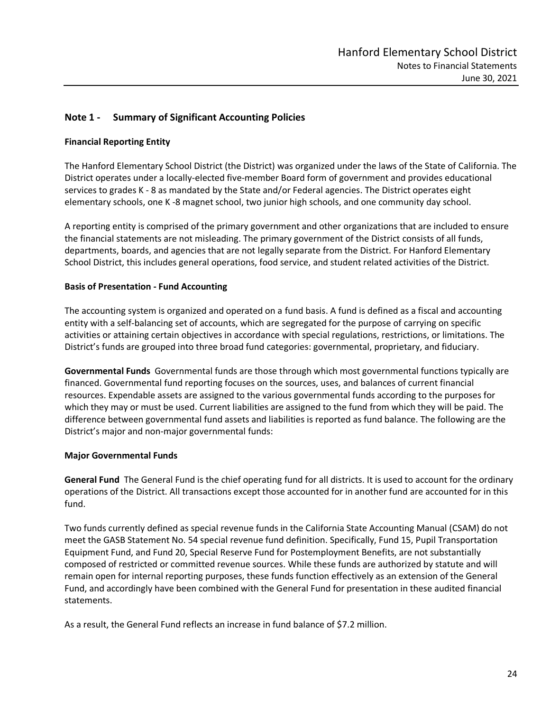### <span id="page-26-0"></span>**Note 1 - Summary of Significant Accounting Policies**

### **Financial Reporting Entity**

The Hanford Elementary School District (the District) was organized under the laws of the State of California. The District operates under a locally-elected five-member Board form of government and provides educational services to grades K - 8 as mandated by the State and/or Federal agencies. The District operates eight elementary schools, one K -8 magnet school, two junior high schools, and one community day school.

A reporting entity is comprised of the primary government and other organizations that are included to ensure the financial statements are not misleading. The primary government of the District consists of all funds, departments, boards, and agencies that are not legally separate from the District. For Hanford Elementary School District, this includes general operations, food service, and student related activities of the District.

### **Basis of Presentation - Fund Accounting**

The accounting system is organized and operated on a fund basis. A fund is defined as a fiscal and accounting entity with a self-balancing set of accounts, which are segregated for the purpose of carrying on specific activities or attaining certain objectives in accordance with special regulations, restrictions, or limitations. The District's funds are grouped into three broad fund categories: governmental, proprietary, and fiduciary.

**Governmental Funds** Governmental funds are those through which most governmental functions typically are financed. Governmental fund reporting focuses on the sources, uses, and balances of current financial resources. Expendable assets are assigned to the various governmental funds according to the purposes for which they may or must be used. Current liabilities are assigned to the fund from which they will be paid. The difference between governmental fund assets and liabilities is reported as fund balance. The following are the District's major and non-major governmental funds:

### **Major Governmental Funds**

**General Fund** The General Fund is the chief operating fund for all districts. It is used to account for the ordinary operations of the District. All transactions except those accounted for in another fund are accounted for in this fund.

Two funds currently defined as special revenue funds in the California State Accounting Manual (CSAM) do not meet the GASB Statement No. 54 special revenue fund definition. Specifically, Fund 15, Pupil Transportation Equipment Fund, and Fund 20, Special Reserve Fund for Postemployment Benefits, are not substantially composed of restricted or committed revenue sources. While these funds are authorized by statute and will remain open for internal reporting purposes, these funds function effectively as an extension of the General Fund, and accordingly have been combined with the General Fund for presentation in these audited financial statements.

As a result, the General Fund reflects an increase in fund balance of \$7.2 million.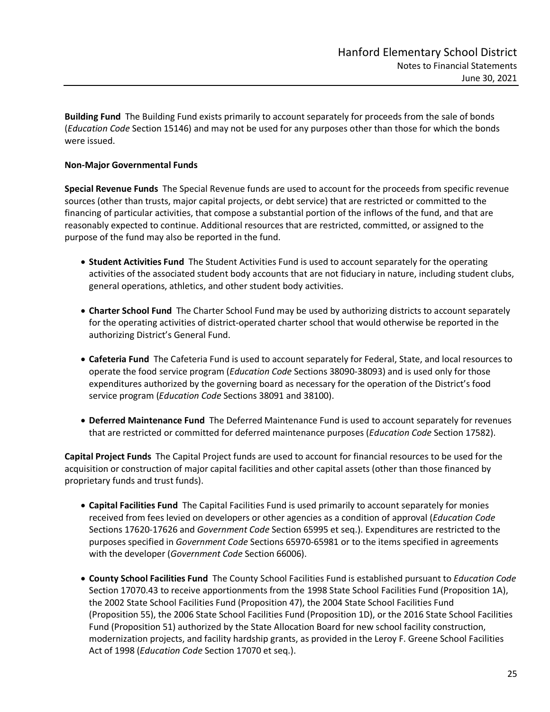**Building Fund** The Building Fund exists primarily to account separately for proceeds from the sale of bonds (*Education Code* Section 15146) and may not be used for any purposes other than those for which the bonds were issued.

### **Non-Major Governmental Funds**

**Special Revenue Funds** The Special Revenue funds are used to account for the proceeds from specific revenue sources (other than trusts, major capital projects, or debt service) that are restricted or committed to the financing of particular activities, that compose a substantial portion of the inflows of the fund, and that are reasonably expected to continue. Additional resources that are restricted, committed, or assigned to the purpose of the fund may also be reported in the fund.

- **Student Activities Fund** The Student Activities Fund is used to account separately for the operating activities of the associated student body accounts that are not fiduciary in nature, including student clubs, general operations, athletics, and other student body activities.
- **Charter School Fund** The Charter School Fund may be used by authorizing districts to account separately for the operating activities of district-operated charter school that would otherwise be reported in the authorizing District's General Fund.
- **Cafeteria Fund** The Cafeteria Fund is used to account separately for Federal, State, and local resources to operate the food service program (*Education Code* Sections 38090-38093) and is used only for those expenditures authorized by the governing board as necessary for the operation of the District's food service program (*Education Code* Sections 38091 and 38100).
- **Deferred Maintenance Fund** The Deferred Maintenance Fund is used to account separately for revenues that are restricted or committed for deferred maintenance purposes (*Education Code* Section 17582).

**Capital Project Funds** The Capital Project funds are used to account for financial resources to be used for the acquisition or construction of major capital facilities and other capital assets (other than those financed by proprietary funds and trust funds).

- **Capital Facilities Fund** The Capital Facilities Fund is used primarily to account separately for monies received from fees levied on developers or other agencies as a condition of approval (*Education Code*  Sections 17620-17626 and *Government Code* Section 65995 et seq.). Expenditures are restricted to the purposes specified in *Government Code* Sections 65970-65981 or to the items specified in agreements with the developer (*Government Code* Section 66006).
- **County School Facilities Fund** The County School Facilities Fund is established pursuant to *Education Code*  Section 17070.43 to receive apportionments from the 1998 State School Facilities Fund (Proposition 1A), the 2002 State School Facilities Fund (Proposition 47), the 2004 State School Facilities Fund (Proposition 55), the 2006 State School Facilities Fund (Proposition 1D), or the 2016 State School Facilities Fund (Proposition 51) authorized by the State Allocation Board for new school facility construction, modernization projects, and facility hardship grants, as provided in the Leroy F. Greene School Facilities Act of 1998 (*Education Code* Section 17070 et seq.).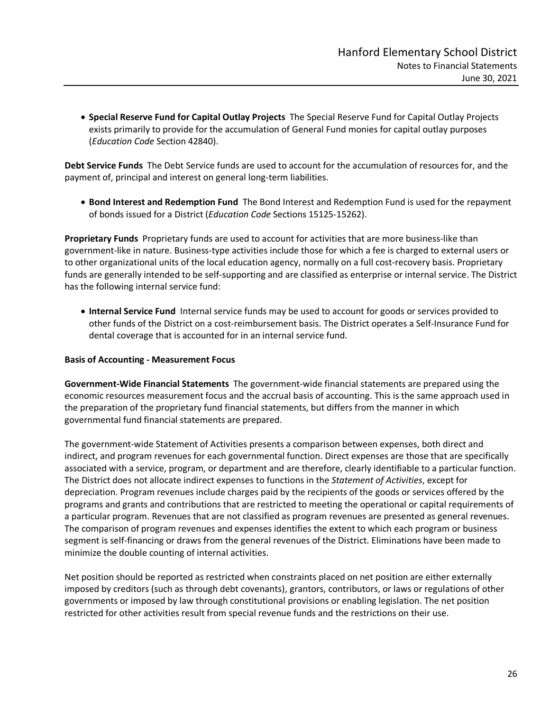• **Special Reserve Fund for Capital Outlay Projects** The Special Reserve Fund for Capital Outlay Projects exists primarily to provide for the accumulation of General Fund monies for capital outlay purposes (*Education Code* Section 42840).

**Debt Service Funds** The Debt Service funds are used to account for the accumulation of resources for, and the payment of, principal and interest on general long-term liabilities.

• **Bond Interest and Redemption Fund** The Bond Interest and Redemption Fund is used for the repayment of bonds issued for a District (*Education Code* Sections 15125-15262).

**Proprietary Funds** Proprietary funds are used to account for activities that are more business-like than government-like in nature. Business-type activities include those for which a fee is charged to external users or to other organizational units of the local education agency, normally on a full cost-recovery basis. Proprietary funds are generally intended to be self-supporting and are classified as enterprise or internal service. The District has the following internal service fund:

• **Internal Service Fund** Internal service funds may be used to account for goods or services provided to other funds of the District on a cost-reimbursement basis. The District operates a Self-Insurance Fund for dental coverage that is accounted for in an internal service fund.

### **Basis of Accounting - Measurement Focus**

**Government-Wide Financial Statements** The government-wide financial statements are prepared using the economic resources measurement focus and the accrual basis of accounting. This is the same approach used in the preparation of the proprietary fund financial statements, but differs from the manner in which governmental fund financial statements are prepared.

The government-wide Statement of Activities presents a comparison between expenses, both direct and indirect, and program revenues for each governmental function. Direct expenses are those that are specifically associated with a service, program, or department and are therefore, clearly identifiable to a particular function. The District does not allocate indirect expenses to functions in the *Statement of Activities*, except for depreciation. Program revenues include charges paid by the recipients of the goods or services offered by the programs and grants and contributions that are restricted to meeting the operational or capital requirements of a particular program. Revenues that are not classified as program revenues are presented as general revenues. The comparison of program revenues and expenses identifies the extent to which each program or business segment is self-financing or draws from the general revenues of the District. Eliminations have been made to minimize the double counting of internal activities.

Net position should be reported as restricted when constraints placed on net position are either externally imposed by creditors (such as through debt covenants), grantors, contributors, or laws or regulations of other governments or imposed by law through constitutional provisions or enabling legislation. The net position restricted for other activities result from special revenue funds and the restrictions on their use.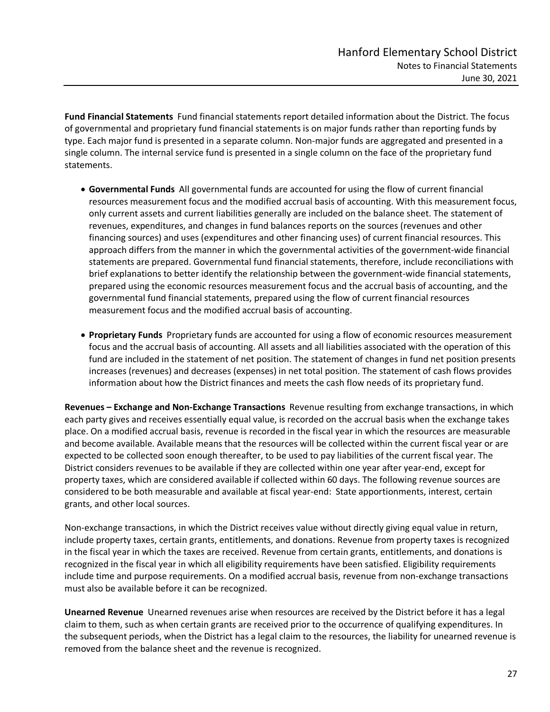**Fund Financial Statements** Fund financial statements report detailed information about the District. The focus of governmental and proprietary fund financial statements is on major funds rather than reporting funds by type. Each major fund is presented in a separate column. Non-major funds are aggregated and presented in a single column. The internal service fund is presented in a single column on the face of the proprietary fund statements.

- **Governmental Funds** All governmental funds are accounted for using the flow of current financial resources measurement focus and the modified accrual basis of accounting. With this measurement focus, only current assets and current liabilities generally are included on the balance sheet. The statement of revenues, expenditures, and changes in fund balances reports on the sources (revenues and other financing sources) and uses (expenditures and other financing uses) of current financial resources. This approach differs from the manner in which the governmental activities of the government-wide financial statements are prepared. Governmental fund financial statements, therefore, include reconciliations with brief explanations to better identify the relationship between the government-wide financial statements, prepared using the economic resources measurement focus and the accrual basis of accounting, and the governmental fund financial statements, prepared using the flow of current financial resources measurement focus and the modified accrual basis of accounting.
- **Proprietary Funds** Proprietary funds are accounted for using a flow of economic resources measurement focus and the accrual basis of accounting. All assets and all liabilities associated with the operation of this fund are included in the statement of net position. The statement of changes in fund net position presents increases (revenues) and decreases (expenses) in net total position. The statement of cash flows provides information about how the District finances and meets the cash flow needs of its proprietary fund.

**Revenues – Exchange and Non-Exchange Transactions** Revenue resulting from exchange transactions, in which each party gives and receives essentially equal value, is recorded on the accrual basis when the exchange takes place. On a modified accrual basis, revenue is recorded in the fiscal year in which the resources are measurable and become available. Available means that the resources will be collected within the current fiscal year or are expected to be collected soon enough thereafter, to be used to pay liabilities of the current fiscal year. The District considers revenues to be available if they are collected within one year after year-end, except for property taxes, which are considered available if collected within 60 days. The following revenue sources are considered to be both measurable and available at fiscal year-end: State apportionments, interest, certain grants, and other local sources.

Non-exchange transactions, in which the District receives value without directly giving equal value in return, include property taxes, certain grants, entitlements, and donations. Revenue from property taxes is recognized in the fiscal year in which the taxes are received. Revenue from certain grants, entitlements, and donations is recognized in the fiscal year in which all eligibility requirements have been satisfied. Eligibility requirements include time and purpose requirements. On a modified accrual basis, revenue from non-exchange transactions must also be available before it can be recognized.

**Unearned Revenue** Unearned revenues arise when resources are received by the District before it has a legal claim to them, such as when certain grants are received prior to the occurrence of qualifying expenditures. In the subsequent periods, when the District has a legal claim to the resources, the liability for unearned revenue is removed from the balance sheet and the revenue is recognized.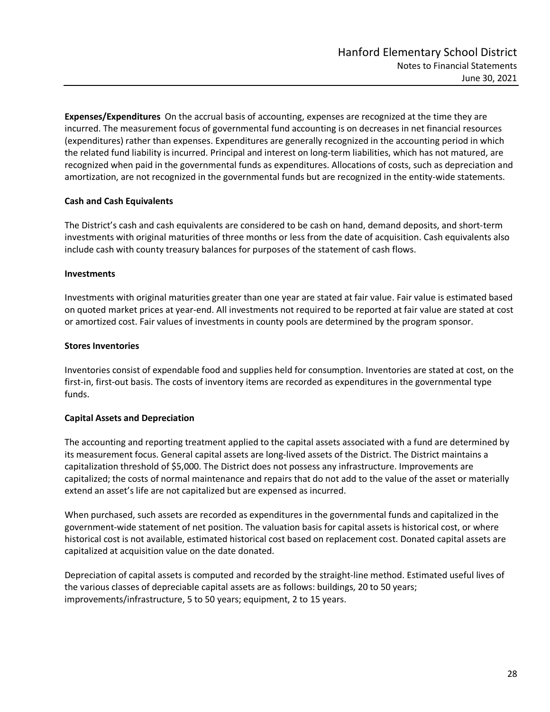**Expenses/Expenditures** On the accrual basis of accounting, expenses are recognized at the time they are incurred. The measurement focus of governmental fund accounting is on decreases in net financial resources (expenditures) rather than expenses. Expenditures are generally recognized in the accounting period in which the related fund liability is incurred. Principal and interest on long-term liabilities, which has not matured, are recognized when paid in the governmental funds as expenditures. Allocations of costs, such as depreciation and amortization, are not recognized in the governmental funds but are recognized in the entity-wide statements.

### **Cash and Cash Equivalents**

The District's cash and cash equivalents are considered to be cash on hand, demand deposits, and short-term investments with original maturities of three months or less from the date of acquisition. Cash equivalents also include cash with county treasury balances for purposes of the statement of cash flows.

### **Investments**

Investments with original maturities greater than one year are stated at fair value. Fair value is estimated based on quoted market prices at year-end. All investments not required to be reported at fair value are stated at cost or amortized cost. Fair values of investments in county pools are determined by the program sponsor.

### **Stores Inventories**

Inventories consist of expendable food and supplies held for consumption. Inventories are stated at cost, on the first-in, first-out basis. The costs of inventory items are recorded as expenditures in the governmental type funds.

### **Capital Assets and Depreciation**

The accounting and reporting treatment applied to the capital assets associated with a fund are determined by its measurement focus. General capital assets are long-lived assets of the District. The District maintains a capitalization threshold of \$5,000. The District does not possess any infrastructure. Improvements are capitalized; the costs of normal maintenance and repairs that do not add to the value of the asset or materially extend an asset's life are not capitalized but are expensed as incurred.

When purchased, such assets are recorded as expenditures in the governmental funds and capitalized in the government-wide statement of net position. The valuation basis for capital assets is historical cost, or where historical cost is not available, estimated historical cost based on replacement cost. Donated capital assets are capitalized at acquisition value on the date donated.

Depreciation of capital assets is computed and recorded by the straight-line method. Estimated useful lives of the various classes of depreciable capital assets are as follows: buildings, 20 to 50 years; improvements/infrastructure, 5 to 50 years; equipment, 2 to 15 years.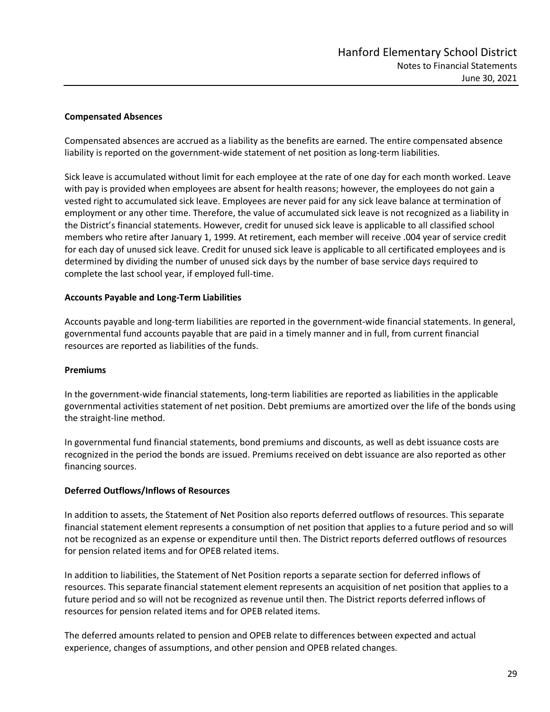### **Compensated Absences**

Compensated absences are accrued as a liability as the benefits are earned. The entire compensated absence liability is reported on the government-wide statement of net position as long-term liabilities.

Sick leave is accumulated without limit for each employee at the rate of one day for each month worked. Leave with pay is provided when employees are absent for health reasons; however, the employees do not gain a vested right to accumulated sick leave. Employees are never paid for any sick leave balance at termination of employment or any other time. Therefore, the value of accumulated sick leave is not recognized as a liability in the District's financial statements. However, credit for unused sick leave is applicable to all classified school members who retire after January 1, 1999. At retirement, each member will receive .004 year of service credit for each day of unused sick leave. Credit for unused sick leave is applicable to all certificated employees and is determined by dividing the number of unused sick days by the number of base service days required to complete the last school year, if employed full-time.

### **Accounts Payable and Long-Term Liabilities**

Accounts payable and long-term liabilities are reported in the government-wide financial statements. In general, governmental fund accounts payable that are paid in a timely manner and in full, from current financial resources are reported as liabilities of the funds.

### **Premiums**

In the government-wide financial statements, long-term liabilities are reported as liabilities in the applicable governmental activities statement of net position. Debt premiums are amortized over the life of the bonds using the straight-line method.

In governmental fund financial statements, bond premiums and discounts, as well as debt issuance costs are recognized in the period the bonds are issued. Premiums received on debt issuance are also reported as other financing sources.

### **Deferred Outflows/Inflows of Resources**

In addition to assets, the Statement of Net Position also reports deferred outflows of resources. This separate financial statement element represents a consumption of net position that applies to a future period and so will not be recognized as an expense or expenditure until then. The District reports deferred outflows of resources for pension related items and for OPEB related items.

In addition to liabilities, the Statement of Net Position reports a separate section for deferred inflows of resources. This separate financial statement element represents an acquisition of net position that applies to a future period and so will not be recognized as revenue until then. The District reports deferred inflows of resources for pension related items and for OPEB related items.

The deferred amounts related to pension and OPEB relate to differences between expected and actual experience, changes of assumptions, and other pension and OPEB related changes.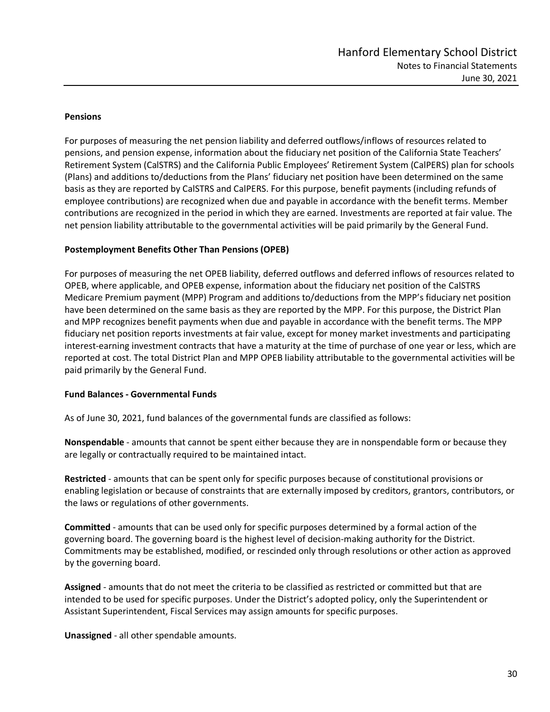### **Pensions**

For purposes of measuring the net pension liability and deferred outflows/inflows of resources related to pensions, and pension expense, information about the fiduciary net position of the California State Teachers' Retirement System (CalSTRS) and the California Public Employees' Retirement System (CalPERS) plan for schools (Plans) and additions to/deductions from the Plans' fiduciary net position have been determined on the same basis as they are reported by CalSTRS and CalPERS. For this purpose, benefit payments (including refunds of employee contributions) are recognized when due and payable in accordance with the benefit terms. Member contributions are recognized in the period in which they are earned. Investments are reported at fair value. The net pension liability attributable to the governmental activities will be paid primarily by the General Fund.

### **Postemployment Benefits Other Than Pensions (OPEB)**

For purposes of measuring the net OPEB liability, deferred outflows and deferred inflows of resources related to OPEB, where applicable, and OPEB expense, information about the fiduciary net position of the CalSTRS Medicare Premium payment (MPP) Program and additions to/deductions from the MPP's fiduciary net position have been determined on the same basis as they are reported by the MPP. For this purpose, the District Plan and MPP recognizes benefit payments when due and payable in accordance with the benefit terms. The MPP fiduciary net position reports investments at fair value, except for money market investments and participating interest-earning investment contracts that have a maturity at the time of purchase of one year or less, which are reported at cost. The total District Plan and MPP OPEB liability attributable to the governmental activities will be paid primarily by the General Fund.

### **Fund Balances - Governmental Funds**

As of June 30, 2021, fund balances of the governmental funds are classified as follows:

**Nonspendable** - amounts that cannot be spent either because they are in nonspendable form or because they are legally or contractually required to be maintained intact.

**Restricted** - amounts that can be spent only for specific purposes because of constitutional provisions or enabling legislation or because of constraints that are externally imposed by creditors, grantors, contributors, or the laws or regulations of other governments.

**Committed** - amounts that can be used only for specific purposes determined by a formal action of the governing board. The governing board is the highest level of decision-making authority for the District. Commitments may be established, modified, or rescinded only through resolutions or other action as approved by the governing board.

**Assigned** - amounts that do not meet the criteria to be classified as restricted or committed but that are intended to be used for specific purposes. Under the District's adopted policy, only the Superintendent or Assistant Superintendent, Fiscal Services may assign amounts for specific purposes.

**Unassigned** - all other spendable amounts.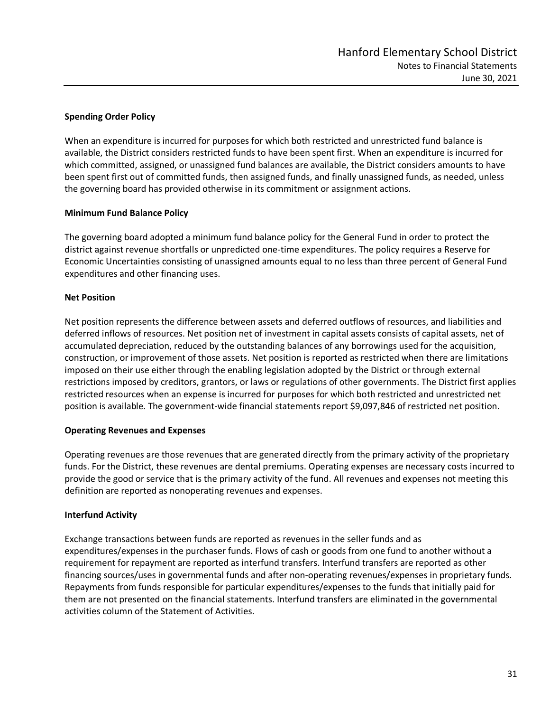### **Spending Order Policy**

When an expenditure is incurred for purposes for which both restricted and unrestricted fund balance is available, the District considers restricted funds to have been spent first. When an expenditure is incurred for which committed, assigned, or unassigned fund balances are available, the District considers amounts to have been spent first out of committed funds, then assigned funds, and finally unassigned funds, as needed, unless the governing board has provided otherwise in its commitment or assignment actions.

### **Minimum Fund Balance Policy**

The governing board adopted a minimum fund balance policy for the General Fund in order to protect the district against revenue shortfalls or unpredicted one-time expenditures. The policy requires a Reserve for Economic Uncertainties consisting of unassigned amounts equal to no less than three percent of General Fund expenditures and other financing uses.

### **Net Position**

Net position represents the difference between assets and deferred outflows of resources, and liabilities and deferred inflows of resources. Net position net of investment in capital assets consists of capital assets, net of accumulated depreciation, reduced by the outstanding balances of any borrowings used for the acquisition, construction, or improvement of those assets. Net position is reported as restricted when there are limitations imposed on their use either through the enabling legislation adopted by the District or through external restrictions imposed by creditors, grantors, or laws or regulations of other governments. The District first applies restricted resources when an expense is incurred for purposes for which both restricted and unrestricted net position is available. The government-wide financial statements report \$9,097,846 of restricted net position.

### **Operating Revenues and Expenses**

Operating revenues are those revenues that are generated directly from the primary activity of the proprietary funds. For the District, these revenues are dental premiums. Operating expenses are necessary costs incurred to provide the good or service that is the primary activity of the fund. All revenues and expenses not meeting this definition are reported as nonoperating revenues and expenses.

### **Interfund Activity**

Exchange transactions between funds are reported as revenues in the seller funds and as expenditures/expenses in the purchaser funds. Flows of cash or goods from one fund to another without a requirement for repayment are reported as interfund transfers. Interfund transfers are reported as other financing sources/uses in governmental funds and after non-operating revenues/expenses in proprietary funds. Repayments from funds responsible for particular expenditures/expenses to the funds that initially paid for them are not presented on the financial statements. Interfund transfers are eliminated in the governmental activities column of the Statement of Activities.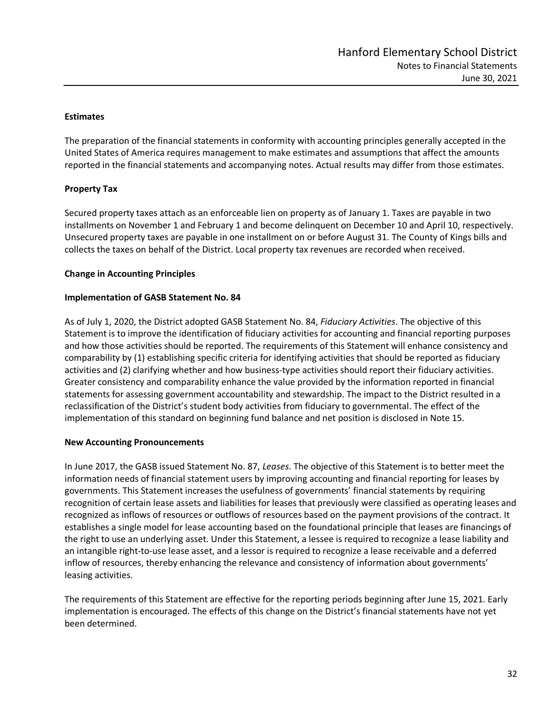### **Estimates**

The preparation of the financial statements in conformity with accounting principles generally accepted in the United States of America requires management to make estimates and assumptions that affect the amounts reported in the financial statements and accompanying notes. Actual results may differ from those estimates.

### **Property Tax**

Secured property taxes attach as an enforceable lien on property as of January 1. Taxes are payable in two installments on November 1 and February 1 and become delinquent on December 10 and April 10, respectively. Unsecured property taxes are payable in one installment on or before August 31. The County of Kings bills and collects the taxes on behalf of the District. Local property tax revenues are recorded when received.

### **Change in Accounting Principles**

### **Implementation of GASB Statement No. 84**

As of July 1, 2020, the District adopted GASB Statement No. 84, *Fiduciary Activities*. The objective of this Statement is to improve the identification of fiduciary activities for accounting and financial reporting purposes and how those activities should be reported. The requirements of this Statement will enhance consistency and comparability by (1) establishing specific criteria for identifying activities that should be reported as fiduciary activities and (2) clarifying whether and how business-type activities should report their fiduciary activities. Greater consistency and comparability enhance the value provided by the information reported in financial statements for assessing government accountability and stewardship. The impact to the District resulted in a reclassification of the District's student body activities from fiduciary to governmental. The effect of the implementation of this standard on beginning fund balance and net position is disclosed in Note 15.

### **New Accounting Pronouncements**

In June 2017, the GASB issued Statement No. 87, *Leases*. The objective of this Statement is to better meet the information needs of financial statement users by improving accounting and financial reporting for leases by governments. This Statement increases the usefulness of governments' financial statements by requiring recognition of certain lease assets and liabilities for leases that previously were classified as operating leases and recognized as inflows of resources or outflows of resources based on the payment provisions of the contract. It establishes a single model for lease accounting based on the foundational principle that leases are financings of the right to use an underlying asset. Under this Statement, a lessee is required to recognize a lease liability and an intangible right-to-use lease asset, and a lessor is required to recognize a lease receivable and a deferred inflow of resources, thereby enhancing the relevance and consistency of information about governments' leasing activities.

The requirements of this Statement are effective for the reporting periods beginning after June 15, 2021. Early implementation is encouraged. The effects of this change on the District's financial statements have not yet been determined.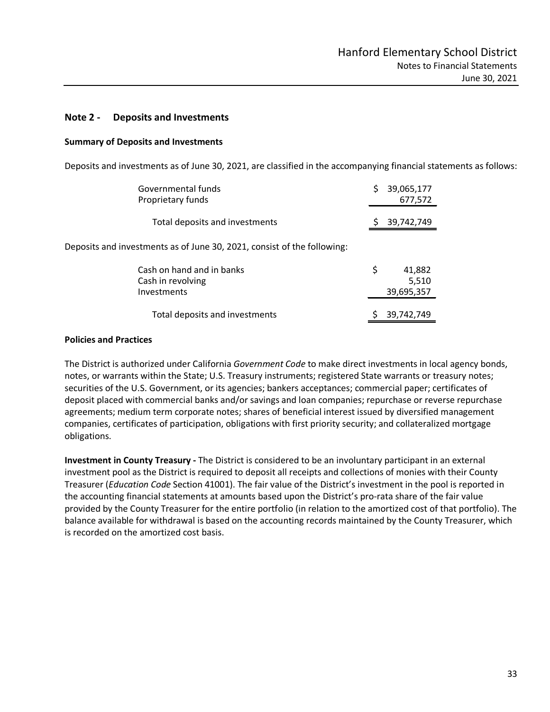### **Note 2 - Deposits and Investments**

### **Summary of Deposits and Investments**

Deposits and investments as of June 30, 2021, are classified in the accompanying financial statements as follows:

| Governmental funds<br>Proprietary funds                                 | 39,065,177<br>677,572 |
|-------------------------------------------------------------------------|-----------------------|
| Total deposits and investments                                          | 39,742,749            |
| Deposits and investments as of June 30, 2021, consist of the following: |                       |
| Cash on hand and in banks                                               | \$<br>41,882          |
| Cash in revolving<br><b>Investments</b>                                 | 5,510<br>39,695,357   |
|                                                                         |                       |
| Total deposits and investments                                          | 39,742,749            |

#### **Policies and Practices**

The District is authorized under California *Government Code* to make direct investments in local agency bonds, notes, or warrants within the State; U.S. Treasury instruments; registered State warrants or treasury notes; securities of the U.S. Government, or its agencies; bankers acceptances; commercial paper; certificates of deposit placed with commercial banks and/or savings and loan companies; repurchase or reverse repurchase agreements; medium term corporate notes; shares of beneficial interest issued by diversified management companies, certificates of participation, obligations with first priority security; and collateralized mortgage obligations.

**Investment in County Treasury -** The District is considered to be an involuntary participant in an external investment pool as the District is required to deposit all receipts and collections of monies with their County Treasurer (*Education Code* Section 41001). The fair value of the District's investment in the pool is reported in the accounting financial statements at amounts based upon the District's pro-rata share of the fair value provided by the County Treasurer for the entire portfolio (in relation to the amortized cost of that portfolio). The balance available for withdrawal is based on the accounting records maintained by the County Treasurer, which is recorded on the amortized cost basis.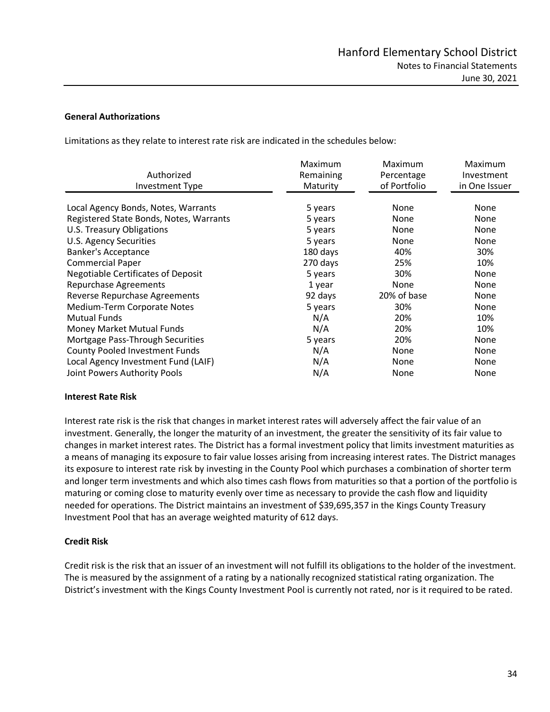# **General Authorizations**

Limitations as they relate to interest rate risk are indicated in the schedules below:

| Authorized<br><b>Investment Type</b>      | Maximum<br>Remaining<br>Maturity | Maximum<br>Percentage<br>of Portfolio | Maximum<br>Investment<br>in One Issuer |
|-------------------------------------------|----------------------------------|---------------------------------------|----------------------------------------|
| Local Agency Bonds, Notes, Warrants       | 5 years                          | None                                  | None                                   |
| Registered State Bonds, Notes, Warrants   | 5 years                          | None                                  | None                                   |
| U.S. Treasury Obligations                 | 5 years                          | None                                  | None                                   |
| U.S. Agency Securities                    | 5 years                          | None                                  | None                                   |
| <b>Banker's Acceptance</b>                | 180 days                         | 40%                                   | 30%                                    |
| <b>Commercial Paper</b>                   | 270 days                         | 25%                                   | 10%                                    |
| <b>Negotiable Certificates of Deposit</b> | 5 years                          | 30%                                   | None                                   |
| <b>Repurchase Agreements</b>              | 1 year                           | None                                  | None                                   |
| Reverse Repurchase Agreements             | 92 days                          | 20% of base                           | None                                   |
| Medium-Term Corporate Notes               | 5 years                          | 30%                                   | None                                   |
| <b>Mutual Funds</b>                       | N/A                              | 20%                                   | 10%                                    |
| Money Market Mutual Funds                 | N/A                              | 20%                                   | 10%                                    |
| Mortgage Pass-Through Securities          | 5 years                          | 20%                                   | None                                   |
| <b>County Pooled Investment Funds</b>     | N/A                              | None                                  | None                                   |
| Local Agency Investment Fund (LAIF)       | N/A                              | None                                  | None                                   |
| Joint Powers Authority Pools              | N/A                              | None                                  | None                                   |

# **Interest Rate Risk**

Interest rate risk is the risk that changes in market interest rates will adversely affect the fair value of an investment. Generally, the longer the maturity of an investment, the greater the sensitivity of its fair value to changes in market interest rates. The District has a formal investment policy that limits investment maturities as a means of managing its exposure to fair value losses arising from increasing interest rates. The District manages its exposure to interest rate risk by investing in the County Pool which purchases a combination of shorter term and longer term investments and which also times cash flows from maturities so that a portion of the portfolio is maturing or coming close to maturity evenly over time as necessary to provide the cash flow and liquidity needed for operations. The District maintains an investment of \$39,695,357 in the Kings County Treasury Investment Pool that has an average weighted maturity of 612 days.

# **Credit Risk**

Credit risk is the risk that an issuer of an investment will not fulfill its obligations to the holder of the investment. The is measured by the assignment of a rating by a nationally recognized statistical rating organization. The District's investment with the Kings County Investment Pool is currently not rated, nor is it required to be rated.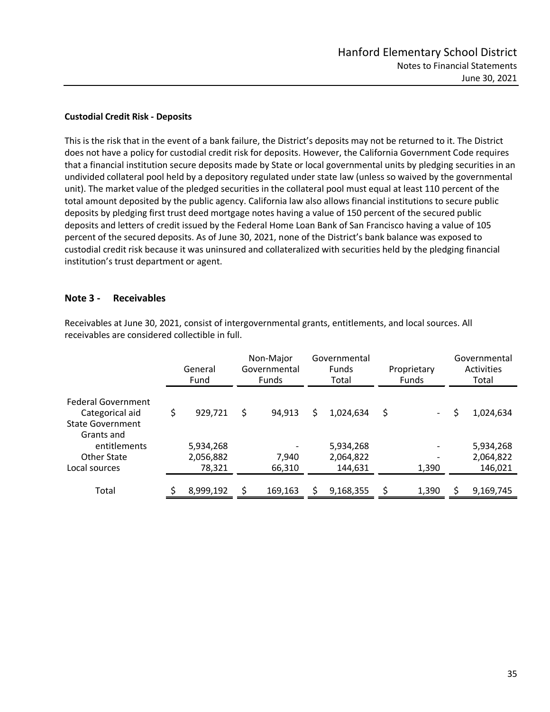# **Custodial Credit Risk - Deposits**

This is the risk that in the event of a bank failure, the District's deposits may not be returned to it. The District does not have a policy for custodial credit risk for deposits. However, the California Government Code requires that a financial institution secure deposits made by State or local governmental units by pledging securities in an undivided collateral pool held by a depository regulated under state law (unless so waived by the governmental unit). The market value of the pledged securities in the collateral pool must equal at least 110 percent of the total amount deposited by the public agency. California law also allows financial institutions to secure public deposits by pledging first trust deed mortgage notes having a value of 150 percent of the secured public deposits and letters of credit issued by the Federal Home Loan Bank of San Francisco having a value of 105 percent of the secured deposits. As of June 30, 2021, none of the District's bank balance was exposed to custodial credit risk because it was uninsured and collateralized with securities held by the pledging financial institution's trust department or agent.

# **Note 3 - Receivables**

|                                                                                       | General<br>Fund | Non-Major<br>Governmental<br><b>Funds</b> | Governmental<br><b>Funds</b><br>Total | Proprietary<br><b>Funds</b> |   | Governmental<br>Activities<br>Total |
|---------------------------------------------------------------------------------------|-----------------|-------------------------------------------|---------------------------------------|-----------------------------|---|-------------------------------------|
| <b>Federal Government</b><br>Categorical aid<br><b>State Government</b><br>Grants and | \$<br>929,721   | \$<br>94,913                              | 1,024,634                             | \$                          | Ś | 1,024,634                           |
| entitlements                                                                          | 5,934,268       |                                           | 5,934,268                             |                             |   | 5,934,268                           |
| Other State                                                                           | 2,056,882       | 7,940                                     | 2,064,822                             |                             |   | 2,064,822                           |
| Local sources                                                                         | 78,321          | 66,310                                    | 144,631                               | 1,390                       |   | 146,021                             |
| Total                                                                                 | 8,999,192       | 169,163                                   | 9,168,355                             | 1,390                       |   | 9,169,745                           |

Receivables at June 30, 2021, consist of intergovernmental grants, entitlements, and local sources. All receivables are considered collectible in full.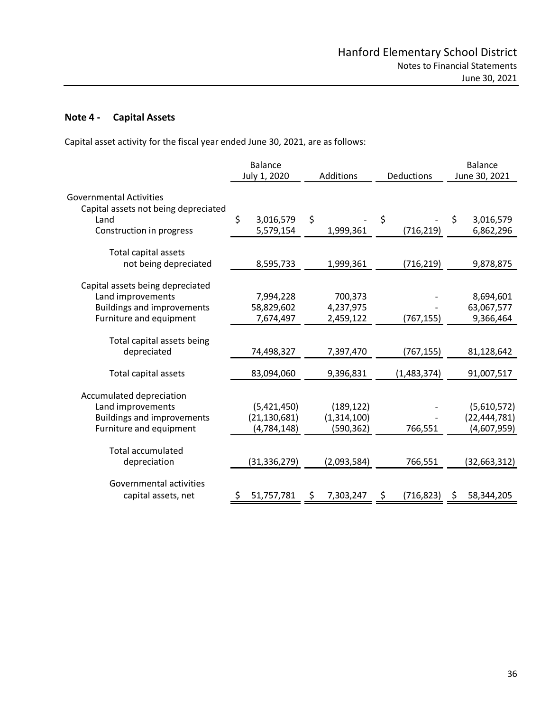# **Note 4 - Capital Assets**

Capital asset activity for the fiscal year ended June 30, 2021, are as follows:

|                                                                        | <b>Balance</b><br>July 1, 2020 | Additions   | Deductions  | <b>Balance</b><br>June 30, 2021 |
|------------------------------------------------------------------------|--------------------------------|-------------|-------------|---------------------------------|
|                                                                        |                                |             |             |                                 |
| <b>Governmental Activities</b><br>Capital assets not being depreciated |                                |             |             |                                 |
| Land                                                                   | \$<br>3,016,579                | \$          | \$          | \$<br>3,016,579                 |
| Construction in progress                                               | 5,579,154                      | 1,999,361   | (716, 219)  | 6,862,296                       |
| Total capital assets                                                   |                                |             |             |                                 |
| not being depreciated                                                  | 8,595,733                      | 1,999,361   | (716, 219)  | 9,878,875                       |
| Capital assets being depreciated                                       |                                |             |             |                                 |
| Land improvements                                                      | 7,994,228                      | 700,373     |             | 8,694,601                       |
| <b>Buildings and improvements</b>                                      | 58,829,602                     | 4,237,975   |             | 63,067,577                      |
| Furniture and equipment                                                | 7,674,497                      | 2,459,122   | (767, 155)  | 9,366,464                       |
| Total capital assets being                                             |                                |             |             |                                 |
| depreciated                                                            | 74,498,327                     | 7,397,470   | (767, 155)  | 81,128,642                      |
| Total capital assets                                                   | 83,094,060                     | 9,396,831   | (1,483,374) | 91,007,517                      |
| Accumulated depreciation                                               |                                |             |             |                                 |
| Land improvements                                                      | (5,421,450)                    | (189, 122)  |             | (5,610,572)                     |
| <b>Buildings and improvements</b>                                      | (21, 130, 681)                 | (1,314,100) |             | (22, 444, 781)                  |
| Furniture and equipment                                                | (4, 784, 148)                  | (590,362)   | 766,551     | (4,607,959)                     |
| <b>Total accumulated</b>                                               |                                |             |             |                                 |
| depreciation                                                           | (31,336,279)                   | (2,093,584) | 766,551     | (32,663,312)                    |
| Governmental activities                                                |                                |             |             |                                 |
| capital assets, net                                                    | 51,757,781                     | 7,303,247   | (716, 823)  | 58,344,205                      |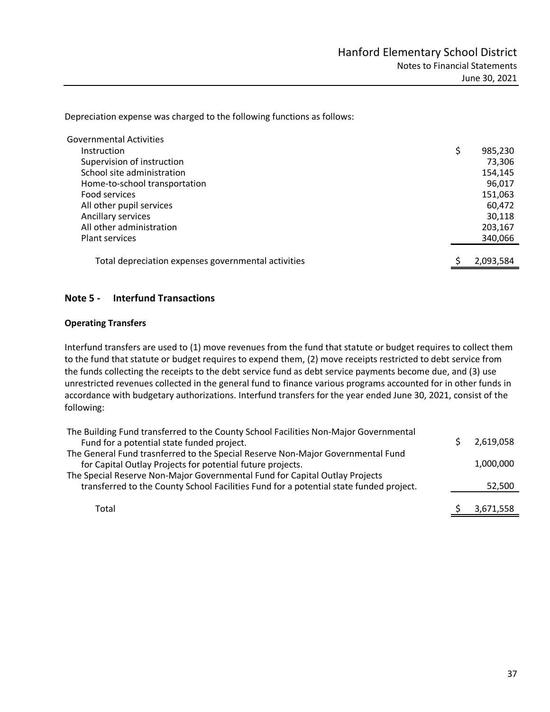Depreciation expense was charged to the following functions as follows:

| <b>Governmental Activities</b>                      |               |
|-----------------------------------------------------|---------------|
| Instruction                                         | \$<br>985,230 |
| Supervision of instruction                          | 73,306        |
| School site administration                          | 154,145       |
| Home-to-school transportation                       | 96,017        |
| Food services                                       | 151,063       |
| All other pupil services                            | 60,472        |
| Ancillary services                                  | 30,118        |
| All other administration                            | 203,167       |
| <b>Plant services</b>                               | 340,066       |
|                                                     |               |
| Total depreciation expenses governmental activities | 2,093,584     |

# **Note 5 - Interfund Transactions**

### **Operating Transfers**

Interfund transfers are used to (1) move revenues from the fund that statute or budget requires to collect them to the fund that statute or budget requires to expend them, (2) move receipts restricted to debt service from the funds collecting the receipts to the debt service fund as debt service payments become due, and (3) use unrestricted revenues collected in the general fund to finance various programs accounted for in other funds in accordance with budgetary authorizations. Interfund transfers for the year ended June 30, 2021, consist of the following:

| The Building Fund transferred to the County School Facilities Non-Major Governmental   |           |
|----------------------------------------------------------------------------------------|-----------|
| Fund for a potential state funded project.                                             | 2,619,058 |
| The General Fund trasnferred to the Special Reserve Non-Major Governmental Fund        |           |
| for Capital Outlay Projects for potential future projects.                             | 1,000,000 |
| The Special Reserve Non-Major Governmental Fund for Capital Outlay Projects            |           |
| transferred to the County School Facilities Fund for a potential state funded project. | 52,500    |
|                                                                                        |           |
| Total                                                                                  | 3,671,558 |
|                                                                                        |           |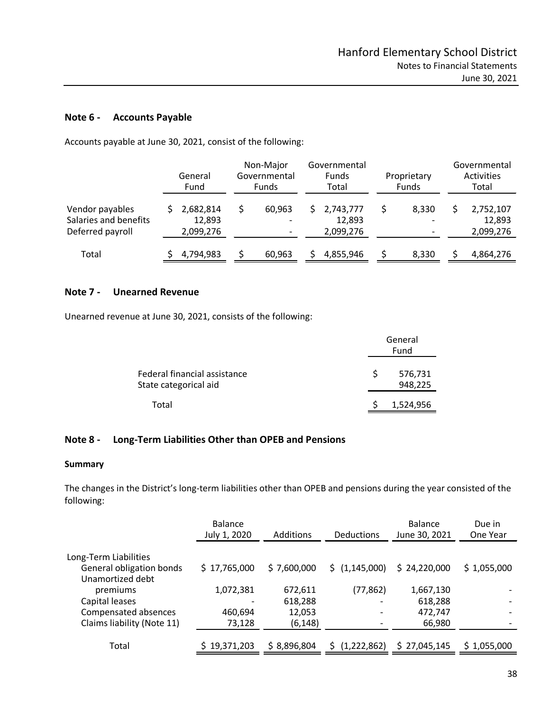# **Note 6 - Accounts Payable**

Accounts payable at June 30, 2021, consist of the following:

|                                                              | General<br>Fund                  | Non-Major<br>Governmental<br><b>Funds</b> | Governmental<br><b>Funds</b><br>Total | Proprietary<br>Funds | Governmental<br>Activities<br>Total |
|--------------------------------------------------------------|----------------------------------|-------------------------------------------|---------------------------------------|----------------------|-------------------------------------|
| Vendor payables<br>Salaries and benefits<br>Deferred payroll | 2,682,814<br>12,893<br>2,099,276 | 60,963                                    | 2,743,777<br>12,893<br>2,099,276      | 8.330                | 2,752,107<br>12,893<br>2,099,276    |
| Total                                                        | 4,794,983                        | 60,963                                    | 4,855,946                             | 8,330                | 4,864,276                           |

# **Note 7 - Unearned Revenue**

Unearned revenue at June 30, 2021, consists of the following:

|                                                       |    | General<br>Fund    |
|-------------------------------------------------------|----|--------------------|
| Federal financial assistance<br>State categorical aid | S. | 576,731<br>948,225 |
| Total                                                 |    | 1,524,956          |

# **Note 8 - Long-Term Liabilities Other than OPEB and Pensions**

#### **Summary**

The changes in the District's long-term liabilities other than OPEB and pensions during the year consisted of the following:

|                            | <b>Balance</b><br>July 1, 2020 | Additions   | <b>Deductions</b> | Balance<br>June 30, 2021 | Due in<br>One Year |
|----------------------------|--------------------------------|-------------|-------------------|--------------------------|--------------------|
| Long-Term Liabilities      |                                |             |                   |                          |                    |
| General obligation bonds   | \$17,765,000                   | \$7,600,000 | \$ (1,145,000)    | \$24,220,000             | \$1,055,000        |
| Unamortized debt           |                                |             |                   |                          |                    |
| premiums                   | 1,072,381                      | 672,611     | (77,862)          | 1,667,130                |                    |
| Capital leases             |                                | 618,288     |                   | 618,288                  |                    |
| Compensated absences       | 460,694                        | 12,053      |                   | 472,747                  |                    |
| Claims liability (Note 11) | 73,128                         | (6, 148)    |                   | 66,980                   |                    |
|                            |                                |             |                   |                          |                    |
| Total                      | 19,371,203                     | \$8,896,804 | (1,222,862)<br>S. | \$27,045,145             | \$1,055,000        |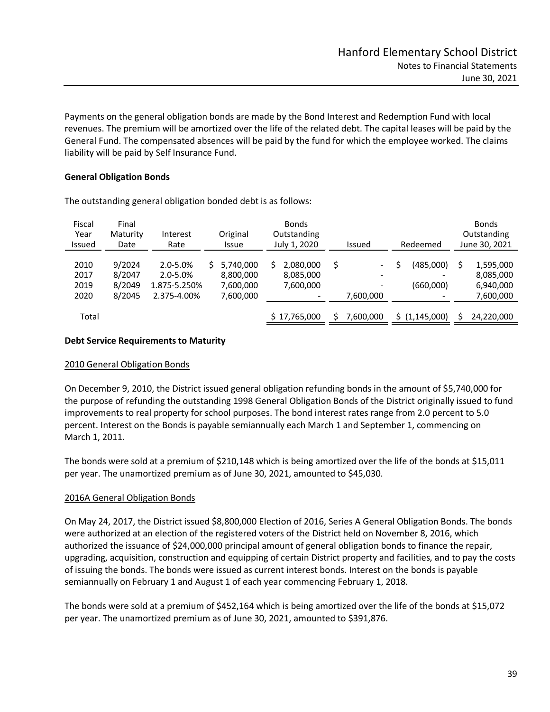Payments on the general obligation bonds are made by the Bond Interest and Redemption Fund with local revenues. The premium will be amortized over the life of the related debt. The capital leases will be paid by the General Fund. The compensated absences will be paid by the fund for which the employee worked. The claims liability will be paid by Self Insurance Fund.

# **General Obligation Bonds**

| Fiscal<br>Year<br>Issued     | Final<br>Maturity<br>Date            | Interest<br>Rate                                            | Original<br><b>Issue</b>                         | <b>Bonds</b><br>Outstanding<br>July 1, 2020 | Issued                                                                 | Redeemed                                           | <b>Bonds</b><br>Outstanding<br>June 30, 2021     |
|------------------------------|--------------------------------------|-------------------------------------------------------------|--------------------------------------------------|---------------------------------------------|------------------------------------------------------------------------|----------------------------------------------------|--------------------------------------------------|
| 2010<br>2017<br>2019<br>2020 | 9/2024<br>8/2047<br>8/2049<br>8/2045 | $2.0 - 5.0%$<br>$2.0 - 5.0%$<br>1.875-5.250%<br>2.375-4.00% | 5.740.000<br>8,800,000<br>7,600,000<br>7,600,000 | 2.080.000<br>S<br>8,085,000<br>7,600,000    | Ś<br>$\overline{\phantom{0}}$<br>$\overline{\phantom{a}}$<br>7,600,000 | (485,000)<br>$\overline{\phantom{a}}$<br>(660,000) | 1,595,000<br>8,085,000<br>6,940,000<br>7,600,000 |
| Total                        |                                      |                                                             |                                                  | \$17,765,000                                | 7,600,000                                                              | \$(1.145.000)                                      | 24,220,000                                       |

The outstanding general obligation bonded debt is as follows:

# **Debt Service Requirements to Maturity**

# 2010 General Obligation Bonds

On December 9, 2010, the District issued general obligation refunding bonds in the amount of \$5,740,000 for the purpose of refunding the outstanding 1998 General Obligation Bonds of the District originally issued to fund improvements to real property for school purposes. The bond interest rates range from 2.0 percent to 5.0 percent. Interest on the Bonds is payable semiannually each March 1 and September 1, commencing on March 1, 2011.

The bonds were sold at a premium of \$210,148 which is being amortized over the life of the bonds at \$15,011 per year. The unamortized premium as of June 30, 2021, amounted to \$45,030.

# 2016A General Obligation Bonds

On May 24, 2017, the District issued \$8,800,000 Election of 2016, Series A General Obligation Bonds. The bonds were authorized at an election of the registered voters of the District held on November 8, 2016, which authorized the issuance of \$24,000,000 principal amount of general obligation bonds to finance the repair, upgrading, acquisition, construction and equipping of certain District property and facilities, and to pay the costs of issuing the bonds. The bonds were issued as current interest bonds. Interest on the bonds is payable semiannually on February 1 and August 1 of each year commencing February 1, 2018.

The bonds were sold at a premium of \$452,164 which is being amortized over the life of the bonds at \$15,072 per year. The unamortized premium as of June 30, 2021, amounted to \$391,876.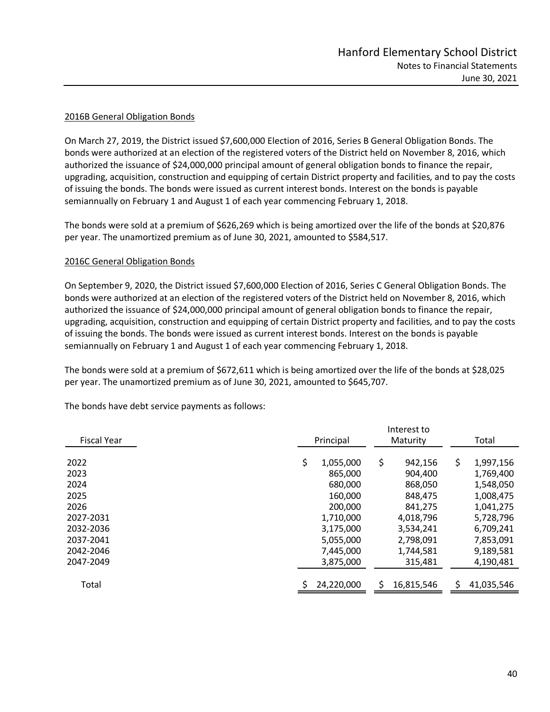# 2016B General Obligation Bonds

On March 27, 2019, the District issued \$7,600,000 Election of 2016, Series B General Obligation Bonds. The bonds were authorized at an election of the registered voters of the District held on November 8, 2016, which authorized the issuance of \$24,000,000 principal amount of general obligation bonds to finance the repair, upgrading, acquisition, construction and equipping of certain District property and facilities, and to pay the costs of issuing the bonds. The bonds were issued as current interest bonds. Interest on the bonds is payable semiannually on February 1 and August 1 of each year commencing February 1, 2018.

The bonds were sold at a premium of \$626,269 which is being amortized over the life of the bonds at \$20,876 per year. The unamortized premium as of June 30, 2021, amounted to \$584,517.

# 2016C General Obligation Bonds

On September 9, 2020, the District issued \$7,600,000 Election of 2016, Series C General Obligation Bonds. The bonds were authorized at an election of the registered voters of the District held on November 8, 2016, which authorized the issuance of \$24,000,000 principal amount of general obligation bonds to finance the repair, upgrading, acquisition, construction and equipping of certain District property and facilities, and to pay the costs of issuing the bonds. The bonds were issued as current interest bonds. Interest on the bonds is payable semiannually on February 1 and August 1 of each year commencing February 1, 2018.

The bonds were sold at a premium of \$672,611 which is being amortized over the life of the bonds at \$28,025 per year. The unamortized premium as of June 30, 2021, amounted to \$645,707.

Interest to Fiscal Year **Principal** Maturity **Principal** Maturity **Principal** Maturity **Principal** \$ 1,055,000 \$ 942,156 \$ 1,997,156 865,000 904,400 1,769,400 680,000 868,050 1,548,050 160,000 848,475 1,008,475 200,000 841,275 1,041,275 2027-2031 1,710,000 4,018,796 5,728,796 2032-2036 3,175,000 3,534,241 6,709,241 2037-2041 5,055,000 2,798,091 7,853,091 2042-2046 7,445,000 1,744,581 9,189,581 2047-2049 3,875,000 315,481 4,190,481 Total \$ 24,220,000 \$ 16,815,546 \$ 41,035,546 2026 2025 2022 2023 2024

The bonds have debt service payments as follows: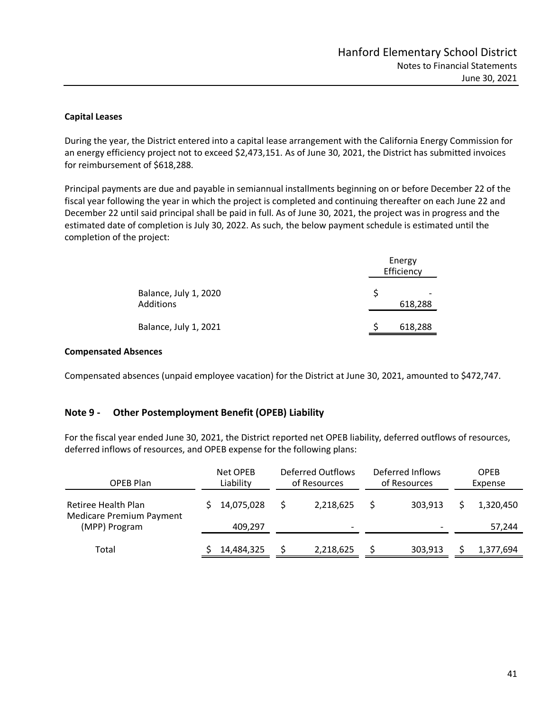# **Capital Leases**

During the year, the District entered into a capital lease arrangement with the California Energy Commission for an energy efficiency project not to exceed \$2,473,151. As of June 30, 2021, the District has submitted invoices for reimbursement of \$618,288.

Principal payments are due and payable in semiannual installments beginning on or before December 22 of the fiscal year following the year in which the project is completed and continuing thereafter on each June 22 and December 22 until said principal shall be paid in full. As of June 30, 2021, the project was in progress and the estimated date of completion is July 30, 2022. As such, the below payment schedule is estimated until the completion of the project:

|                                    | Energy<br>Efficiency |
|------------------------------------|----------------------|
| Balance, July 1, 2020<br>Additions | 618,288              |
| Balance, July 1, 2021              | 618,288              |

### **Compensated Absences**

Compensated absences (unpaid employee vacation) for the District at June 30, 2021, amounted to \$472,747.

# **Note 9 - Other Postemployment Benefit (OPEB) Liability**

For the fiscal year ended June 30, 2021, the District reported net OPEB liability, deferred outflows of resources, deferred inflows of resources, and OPEB expense for the following plans:

| OPEB Plan                                        | Net OPEB<br>Liability |  | Deferred Outflows<br>of Resources | Deferred Inflows<br>of Resources |                          | <b>OPEB</b><br>Expense |           |
|--------------------------------------------------|-----------------------|--|-----------------------------------|----------------------------------|--------------------------|------------------------|-----------|
| Retiree Health Plan                              | 14,075,028            |  | 2,218,625                         |                                  | 303.913                  |                        | 1,320,450 |
| <b>Medicare Premium Payment</b><br>(MPP) Program | 409.297               |  | -                                 |                                  | $\overline{\phantom{0}}$ |                        | 57,244    |
| Total                                            | 14,484,325            |  | 2,218,625                         | S                                | 303,913                  |                        | 1,377,694 |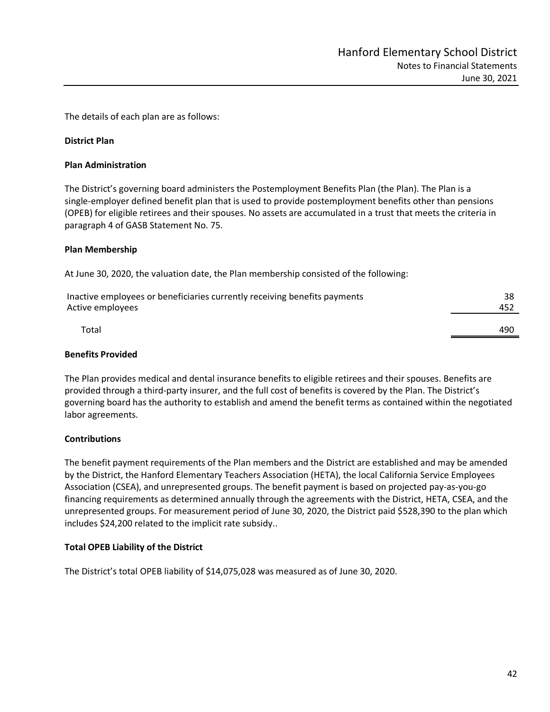The details of each plan are as follows:

### **District Plan**

### **Plan Administration**

The District's governing board administers the Postemployment Benefits Plan (the Plan). The Plan is a single-employer defined benefit plan that is used to provide postemployment benefits other than pensions (OPEB) for eligible retirees and their spouses. No assets are accumulated in a trust that meets the criteria in paragraph 4 of GASB Statement No. 75.

### **Plan Membership**

At June 30, 2020, the valuation date, the Plan membership consisted of the following:

| Inactive employees or beneficiaries currently receiving benefits payments | 38  |
|---------------------------------------------------------------------------|-----|
| Active employees                                                          | 452 |
| Total                                                                     | 490 |

#### **Benefits Provided**

The Plan provides medical and dental insurance benefits to eligible retirees and their spouses. Benefits are provided through a third-party insurer, and the full cost of benefits is covered by the Plan. The District's governing board has the authority to establish and amend the benefit terms as contained within the negotiated labor agreements.

# **Contributions**

The benefit payment requirements of the Plan members and the District are established and may be amended by the District, the Hanford Elementary Teachers Association (HETA), the local California Service Employees Association (CSEA), and unrepresented groups. The benefit payment is based on projected pay-as-you-go financing requirements as determined annually through the agreements with the District, HETA, CSEA, and the unrepresented groups. For measurement period of June 30, 2020, the District paid \$528,390 to the plan which includes \$24,200 related to the implicit rate subsidy..

# **Total OPEB Liability of the District**

The District's total OPEB liability of \$14,075,028 was measured as of June 30, 2020.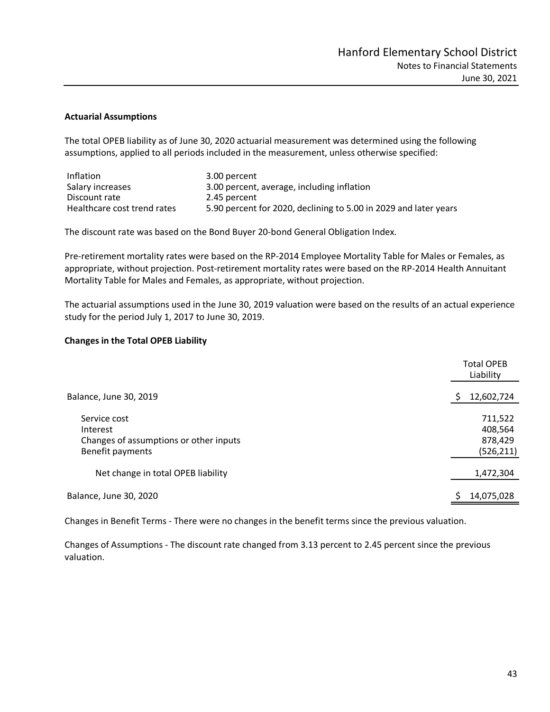### **Actuarial Assumptions**

The total OPEB liability as of June 30, 2020 actuarial measurement was determined using the following assumptions, applied to all periods included in the measurement, unless otherwise specified:

| Inflation                   | 3.00 percent                                                     |
|-----------------------------|------------------------------------------------------------------|
| Salary increases            | 3.00 percent, average, including inflation                       |
| Discount rate               | 2.45 percent                                                     |
| Healthcare cost trend rates | 5.90 percent for 2020, declining to 5.00 in 2029 and later years |

The discount rate was based on the Bond Buyer 20-bond General Obligation Index.

Pre-retirement mortality rates were based on the RP-2014 Employee Mortality Table for Males or Females, as appropriate, without projection. Post-retirement mortality rates were based on the RP-2014 Health Annuitant Mortality Table for Males and Females, as appropriate, without projection.

The actuarial assumptions used in the June 30, 2019 valuation were based on the results of an actual experience study for the period July 1, 2017 to June 30, 2019.

### **Changes in the Total OPEB Liability**

|                                                                                        | <b>Total OPEB</b><br>Liability              |
|----------------------------------------------------------------------------------------|---------------------------------------------|
| Balance, June 30, 2019                                                                 | Ś<br>12,602,724                             |
| Service cost<br>Interest<br>Changes of assumptions or other inputs<br>Benefit payments | 711,522<br>408,564<br>878,429<br>(526, 211) |
| Net change in total OPEB liability                                                     | 1,472,304                                   |
| Balance, June 30, 2020                                                                 | 14,075,028                                  |

Changes in Benefit Terms - There were no changes in the benefit terms since the previous valuation.

Changes of Assumptions - The discount rate changed from 3.13 percent to 2.45 percent since the previous valuation.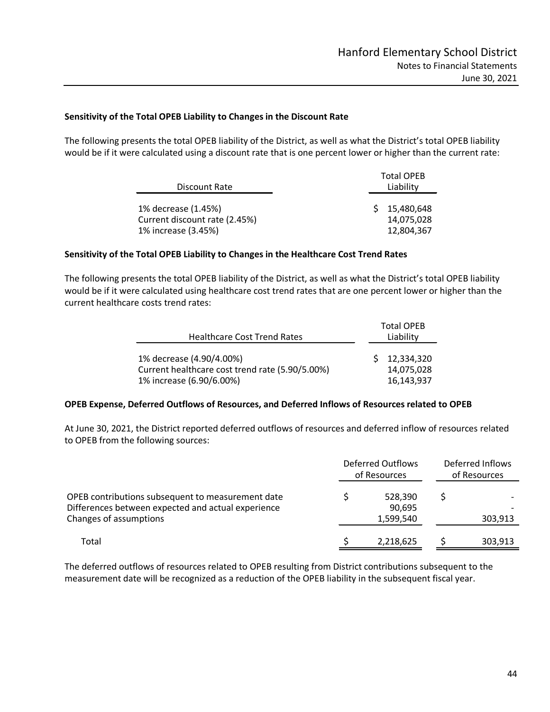# **Sensitivity of the Total OPEB Liability to Changes in the Discount Rate**

The following presents the total OPEB liability of the District, as well as what the District's total OPEB liability would be if it were calculated using a discount rate that is one percent lower or higher than the current rate:

| Discount Rate                                                               |  | <b>Total OPEB</b><br>Liability |                                          |  |
|-----------------------------------------------------------------------------|--|--------------------------------|------------------------------------------|--|
| 1% decrease (1.45%)<br>Current discount rate (2.45%)<br>1% increase (3.45%) |  |                                | \$15,480,648<br>14.075.028<br>12,804,367 |  |

# **Sensitivity of the Total OPEB Liability to Changes in the Healthcare Cost Trend Rates**

The following presents the total OPEB liability of the District, as well as what the District's total OPEB liability would be if it were calculated using healthcare cost trend rates that are one percent lower or higher than the current healthcare costs trend rates:

| <b>Healthcare Cost Trend Rates</b>                                                                      | <b>Total OPEB</b><br>Liability |                                          |  |
|---------------------------------------------------------------------------------------------------------|--------------------------------|------------------------------------------|--|
| 1% decrease (4.90/4.00%)<br>Current healthcare cost trend rate (5.90/5.00%)<br>1% increase (6.90/6.00%) |                                | \$12,334,320<br>14,075,028<br>16,143,937 |  |

# **OPEB Expense, Deferred Outflows of Resources, and Deferred Inflows of Resources related to OPEB**

At June 30, 2021, the District reported deferred outflows of resources and deferred inflow of resources related to OPEB from the following sources:

|                                                                                                                                   | Deferred Outflows<br>of Resources | Deferred Inflows<br>of Resources |         |
|-----------------------------------------------------------------------------------------------------------------------------------|-----------------------------------|----------------------------------|---------|
| OPEB contributions subsequent to measurement date<br>Differences between expected and actual experience<br>Changes of assumptions | 528,390<br>90,695<br>1,599,540    |                                  | 303,913 |
| Total                                                                                                                             | 2,218,625                         |                                  | 303,913 |

The deferred outflows of resources related to OPEB resulting from District contributions subsequent to the measurement date will be recognized as a reduction of the OPEB liability in the subsequent fiscal year.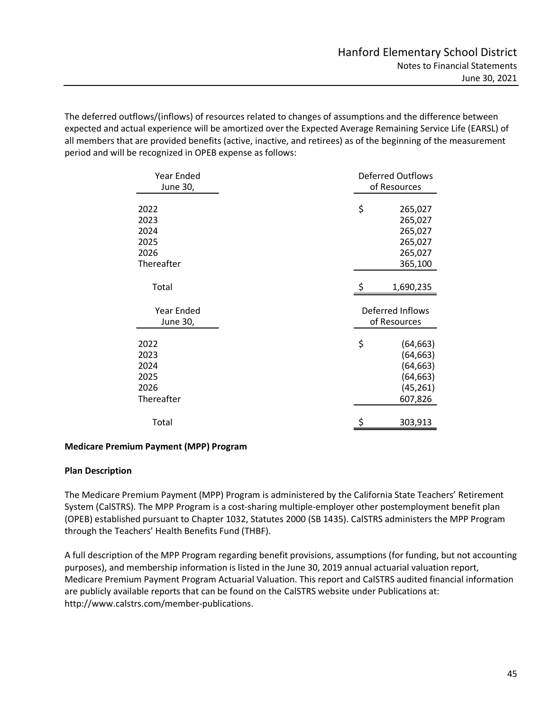The deferred outflows/(inflows) of resources related to changes of assumptions and the difference between expected and actual experience will be amortized over the Expected Average Remaining Service Life (EARSL) of all members that are provided benefits (active, inactive, and retirees) as of the beginning of the measurement period and will be recognized in OPEB expense as follows:

| Year Ended<br>June 30,                             | <b>Deferred Outflows</b><br>of Resources |                                                                          |  |
|----------------------------------------------------|------------------------------------------|--------------------------------------------------------------------------|--|
| 2022<br>2023<br>2024<br>2025<br>2026<br>Thereafter | \$                                       | 265,027<br>265,027<br>265,027<br>265,027<br>265,027<br>365,100           |  |
| Total                                              | ς<br>1,690,235                           |                                                                          |  |
| Year Ended<br>June 30,                             | Deferred Inflows<br>of Resources         |                                                                          |  |
| 2022<br>2023<br>2024<br>2025<br>2026<br>Thereafter | \$                                       | (64, 663)<br>(64, 663)<br>(64, 663)<br>(64, 663)<br>(45, 261)<br>607,826 |  |
| Total                                              |                                          | 303,913                                                                  |  |

# **Medicare Premium Payment (MPP) Program**

#### **Plan Description**

The Medicare Premium Payment (MPP) Program is administered by the California State Teachers' Retirement System (CalSTRS). The MPP Program is a cost-sharing multiple-employer other postemployment benefit plan (OPEB) established pursuant to Chapter 1032, Statutes 2000 (SB 1435). CalSTRS administers the MPP Program through the Teachers' Health Benefits Fund (THBF).

A full description of the MPP Program regarding benefit provisions, assumptions (for funding, but not accounting purposes), and membership information is listed in the June 30, 2019 annual actuarial valuation report, Medicare Premium Payment Program Actuarial Valuation. This report and CalSTRS audited financial information are publicly available reports that can be found on the CalSTRS website under Publications at: http://www.calstrs.com/member-publications.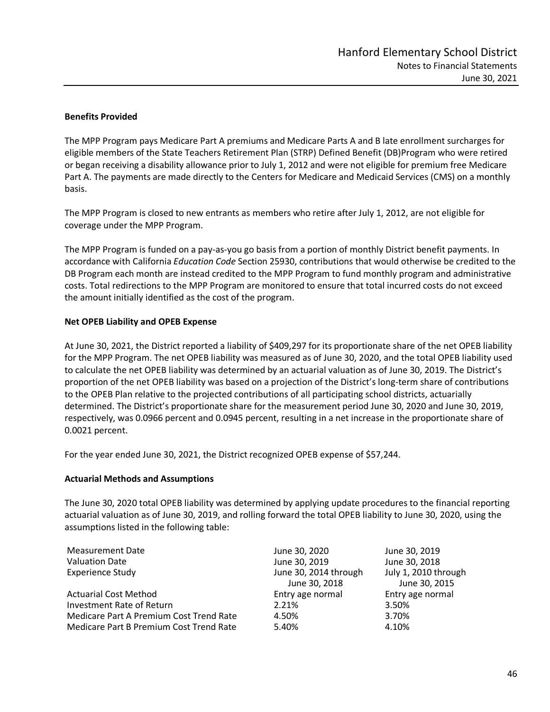# **Benefits Provided**

The MPP Program pays Medicare Part A premiums and Medicare Parts A and B late enrollment surcharges for eligible members of the State Teachers Retirement Plan (STRP) Defined Benefit (DB)Program who were retired or began receiving a disability allowance prior to July 1, 2012 and were not eligible for premium free Medicare Part A. The payments are made directly to the Centers for Medicare and Medicaid Services (CMS) on a monthly basis.

The MPP Program is closed to new entrants as members who retire after July 1, 2012, are not eligible for coverage under the MPP Program.

The MPP Program is funded on a pay-as-you go basis from a portion of monthly District benefit payments. In accordance with California *Education Code* Section 25930, contributions that would otherwise be credited to the DB Program each month are instead credited to the MPP Program to fund monthly program and administrative costs. Total redirections to the MPP Program are monitored to ensure that total incurred costs do not exceed the amount initially identified as the cost of the program.

# **Net OPEB Liability and OPEB Expense**

At June 30, 2021, the District reported a liability of \$409,297 for its proportionate share of the net OPEB liability for the MPP Program. The net OPEB liability was measured as of June 30, 2020, and the total OPEB liability used to calculate the net OPEB liability was determined by an actuarial valuation as of June 30, 2019. The District's proportion of the net OPEB liability was based on a projection of the District's long-term share of contributions to the OPEB Plan relative to the projected contributions of all participating school districts, actuarially determined. The District's proportionate share for the measurement period June 30, 2020 and June 30, 2019, respectively, was 0.0966 percent and 0.0945 percent, resulting in a net increase in the proportionate share of 0.0021 percent.

For the year ended June 30, 2021, the District recognized OPEB expense of \$57,244.

# **Actuarial Methods and Assumptions**

The June 30, 2020 total OPEB liability was determined by applying update procedures to the financial reporting actuarial valuation as of June 30, 2019, and rolling forward the total OPEB liability to June 30, 2020, using the assumptions listed in the following table:

| <b>Measurement Date</b><br><b>Valuation Date</b><br><b>Experience Study</b> | June 30, 2020<br>June 30, 2019<br>June 30, 2014 through<br>June 30, 2018 | June 30, 2019<br>June 30, 2018<br>July 1, 2010 through<br>June 30, 2015 |
|-----------------------------------------------------------------------------|--------------------------------------------------------------------------|-------------------------------------------------------------------------|
| <b>Actuarial Cost Method</b>                                                | Entry age normal                                                         | Entry age normal                                                        |
| Investment Rate of Return                                                   | 2.21%                                                                    | 3.50%                                                                   |
| Medicare Part A Premium Cost Trend Rate                                     | 4.50%                                                                    | 3.70%                                                                   |
| Medicare Part B Premium Cost Trend Rate                                     | 5.40%                                                                    | 4.10%                                                                   |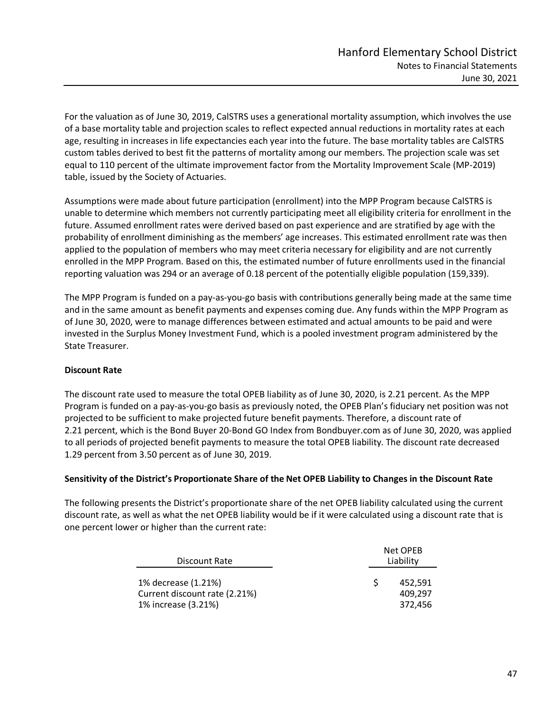For the valuation as of June 30, 2019, CalSTRS uses a generational mortality assumption, which involves the use of a base mortality table and projection scales to reflect expected annual reductions in mortality rates at each age, resulting in increases in life expectancies each year into the future. The base mortality tables are CalSTRS custom tables derived to best fit the patterns of mortality among our members. The projection scale was set equal to 110 percent of the ultimate improvement factor from the Mortality Improvement Scale (MP-2019) table, issued by the Society of Actuaries.

Assumptions were made about future participation (enrollment) into the MPP Program because CalSTRS is unable to determine which members not currently participating meet all eligibility criteria for enrollment in the future. Assumed enrollment rates were derived based on past experience and are stratified by age with the probability of enrollment diminishing as the members' age increases. This estimated enrollment rate was then applied to the population of members who may meet criteria necessary for eligibility and are not currently enrolled in the MPP Program. Based on this, the estimated number of future enrollments used in the financial reporting valuation was 294 or an average of 0.18 percent of the potentially eligible population (159,339).

The MPP Program is funded on a pay-as-you-go basis with contributions generally being made at the same time and in the same amount as benefit payments and expenses coming due. Any funds within the MPP Program as of June 30, 2020, were to manage differences between estimated and actual amounts to be paid and were invested in the Surplus Money Investment Fund, which is a pooled investment program administered by the State Treasurer.

# **Discount Rate**

The discount rate used to measure the total OPEB liability as of June 30, 2020, is 2.21 percent. As the MPP Program is funded on a pay-as-you-go basis as previously noted, the OPEB Plan's fiduciary net position was not projected to be sufficient to make projected future benefit payments. Therefore, a discount rate of 2.21 percent, which is the Bond Buyer 20-Bond GO Index from Bondbuyer.com as of June 30, 2020, was applied to all periods of projected benefit payments to measure the total OPEB liability. The discount rate decreased 1.29 percent from 3.50 percent as of June 30, 2019.

# **Sensitivity of the District's Proportionate Share of the Net OPEB Liability to Changes in the Discount Rate**

The following presents the District's proportionate share of the net OPEB liability calculated using the current discount rate, as well as what the net OPEB liability would be if it were calculated using a discount rate that is one percent lower or higher than the current rate:

|                               | Net OPEB  |
|-------------------------------|-----------|
| Discount Rate                 | Liability |
|                               |           |
| 1% decrease (1.21%)           | 452.591   |
| Current discount rate (2.21%) | 409.297   |
| 1% increase (3.21%)           | 372,456   |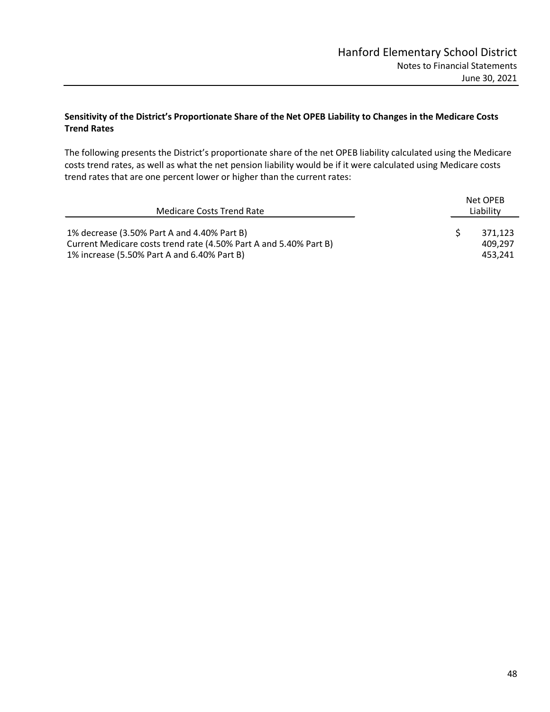# **Sensitivity of the District's Proportionate Share of the Net OPEB Liability to Changes in the Medicare Costs Trend Rates**

The following presents the District's proportionate share of the net OPEB liability calculated using the Medicare costs trend rates, as well as what the net pension liability would be if it were calculated using Medicare costs trend rates that are one percent lower or higher than the current rates:

| <b>Medicare Costs Trend Rate</b>                                                                                                                                | Net OPEB<br>Liability |                               |
|-----------------------------------------------------------------------------------------------------------------------------------------------------------------|-----------------------|-------------------------------|
| 1% decrease (3.50% Part A and 4.40% Part B)<br>Current Medicare costs trend rate (4.50% Part A and 5.40% Part B)<br>1% increase (5.50% Part A and 6.40% Part B) |                       | 371.123<br>409.297<br>453.241 |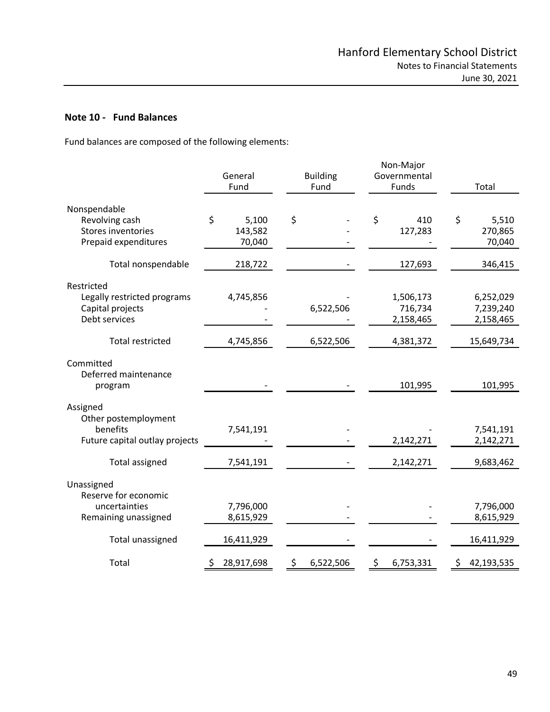# **Note 10 - Fund Balances**

Fund balances are composed of the following elements:

|                                              | General<br>Fund   | <b>Building</b><br>Fund | Non-Major<br>Governmental<br>Funds | Total            |  |
|----------------------------------------------|-------------------|-------------------------|------------------------------------|------------------|--|
| Nonspendable                                 |                   |                         |                                    |                  |  |
| Revolving cash                               | \$<br>5,100       | \$                      | \$<br>410                          | \$<br>5,510      |  |
| Stores inventories                           | 143,582           |                         | 127,283                            | 270,865          |  |
| Prepaid expenditures                         | 70,040            |                         |                                    | 70,040           |  |
| Total nonspendable                           | 218,722           |                         | 127,693                            | 346,415          |  |
| Restricted                                   |                   |                         |                                    |                  |  |
| Legally restricted programs                  | 4,745,856         |                         | 1,506,173                          | 6,252,029        |  |
| Capital projects                             |                   | 6,522,506               | 716,734                            | 7,239,240        |  |
| Debt services                                |                   |                         | 2,158,465                          | 2,158,465        |  |
| <b>Total restricted</b>                      | 4,745,856         | 6,522,506               | 4,381,372                          | 15,649,734       |  |
| Committed<br>Deferred maintenance<br>program |                   |                         | 101,995                            | 101,995          |  |
|                                              |                   |                         |                                    |                  |  |
| Assigned<br>Other postemployment             |                   |                         |                                    |                  |  |
| benefits                                     | 7,541,191         |                         |                                    | 7,541,191        |  |
| Future capital outlay projects               |                   |                         | 2,142,271                          | 2,142,271        |  |
|                                              |                   |                         |                                    |                  |  |
| <b>Total assigned</b>                        | 7,541,191         |                         | 2,142,271                          | 9,683,462        |  |
| Unassigned                                   |                   |                         |                                    |                  |  |
| Reserve for economic                         |                   |                         |                                    |                  |  |
| uncertainties                                | 7,796,000         |                         |                                    | 7,796,000        |  |
| Remaining unassigned                         | 8,615,929         |                         |                                    | 8,615,929        |  |
| Total unassigned                             | 16,411,929        |                         |                                    | 16,411,929       |  |
| Total                                        | 28,917,698<br>-\$ | 6,522,506<br>\$         | 6,753,331<br>\$                    | 42,193,535<br>\$ |  |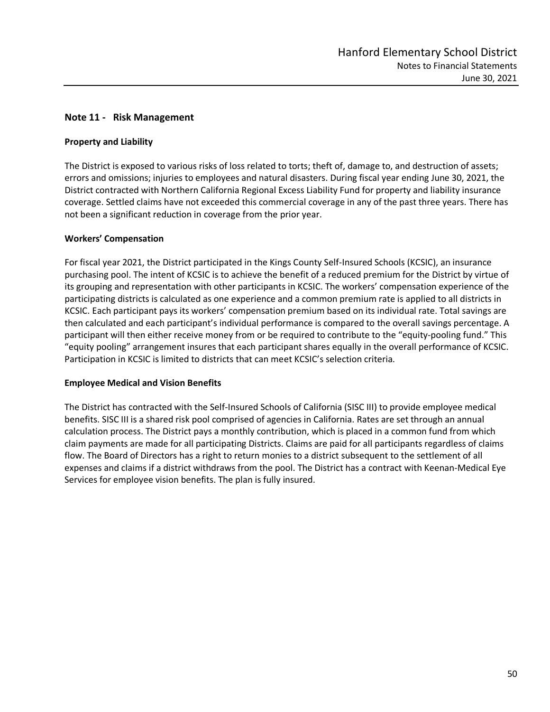# **Note 11 - Risk Management**

# **Property and Liability**

The District is exposed to various risks of loss related to torts; theft of, damage to, and destruction of assets; errors and omissions; injuries to employees and natural disasters. During fiscal year ending June 30, 2021, the District contracted with Northern California Regional Excess Liability Fund for property and liability insurance coverage. Settled claims have not exceeded this commercial coverage in any of the past three years. There has not been a significant reduction in coverage from the prior year.

### **Workers' Compensation**

For fiscal year 2021, the District participated in the Kings County Self-Insured Schools (KCSIC), an insurance purchasing pool. The intent of KCSIC is to achieve the benefit of a reduced premium for the District by virtue of its grouping and representation with other participants in KCSIC. The workers' compensation experience of the participating districts is calculated as one experience and a common premium rate is applied to all districts in KCSIC. Each participant pays its workers' compensation premium based on its individual rate. Total savings are then calculated and each participant's individual performance is compared to the overall savings percentage. A participant will then either receive money from or be required to contribute to the "equity-pooling fund." This "equity pooling" arrangement insures that each participant shares equally in the overall performance of KCSIC. Participation in KCSIC is limited to districts that can meet KCSIC's selection criteria.

# **Employee Medical and Vision Benefits**

The District has contracted with the Self-Insured Schools of California (SISC III) to provide employee medical benefits. SISC III is a shared risk pool comprised of agencies in California. Rates are set through an annual calculation process. The District pays a monthly contribution, which is placed in a common fund from which claim payments are made for all participating Districts. Claims are paid for all participants regardless of claims flow. The Board of Directors has a right to return monies to a district subsequent to the settlement of all expenses and claims if a district withdraws from the pool. The District has a contract with Keenan-Medical Eye Services for employee vision benefits. The plan is fully insured.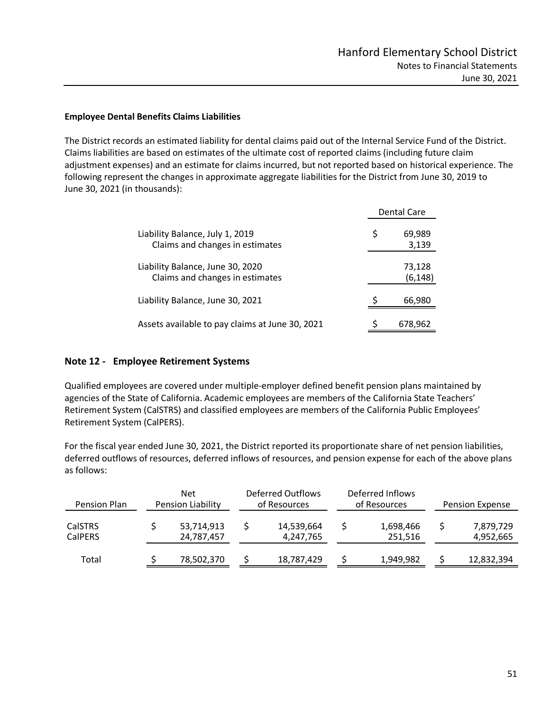# **Employee Dental Benefits Claims Liabilities**

The District records an estimated liability for dental claims paid out of the Internal Service Fund of the District. Claims liabilities are based on estimates of the ultimate cost of reported claims (including future claim adjustment expenses) and an estimate for claims incurred, but not reported based on historical experience. The following represent the changes in approximate aggregate liabilities for the District from June 30, 2019 to June 30, 2021 (in thousands):

|                                                                     |   | <b>Dental Care</b> |
|---------------------------------------------------------------------|---|--------------------|
| Liability Balance, July 1, 2019<br>Claims and changes in estimates  | S | 69,989<br>3,139    |
| Liability Balance, June 30, 2020<br>Claims and changes in estimates |   | 73,128<br>(6, 148) |
| Liability Balance, June 30, 2021                                    |   | 66,980             |
| Assets available to pay claims at June 30, 2021                     |   | 678,962            |

# **Note 12 - Employee Retirement Systems**

Qualified employees are covered under multiple-employer defined benefit pension plans maintained by agencies of the State of California. Academic employees are members of the California State Teachers' Retirement System (CalSTRS) and classified employees are members of the California Public Employees' Retirement System (CalPERS).

For the fiscal year ended June 30, 2021, the District reported its proportionate share of net pension liabilities, deferred outflows of resources, deferred inflows of resources, and pension expense for each of the above plans as follows:

| <b>Pension Plan</b>       | Net<br>Pension Liability |  | Deferred Outflows<br>of Resources |  | Deferred Inflows<br>of Resources | <b>Pension Expense</b> |
|---------------------------|--------------------------|--|-----------------------------------|--|----------------------------------|------------------------|
| <b>CalSTRS</b><br>CalPERS | 53,714,913<br>24,787,457 |  | 14,539,664<br>4,247,765           |  | 1,698,466<br>251,516             | 7,879,729<br>4,952,665 |
| Total                     | 78,502,370               |  | 18,787,429                        |  | 1,949,982                        | 12,832,394             |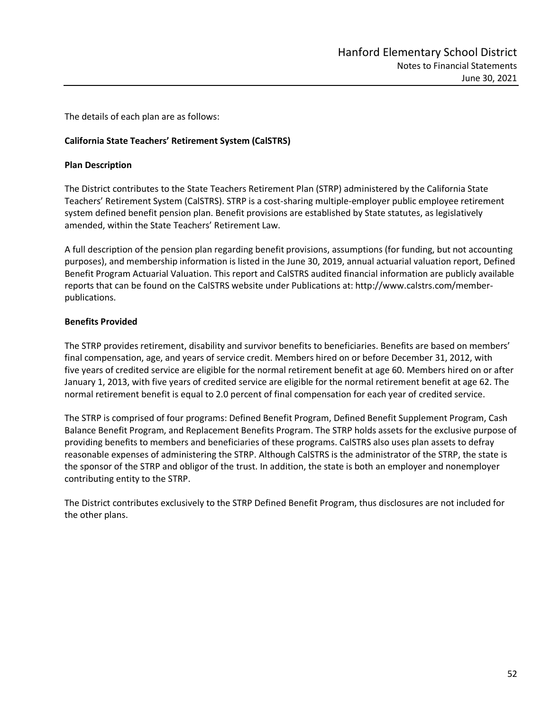The details of each plan are as follows:

### **California State Teachers' Retirement System (CalSTRS)**

#### **Plan Description**

The District contributes to the State Teachers Retirement Plan (STRP) administered by the California State Teachers' Retirement System (CalSTRS). STRP is a cost-sharing multiple-employer public employee retirement system defined benefit pension plan. Benefit provisions are established by State statutes, as legislatively amended, within the State Teachers' Retirement Law.

A full description of the pension plan regarding benefit provisions, assumptions (for funding, but not accounting purposes), and membership information is listed in the June 30, 2019, annual actuarial valuation report, Defined Benefit Program Actuarial Valuation. This report and CalSTRS audited financial information are publicly available reports that can be found on the CalSTRS website under Publications at: http://www.calstrs.com/memberpublications.

# **Benefits Provided**

The STRP provides retirement, disability and survivor benefits to beneficiaries. Benefits are based on members' final compensation, age, and years of service credit. Members hired on or before December 31, 2012, with five years of credited service are eligible for the normal retirement benefit at age 60. Members hired on or after January 1, 2013, with five years of credited service are eligible for the normal retirement benefit at age 62. The normal retirement benefit is equal to 2.0 percent of final compensation for each year of credited service.

The STRP is comprised of four programs: Defined Benefit Program, Defined Benefit Supplement Program, Cash Balance Benefit Program, and Replacement Benefits Program. The STRP holds assets for the exclusive purpose of providing benefits to members and beneficiaries of these programs. CalSTRS also uses plan assets to defray reasonable expenses of administering the STRP. Although CalSTRS is the administrator of the STRP, the state is the sponsor of the STRP and obligor of the trust. In addition, the state is both an employer and nonemployer contributing entity to the STRP.

The District contributes exclusively to the STRP Defined Benefit Program, thus disclosures are not included for the other plans.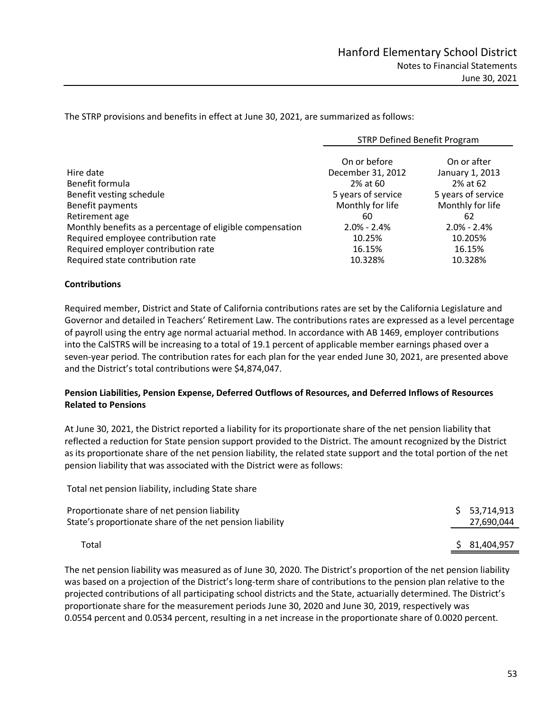STRP Defined Renefit Program

The STRP provisions and benefits in effect at June 30, 2021, are summarized as follows:

|                                                           | <b>JIM DEMICA DEMENT LOGIQUE</b> |                    |  |
|-----------------------------------------------------------|----------------------------------|--------------------|--|
|                                                           | On or before                     | On or after        |  |
|                                                           |                                  |                    |  |
| Hire date                                                 | December 31, 2012                | January 1, 2013    |  |
| Benefit formula                                           | 2% at 60                         | 2% at 62           |  |
| Benefit vesting schedule                                  | 5 years of service               | 5 years of service |  |
| Benefit payments                                          | Monthly for life                 | Monthly for life   |  |
| Retirement age                                            | 60                               | 62                 |  |
| Monthly benefits as a percentage of eligible compensation | $2.0\% - 2.4\%$                  | $2.0\% - 2.4\%$    |  |
| Required employee contribution rate                       | 10.25%                           | 10.205%            |  |
| Required employer contribution rate                       | 16.15%                           | 16.15%             |  |
| Required state contribution rate                          | 10.328%                          | 10.328%            |  |

### **Contributions**

Required member, District and State of California contributions rates are set by the California Legislature and Governor and detailed in Teachers' Retirement Law. The contributions rates are expressed as a level percentage of payroll using the entry age normal actuarial method. In accordance with AB 1469, employer contributions into the CalSTRS will be increasing to a total of 19.1 percent of applicable member earnings phased over a seven-year period. The contribution rates for each plan for the year ended June 30, 2021, are presented above and the District's total contributions were \$4,874,047.

# **Pension Liabilities, Pension Expense, Deferred Outflows of Resources, and Deferred Inflows of Resources Related to Pensions**

At June 30, 2021, the District reported a liability for its proportionate share of the net pension liability that reflected a reduction for State pension support provided to the District. The amount recognized by the District as its proportionate share of the net pension liability, the related state support and the total portion of the net pension liability that was associated with the District were as follows:

Total net pension liability, including State share

| Proportionate share of net pension liability<br>State's proportionate share of the net pension liability | \$ 53.714.913<br>27,690,044 |
|----------------------------------------------------------------------------------------------------------|-----------------------------|
| Total                                                                                                    | \$31,404,957                |

The net pension liability was measured as of June 30, 2020. The District's proportion of the net pension liability was based on a projection of the District's long-term share of contributions to the pension plan relative to the projected contributions of all participating school districts and the State, actuarially determined. The District's proportionate share for the measurement periods June 30, 2020 and June 30, 2019, respectively was 0.0554 percent and 0.0534 percent, resulting in a net increase in the proportionate share of 0.0020 percent.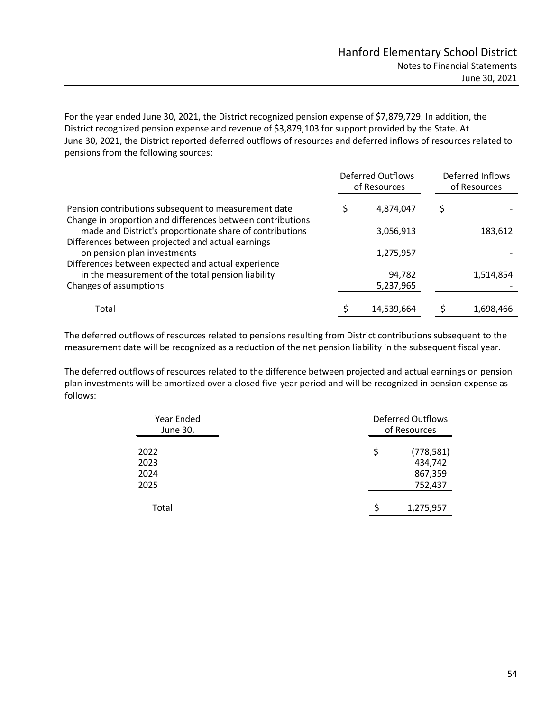For the year ended June 30, 2021, the District recognized pension expense of \$7,879,729. In addition, the District recognized pension expense and revenue of \$3,879,103 for support provided by the State. At June 30, 2021, the District reported deferred outflows of resources and deferred inflows of resources related to pensions from the following sources:

|                                                                                                                        | <b>Deferred Outflows</b><br>of Resources |            | Deferred Inflows<br>of Resources |           |
|------------------------------------------------------------------------------------------------------------------------|------------------------------------------|------------|----------------------------------|-----------|
| Pension contributions subsequent to measurement date                                                                   |                                          | 4,874,047  |                                  |           |
| Change in proportion and differences between contributions<br>made and District's proportionate share of contributions |                                          | 3,056,913  |                                  | 183,612   |
| Differences between projected and actual earnings<br>on pension plan investments                                       |                                          | 1,275,957  |                                  |           |
| Differences between expected and actual experience<br>in the measurement of the total pension liability                |                                          | 94,782     |                                  | 1,514,854 |
| Changes of assumptions                                                                                                 |                                          | 5,237,965  |                                  |           |
| Total                                                                                                                  |                                          | 14,539,664 |                                  | 1,698,466 |

The deferred outflows of resources related to pensions resulting from District contributions subsequent to the measurement date will be recognized as a reduction of the net pension liability in the subsequent fiscal year.

The deferred outflows of resources related to the difference between projected and actual earnings on pension plan investments will be amortized over a closed five-year period and will be recognized in pension expense as follows:

| Year Ended<br>June 30,       | Deferred Outflows<br>of Resources |                                             |
|------------------------------|-----------------------------------|---------------------------------------------|
| 2022<br>2023<br>2024<br>2025 | \$                                | (778, 581)<br>434,742<br>867,359<br>752,437 |
| Total                        |                                   | 1,275,957                                   |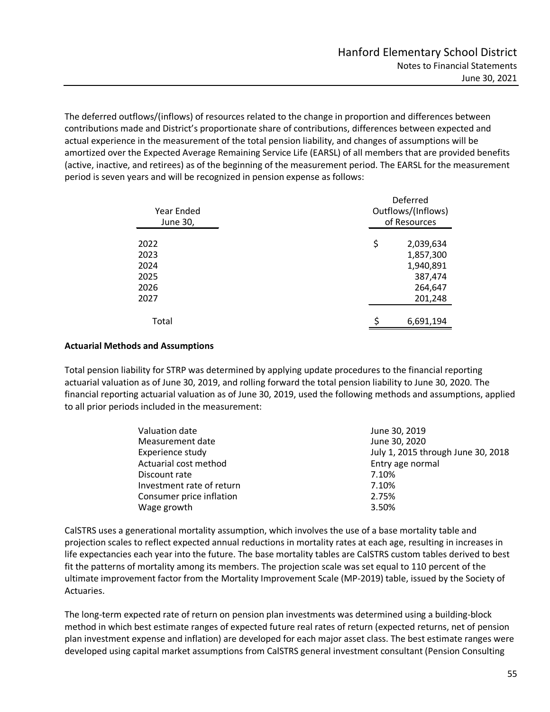The deferred outflows/(inflows) of resources related to the change in proportion and differences between contributions made and District's proportionate share of contributions, differences between expected and actual experience in the measurement of the total pension liability, and changes of assumptions will be amortized over the Expected Average Remaining Service Life (EARSL) of all members that are provided benefits (active, inactive, and retirees) as of the beginning of the measurement period. The EARSL for the measurement period is seven years and will be recognized in pension expense as follows:

| Year Ended<br>June 30,                       | Deferred<br>Outflows/(Inflows)<br>of Resources                             |
|----------------------------------------------|----------------------------------------------------------------------------|
| 2022<br>2023<br>2024<br>2025<br>2026<br>2027 | \$<br>2,039,634<br>1,857,300<br>1,940,891<br>387,474<br>264,647<br>201,248 |
| Total                                        | 6,691,194                                                                  |

### **Actuarial Methods and Assumptions**

Total pension liability for STRP was determined by applying update procedures to the financial reporting actuarial valuation as of June 30, 2019, and rolling forward the total pension liability to June 30, 2020. The financial reporting actuarial valuation as of June 30, 2019, used the following methods and assumptions, applied to all prior periods included in the measurement:

| Valuation date            | June 30, 2019                      |
|---------------------------|------------------------------------|
| Measurement date          | June 30, 2020                      |
| Experience study          | July 1, 2015 through June 30, 2018 |
| Actuarial cost method     | Entry age normal                   |
| Discount rate             | 7.10%                              |
| Investment rate of return | 7.10%                              |
| Consumer price inflation  | 2.75%                              |
| Wage growth               | 3.50%                              |

CalSTRS uses a generational mortality assumption, which involves the use of a base mortality table and projection scales to reflect expected annual reductions in mortality rates at each age, resulting in increases in life expectancies each year into the future. The base mortality tables are CalSTRS custom tables derived to best fit the patterns of mortality among its members. The projection scale was set equal to 110 percent of the ultimate improvement factor from the Mortality Improvement Scale (MP-2019) table, issued by the Society of Actuaries.

The long-term expected rate of return on pension plan investments was determined using a building-block method in which best estimate ranges of expected future real rates of return (expected returns, net of pension plan investment expense and inflation) are developed for each major asset class. The best estimate ranges were developed using capital market assumptions from CalSTRS general investment consultant (Pension Consulting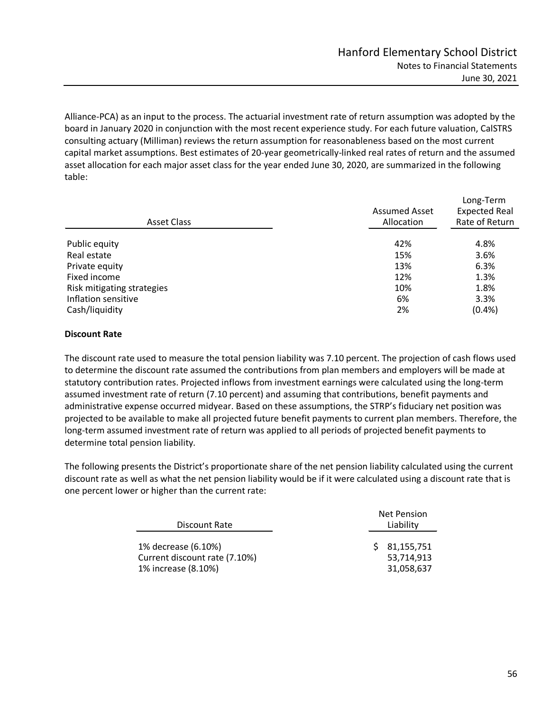Alliance-PCA) as an input to the process. The actuarial investment rate of return assumption was adopted by the board in January 2020 in conjunction with the most recent experience study. For each future valuation, CalSTRS consulting actuary (Milliman) reviews the return assumption for reasonableness based on the most current capital market assumptions. Best estimates of 20-year geometrically-linked real rates of return and the assumed asset allocation for each major asset class for the year ended June 30, 2020, are summarized in the following table:

| <b>Asset Class</b>         | <b>Assumed Asset</b><br>Allocation | Long-Term<br><b>Expected Real</b><br>Rate of Return |
|----------------------------|------------------------------------|-----------------------------------------------------|
| Public equity              | 42%                                | 4.8%                                                |
| Real estate                | 15%                                | 3.6%                                                |
| Private equity             | 13%                                | 6.3%                                                |
| Fixed income               | 12%                                | 1.3%                                                |
| Risk mitigating strategies | 10%                                | 1.8%                                                |
| Inflation sensitive        | 6%                                 | 3.3%                                                |
| Cash/liquidity             | 2%                                 | (0.4% )                                             |

# **Discount Rate**

The discount rate used to measure the total pension liability was 7.10 percent. The projection of cash flows used to determine the discount rate assumed the contributions from plan members and employers will be made at statutory contribution rates. Projected inflows from investment earnings were calculated using the long-term assumed investment rate of return (7.10 percent) and assuming that contributions, benefit payments and administrative expense occurred midyear. Based on these assumptions, the STRP's fiduciary net position was projected to be available to make all projected future benefit payments to current plan members. Therefore, the long-term assumed investment rate of return was applied to all periods of projected benefit payments to determine total pension liability.

The following presents the District's proportionate share of the net pension liability calculated using the current discount rate as well as what the net pension liability would be if it were calculated using a discount rate that is one percent lower or higher than the current rate:

| Discount Rate                 | <b>Net Pension</b><br>Liability |
|-------------------------------|---------------------------------|
| 1% decrease (6.10%)           | \$31,155,751                    |
| Current discount rate (7.10%) | 53,714,913                      |
| 1% increase (8.10%)           | 31,058,637                      |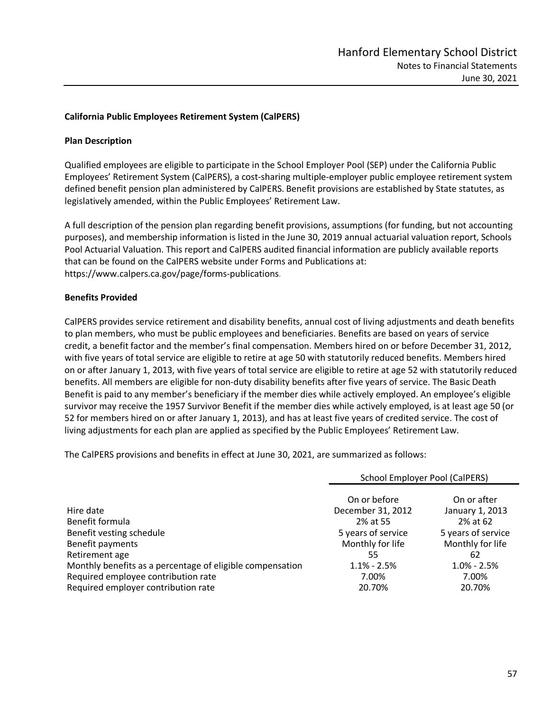# **California Public Employees Retirement System (CalPERS)**

### **Plan Description**

Qualified employees are eligible to participate in the School Employer Pool (SEP) under the California Public Employees' Retirement System (CalPERS), a cost-sharing multiple-employer public employee retirement system defined benefit pension plan administered by CalPERS. Benefit provisions are established by State statutes, as legislatively amended, within the Public Employees' Retirement Law.

A full description of the pension plan regarding benefit provisions, assumptions (for funding, but not accounting purposes), and membership information is listed in the June 30, 2019 annual actuarial valuation report, Schools Pool Actuarial Valuation. This report and CalPERS audited financial information are publicly available reports that can be found on the CalPERS website under Forms and Publications at: https://www.calpers.ca.gov/page/forms-publications.

### **Benefits Provided**

CalPERS provides service retirement and disability benefits, annual cost of living adjustments and death benefits to plan members, who must be public employees and beneficiaries. Benefits are based on years of service credit, a benefit factor and the member's final compensation. Members hired on or before December 31, 2012, with five years of total service are eligible to retire at age 50 with statutorily reduced benefits. Members hired on or after January 1, 2013, with five years of total service are eligible to retire at age 52 with statutorily reduced benefits. All members are eligible for non-duty disability benefits after five years of service. The Basic Death Benefit is paid to any member's beneficiary if the member dies while actively employed. An employee's eligible survivor may receive the 1957 Survivor Benefit if the member dies while actively employed, is at least age 50 (or 52 for members hired on or after January 1, 2013), and has at least five years of credited service. The cost of living adjustments for each plan are applied as specified by the Public Employees' Retirement Law.

The CalPERS provisions and benefits in effect at June 30, 2021, are summarized as follows:

|                                                           | <b>School Employer Pool (CalPERS)</b> |                                |
|-----------------------------------------------------------|---------------------------------------|--------------------------------|
| Hire date                                                 | On or before<br>December 31, 2012     | On or after<br>January 1, 2013 |
| Benefit formula                                           | 2% at 55                              | 2% at 62                       |
| Benefit vesting schedule                                  | 5 years of service                    | 5 years of service             |
| Benefit payments                                          | Monthly for life                      | Monthly for life               |
| Retirement age                                            | 55                                    | 62                             |
| Monthly benefits as a percentage of eligible compensation | $1.1\% - 2.5\%$                       | $1.0\% - 2.5\%$                |
| Required employee contribution rate                       | 7.00%                                 | 7.00%                          |
| Required employer contribution rate                       | 20.70%                                | 20.70%                         |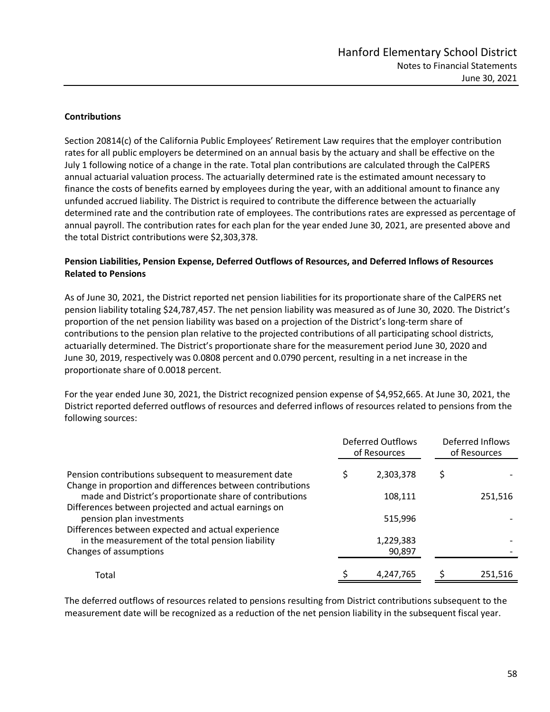# **Contributions**

Section 20814(c) of the California Public Employees' Retirement Law requires that the employer contribution rates for all public employers be determined on an annual basis by the actuary and shall be effective on the July 1 following notice of a change in the rate. Total plan contributions are calculated through the CalPERS annual actuarial valuation process. The actuarially determined rate is the estimated amount necessary to finance the costs of benefits earned by employees during the year, with an additional amount to finance any unfunded accrued liability. The District is required to contribute the difference between the actuarially determined rate and the contribution rate of employees. The contributions rates are expressed as percentage of annual payroll. The contribution rates for each plan for the year ended June 30, 2021, are presented above and the total District contributions were \$2,303,378.

# **Pension Liabilities, Pension Expense, Deferred Outflows of Resources, and Deferred Inflows of Resources Related to Pensions**

As of June 30, 2021, the District reported net pension liabilities for its proportionate share of the CalPERS net pension liability totaling \$24,787,457. The net pension liability was measured as of June 30, 2020. The District's proportion of the net pension liability was based on a projection of the District's long-term share of contributions to the pension plan relative to the projected contributions of all participating school districts, actuarially determined. The District's proportionate share for the measurement period June 30, 2020 and June 30, 2019, respectively was 0.0808 percent and 0.0790 percent, resulting in a net increase in the proportionate share of 0.0018 percent.

For the year ended June 30, 2021, the District recognized pension expense of \$4,952,665. At June 30, 2021, the District reported deferred outflows of resources and deferred inflows of resources related to pensions from the following sources:

|                                                                                                                                   | Deferred Outflows<br>of Resources |                     | Deferred Inflows<br>of Resources |         |  |
|-----------------------------------------------------------------------------------------------------------------------------------|-----------------------------------|---------------------|----------------------------------|---------|--|
| Pension contributions subsequent to measurement date                                                                              | Ş                                 | 2,303,378           | S                                |         |  |
| Change in proportion and differences between contributions<br>made and District's proportionate share of contributions            |                                   | 108,111             |                                  | 251,516 |  |
| Differences between projected and actual earnings on<br>pension plan investments                                                  |                                   | 515,996             |                                  |         |  |
| Differences between expected and actual experience<br>in the measurement of the total pension liability<br>Changes of assumptions |                                   | 1,229,383<br>90,897 |                                  |         |  |
|                                                                                                                                   |                                   |                     |                                  |         |  |
| Total                                                                                                                             |                                   | 4,247,765           |                                  | 251,516 |  |

The deferred outflows of resources related to pensions resulting from District contributions subsequent to the measurement date will be recognized as a reduction of the net pension liability in the subsequent fiscal year.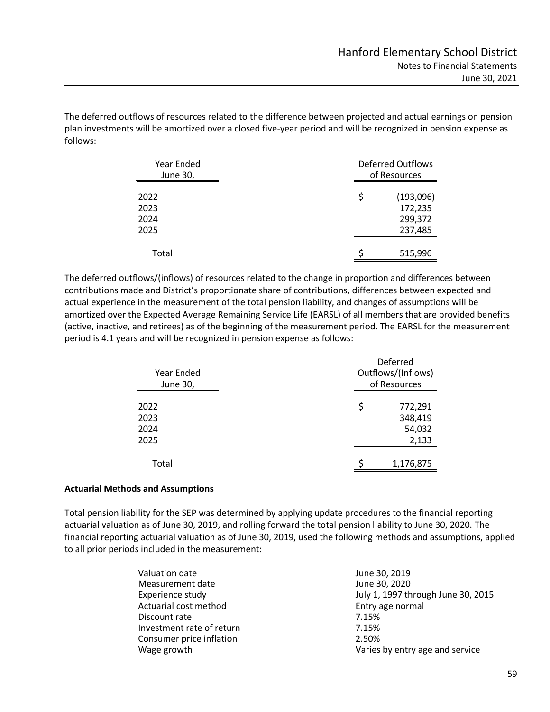The deferred outflows of resources related to the difference between projected and actual earnings on pension plan investments will be amortized over a closed five-year period and will be recognized in pension expense as follows:

| Year Ended<br>June 30,       |   | Deferred Outflows<br>of Resources          |  |  |
|------------------------------|---|--------------------------------------------|--|--|
| 2022<br>2023<br>2024<br>2025 | Ś | (193,096)<br>172,235<br>299,372<br>237,485 |  |  |
| Total                        |   | 515,996                                    |  |  |

The deferred outflows/(inflows) of resources related to the change in proportion and differences between contributions made and District's proportionate share of contributions, differences between expected and actual experience in the measurement of the total pension liability, and changes of assumptions will be amortized over the Expected Average Remaining Service Life (EARSL) of all members that are provided benefits (active, inactive, and retirees) as of the beginning of the measurement period. The EARSL for the measurement period is 4.1 years and will be recognized in pension expense as follows:

| Year Ended<br>June 30,       | Deferred<br>Outflows/(Inflows)<br>of Resources |  |  |
|------------------------------|------------------------------------------------|--|--|
| 2022<br>2023<br>2024<br>2025 | \$<br>772,291<br>348,419<br>54,032<br>2,133    |  |  |
| Total                        | 1,176,875                                      |  |  |

# **Actuarial Methods and Assumptions**

Total pension liability for the SEP was determined by applying update procedures to the financial reporting actuarial valuation as of June 30, 2019, and rolling forward the total pension liability to June 30, 2020. The financial reporting actuarial valuation as of June 30, 2019, used the following methods and assumptions, applied to all prior periods included in the measurement:

| Valuation date            | June 30, 2019                      |
|---------------------------|------------------------------------|
| Measurement date          | June 30, 2020                      |
| Experience study          | July 1, 1997 through June 30, 2015 |
| Actuarial cost method     | Entry age normal                   |
| Discount rate             | 7.15%                              |
| Investment rate of return | 7.15%                              |
| Consumer price inflation  | 2.50%                              |
| Wage growth               | Varies by entry age and service    |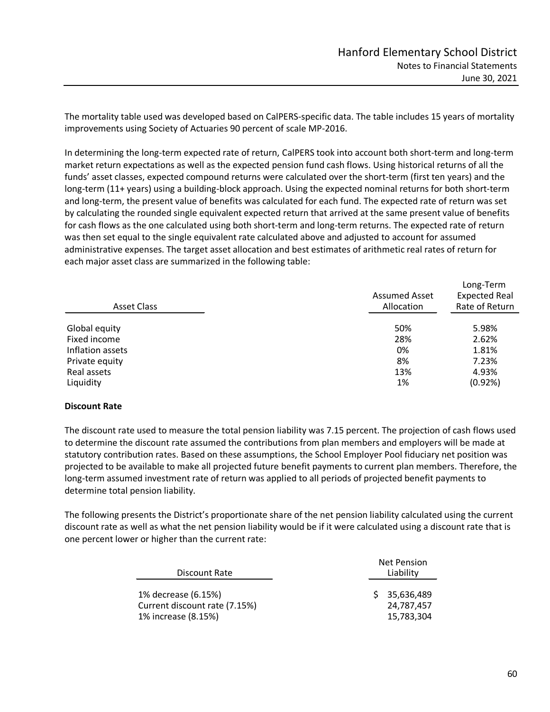The mortality table used was developed based on CalPERS-specific data. The table includes 15 years of mortality improvements using Society of Actuaries 90 percent of scale MP-2016.

In determining the long-term expected rate of return, CalPERS took into account both short-term and long-term market return expectations as well as the expected pension fund cash flows. Using historical returns of all the funds' asset classes, expected compound returns were calculated over the short-term (first ten years) and the long-term (11+ years) using a building-block approach. Using the expected nominal returns for both short-term and long-term, the present value of benefits was calculated for each fund. The expected rate of return was set by calculating the rounded single equivalent expected return that arrived at the same present value of benefits for cash flows as the one calculated using both short-term and long-term returns. The expected rate of return was then set equal to the single equivalent rate calculated above and adjusted to account for assumed administrative expenses. The target asset allocation and best estimates of arithmetic real rates of return for each major asset class are summarized in the following table:

| <b>Asset Class</b>       | <b>Assumed Asset</b><br>Allocation | Long-Term<br><b>Expected Real</b><br>Rate of Return |
|--------------------------|------------------------------------|-----------------------------------------------------|
| Global equity            | 50%                                | 5.98%                                               |
| Fixed income             | 28%                                | 2.62%                                               |
| Inflation assets         | 0%                                 | 1.81%                                               |
| Private equity           | 8%                                 | 7.23%                                               |
| Real assets<br>Liquidity | 13%<br>1%                          | 4.93%<br>(0.92%)                                    |

# **Discount Rate**

The discount rate used to measure the total pension liability was 7.15 percent. The projection of cash flows used to determine the discount rate assumed the contributions from plan members and employers will be made at statutory contribution rates. Based on these assumptions, the School Employer Pool fiduciary net position was projected to be available to make all projected future benefit payments to current plan members. Therefore, the long-term assumed investment rate of return was applied to all periods of projected benefit payments to determine total pension liability.

The following presents the District's proportionate share of the net pension liability calculated using the current discount rate as well as what the net pension liability would be if it were calculated using a discount rate that is one percent lower or higher than the current rate:

| Discount Rate                 | <b>Net Pension</b><br>Liability |
|-------------------------------|---------------------------------|
| 1% decrease (6.15%)           | 35,636,489                      |
| Current discount rate (7.15%) | 24,787,457                      |
| 1% increase (8.15%)           | 15,783,304                      |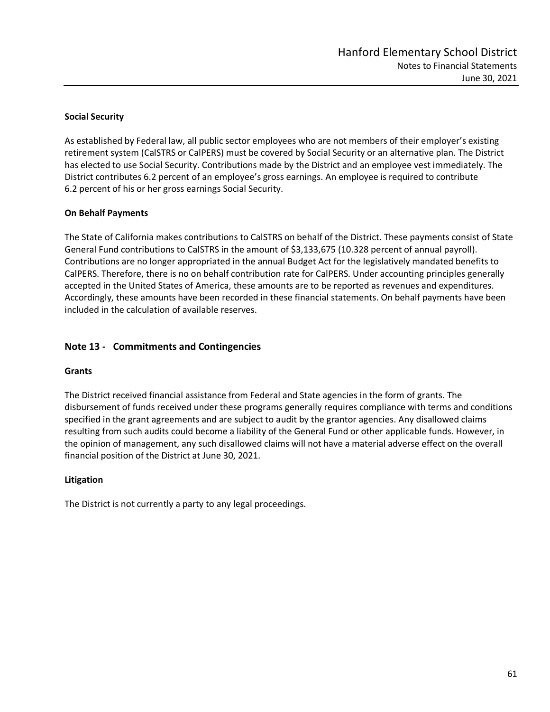# **Social Security**

As established by Federal law, all public sector employees who are not members of their employer's existing retirement system (CalSTRS or CalPERS) must be covered by Social Security or an alternative plan. The District has elected to use Social Security. Contributions made by the District and an employee vest immediately. The District contributes 6.2 percent of an employee's gross earnings. An employee is required to contribute 6.2 percent of his or her gross earnings Social Security.

# **On Behalf Payments**

The State of California makes contributions to CalSTRS on behalf of the District. These payments consist of State General Fund contributions to CalSTRS in the amount of \$3,133,675 (10.328 percent of annual payroll). Contributions are no longer appropriated in the annual Budget Act for the legislatively mandated benefits to CalPERS. Therefore, there is no on behalf contribution rate for CalPERS. Under accounting principles generally accepted in the United States of America, these amounts are to be reported as revenues and expenditures. Accordingly, these amounts have been recorded in these financial statements. On behalf payments have been included in the calculation of available reserves.

# **Note 13 - Commitments and Contingencies**

# **Grants**

The District received financial assistance from Federal and State agencies in the form of grants. The disbursement of funds received under these programs generally requires compliance with terms and conditions specified in the grant agreements and are subject to audit by the grantor agencies. Any disallowed claims resulting from such audits could become a liability of the General Fund or other applicable funds. However, in the opinion of management, any such disallowed claims will not have a material adverse effect on the overall financial position of the District at June 30, 2021.

# **Litigation**

The District is not currently a party to any legal proceedings.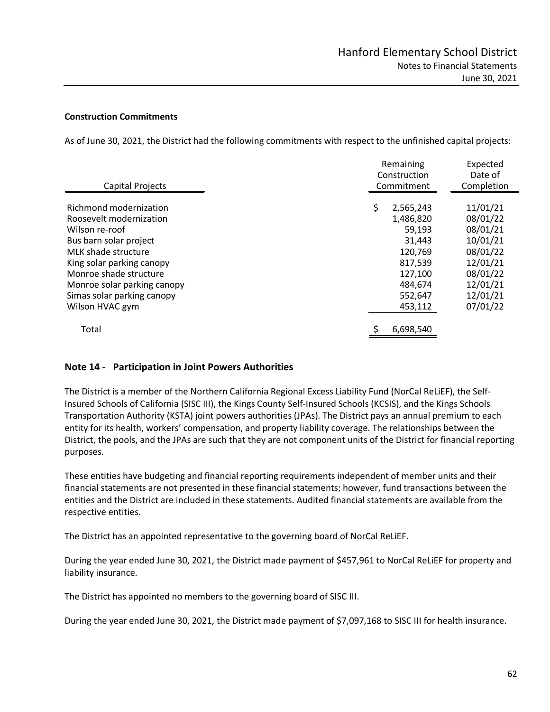# **Construction Commitments**

As of June 30, 2021, the District had the following commitments with respect to the unfinished capital projects:

| Capital Projects                                                                                                                                                                                                                                            | Remaining<br>Construction<br>Commitment                                                                            | Expected<br>Date of<br>Completion                                                                                    |  |
|-------------------------------------------------------------------------------------------------------------------------------------------------------------------------------------------------------------------------------------------------------------|--------------------------------------------------------------------------------------------------------------------|----------------------------------------------------------------------------------------------------------------------|--|
| Richmond modernization<br>Roosevelt modernization<br>Wilson re-roof<br>Bus barn solar project<br>MLK shade structure<br>King solar parking canopy<br>Monroe shade structure<br>Monroe solar parking canopy<br>Simas solar parking canopy<br>Wilson HVAC gym | \$<br>2,565,243<br>1,486,820<br>59,193<br>31,443<br>120,769<br>817,539<br>127,100<br>484.674<br>552,647<br>453,112 | 11/01/21<br>08/01/22<br>08/01/21<br>10/01/21<br>08/01/22<br>12/01/21<br>08/01/22<br>12/01/21<br>12/01/21<br>07/01/22 |  |
| Total                                                                                                                                                                                                                                                       | 6,698,540                                                                                                          |                                                                                                                      |  |

# **Note 14 - Participation in Joint Powers Authorities**

The District is a member of the Northern California Regional Excess Liability Fund (NorCal ReLiEF), the Self-Insured Schools of California (SISC III), the Kings County Self-Insured Schools (KCSIS), and the Kings Schools Transportation Authority (KSTA) joint powers authorities (JPAs). The District pays an annual premium to each entity for its health, workers' compensation, and property liability coverage. The relationships between the District, the pools, and the JPAs are such that they are not component units of the District for financial reporting purposes.

These entities have budgeting and financial reporting requirements independent of member units and their financial statements are not presented in these financial statements; however, fund transactions between the entities and the District are included in these statements. Audited financial statements are available from the respective entities.

The District has an appointed representative to the governing board of NorCal ReLiEF.

During the year ended June 30, 2021, the District made payment of \$457,961 to NorCal ReLiEF for property and liability insurance.

The District has appointed no members to the governing board of SISC III.

During the year ended June 30, 2021, the District made payment of \$7,097,168 to SISC III for health insurance.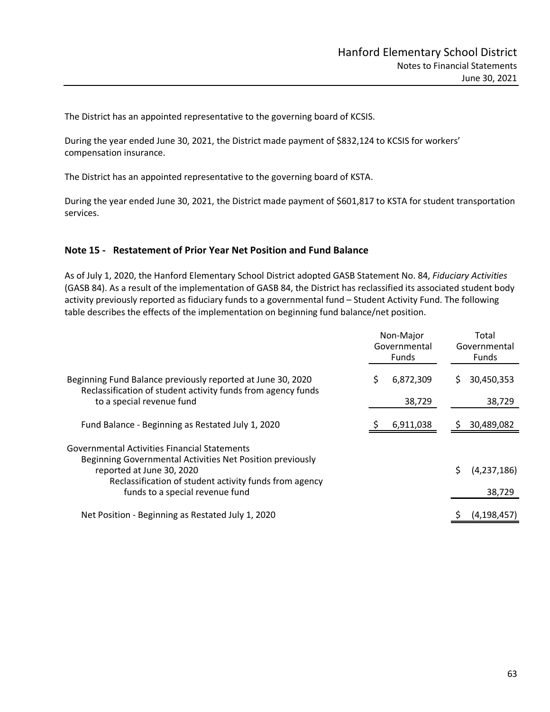The District has an appointed representative to the governing board of KCSIS.

During the year ended June 30, 2021, the District made payment of \$832,124 to KCSIS for workers' compensation insurance.

The District has an appointed representative to the governing board of KSTA.

During the year ended June 30, 2021, the District made payment of \$601,817 to KSTA for student transportation services.

# **Note 15 - Restatement of Prior Year Net Position and Fund Balance**

As of July 1, 2020, the Hanford Elementary School District adopted GASB Statement No. 84, *Fiduciary Activities*  (GASB 84). As a result of the implementation of GASB 84, the District has reclassified its associated student body activity previously reported as fiduciary funds to a governmental fund – Student Activity Fund. The following table describes the effects of the implementation on beginning fund balance/net position.

|                                                                                                                             | Non-Major<br>Governmental<br><b>Funds</b> | Total<br>Governmental<br><b>Funds</b> |
|-----------------------------------------------------------------------------------------------------------------------------|-------------------------------------------|---------------------------------------|
| Beginning Fund Balance previously reported at June 30, 2020<br>Reclassification of student activity funds from agency funds | 6,872,309                                 | 30,450,353<br>S                       |
| to a special revenue fund                                                                                                   | 38,729                                    | 38,729                                |
| Fund Balance - Beginning as Restated July 1, 2020                                                                           | 6,911,038                                 | 30,489,082                            |
| Governmental Activities Financial Statements<br>Beginning Governmental Activities Net Position previously                   |                                           |                                       |
| reported at June 30, 2020<br>Reclassification of student activity funds from agency                                         |                                           | \$<br>(4,237,186)                     |
| funds to a special revenue fund                                                                                             |                                           | 38,729                                |
| Net Position - Beginning as Restated July 1, 2020                                                                           |                                           | (4, 198, 457)                         |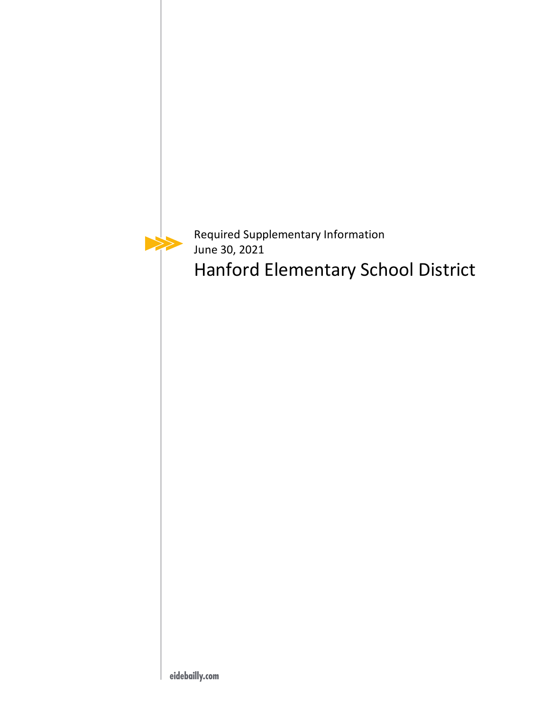

Required Supplementary Information June 30, 2021 Hanford Elementary School District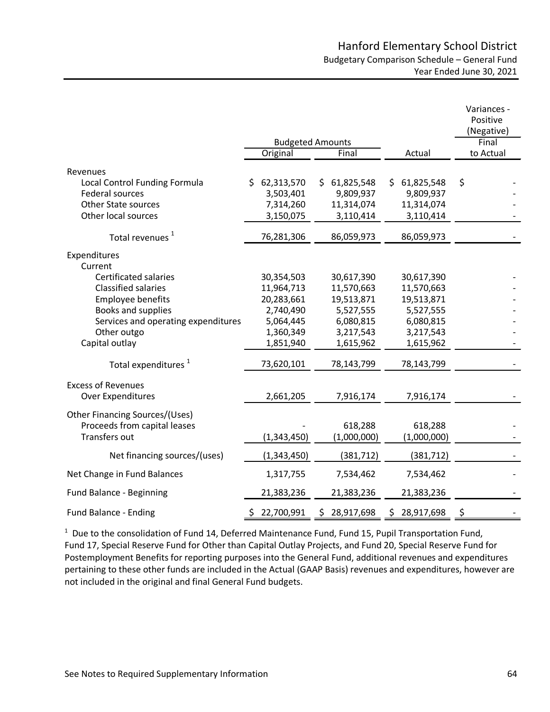|                                                                |                  |                                  |                        | Variances -<br>Positive<br>(Negative) |
|----------------------------------------------------------------|------------------|----------------------------------|------------------------|---------------------------------------|
|                                                                | Original         | <b>Budgeted Amounts</b><br>Final | Actual                 | Final<br>to Actual                    |
|                                                                |                  |                                  |                        |                                       |
| Revenues                                                       |                  |                                  |                        |                                       |
| <b>Local Control Funding Formula</b>                           | 62,313,570<br>Ś. | \$61,825,548                     | 61,825,548<br>\$.      | \$                                    |
| <b>Federal sources</b>                                         | 3,503,401        | 9,809,937                        | 9,809,937              |                                       |
| <b>Other State sources</b>                                     | 7,314,260        | 11,314,074                       | 11,314,074             |                                       |
| Other local sources                                            | 3,150,075        | 3,110,414                        | 3,110,414              |                                       |
| Total revenues <sup>1</sup>                                    | 76,281,306       | 86,059,973                       | 86,059,973             |                                       |
| Expenditures<br>Current                                        |                  |                                  |                        |                                       |
| Certificated salaries                                          | 30,354,503       | 30,617,390                       | 30,617,390             |                                       |
| <b>Classified salaries</b>                                     | 11,964,713       | 11,570,663                       | 11,570,663             |                                       |
| <b>Employee benefits</b>                                       | 20,283,661       | 19,513,871                       | 19,513,871             |                                       |
| Books and supplies                                             | 2,740,490        | 5,527,555                        | 5,527,555              |                                       |
| Services and operating expenditures                            | 5,064,445        | 6,080,815                        | 6,080,815              |                                       |
| Other outgo                                                    | 1,360,349        | 3,217,543                        | 3,217,543              |                                       |
| Capital outlay                                                 | 1,851,940        | 1,615,962                        | 1,615,962              |                                       |
| Total expenditures <sup>1</sup>                                | 73,620,101       | 78,143,799                       | 78,143,799             |                                       |
| <b>Excess of Revenues</b>                                      |                  |                                  |                        |                                       |
| Over Expenditures                                              | 2,661,205        | 7,916,174                        | 7,916,174              |                                       |
| Other Financing Sources/(Uses)<br>Proceeds from capital leases |                  | 618,288                          |                        |                                       |
| Transfers out                                                  | (1, 343, 450)    | (1,000,000)                      | 618,288<br>(1,000,000) |                                       |
| Net financing sources/(uses)                                   | (1,343,450)      | (381, 712)                       | (381, 712)             |                                       |
| Net Change in Fund Balances                                    | 1,317,755        | 7,534,462                        | 7,534,462              |                                       |
| Fund Balance - Beginning                                       | 21,383,236       | 21,383,236                       | 21,383,236             |                                       |
| Fund Balance - Ending                                          | \$22,700,991     | \$<br>28,917,698                 | 28,917,698<br>\$       | \$                                    |

 $1$  Due to the consolidation of Fund 14, Deferred Maintenance Fund, Fund 15, Pupil Transportation Fund, Fund 17, Special Reserve Fund for Other than Capital Outlay Projects, and Fund 20, Special Reserve Fund for Postemployment Benefits for reporting purposes into the General Fund, additional revenues and expenditures pertaining to these other funds are included in the Actual (GAAP Basis) revenues and expenditures, however are not included in the original and final General Fund budgets.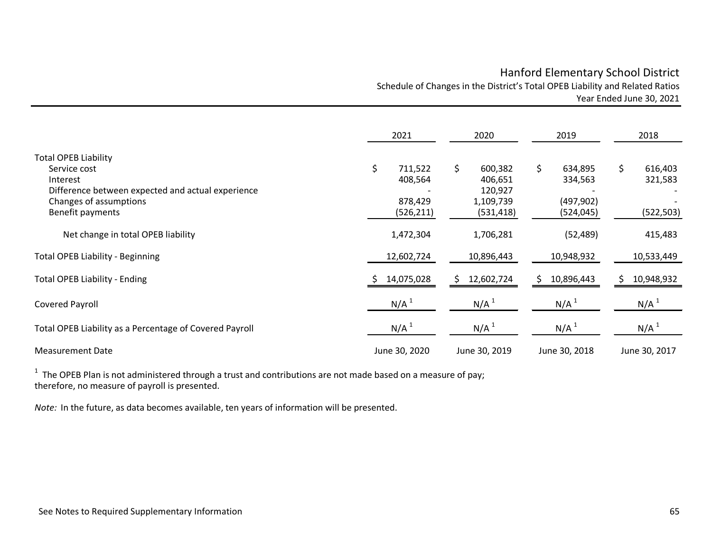# Hanford Elementary School District Schedule of Changes in the District's Total OPEB Liability and Related Ratios Year Ended June 30, 2021

|                                                                                                                                                            | 2021                                              | 2020                                                            | 2019                                                  | 2018                                   |
|------------------------------------------------------------------------------------------------------------------------------------------------------------|---------------------------------------------------|-----------------------------------------------------------------|-------------------------------------------------------|----------------------------------------|
| <b>Total OPEB Liability</b><br>Service cost<br>Interest<br>Difference between expected and actual experience<br>Changes of assumptions<br>Benefit payments | \$<br>711,522<br>408,564<br>878,429<br>(526, 211) | \$.<br>600,382<br>406,651<br>120,927<br>1,109,739<br>(531, 418) | \$.<br>634,895<br>334,563<br>(497, 902)<br>(524, 045) | \$<br>616,403<br>321,583<br>(522, 503) |
| Net change in total OPEB liability                                                                                                                         | 1,472,304                                         | 1,706,281                                                       | (52, 489)                                             | 415,483                                |
| <b>Total OPEB Liability - Beginning</b>                                                                                                                    | 12,602,724                                        | 10,896,443                                                      | 10,948,932                                            | 10,533,449                             |
| <b>Total OPEB Liability - Ending</b>                                                                                                                       | 14,075,028                                        | S.<br>12,602,724                                                | 10,896,443<br>Ś                                       | 10,948,932<br>S                        |
| Covered Payroll                                                                                                                                            | N/A <sup>1</sup>                                  | N/A <sup>1</sup>                                                | N/A <sup>1</sup>                                      | N/A <sup>1</sup>                       |
| Total OPEB Liability as a Percentage of Covered Payroll                                                                                                    | N/A <sup>1</sup>                                  | N/A <sup>1</sup>                                                | N/A <sup>1</sup>                                      | N/A <sup>1</sup>                       |
| <b>Measurement Date</b>                                                                                                                                    | June 30, 2020                                     | June 30, 2019                                                   | June 30, 2018                                         | June 30, 2017                          |

 $1$  The OPEB Plan is not administered through a trust and contributions are not made based on a measure of pay; therefore, no measure of payroll is presented.

*Note:* In the future, as data becomes available, ten years of information will be presented.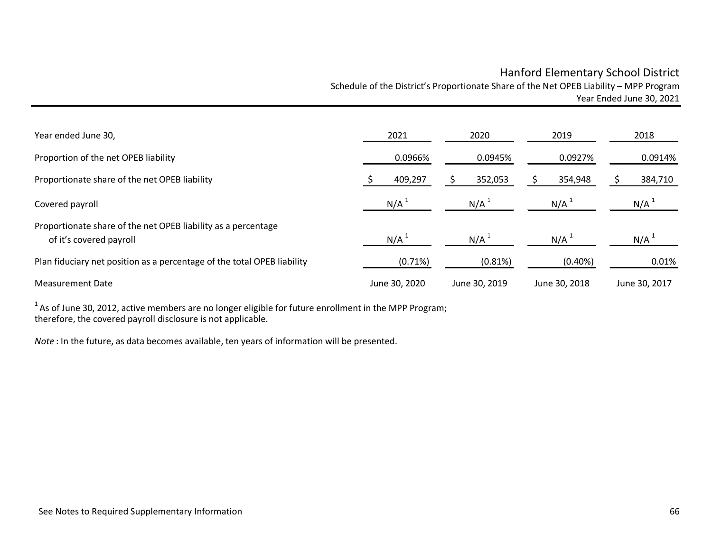# Hanford Elementary School District

Schedule of the District's Proportionate Share of the Net OPEB Liability – MPP Program Year Ended June 30, 2021

| Year ended June 30,                                                                      | 2021             | 2020             | 2019             | 2018             |
|------------------------------------------------------------------------------------------|------------------|------------------|------------------|------------------|
| Proportion of the net OPEB liability                                                     | 0.0966%          | 0.0945%          | 0.0927%          | 0.0914%          |
| Proportionate share of the net OPEB liability                                            | 409,297          | 352,053          | 354,948          | 384,710          |
| Covered payroll                                                                          | N/A <sup>1</sup> | N/A <sup>1</sup> | N/A <sup>1</sup> | N/A <sup>1</sup> |
| Proportionate share of the net OPEB liability as a percentage<br>of it's covered payroll | N/A <sup>1</sup> | N/A <sup>1</sup> | N/A <sup>1</sup> | N/A <sup>1</sup> |
| Plan fiduciary net position as a percentage of the total OPEB liability                  | (0.71%)          | (0.81%)          | $(0.40\%)$       | $0.01\%$         |
| <b>Measurement Date</b>                                                                  | June 30, 2020    | June 30, 2019    | June 30, 2018    | June 30, 2017    |

 $^{1}$  As of June 30, 2012, active members are no longer eligible for future enrollment in the MPP Program; therefore, the covered payroll disclosure is not applicable.

*Note* : In the future, as data becomes available, ten years of information will be presented.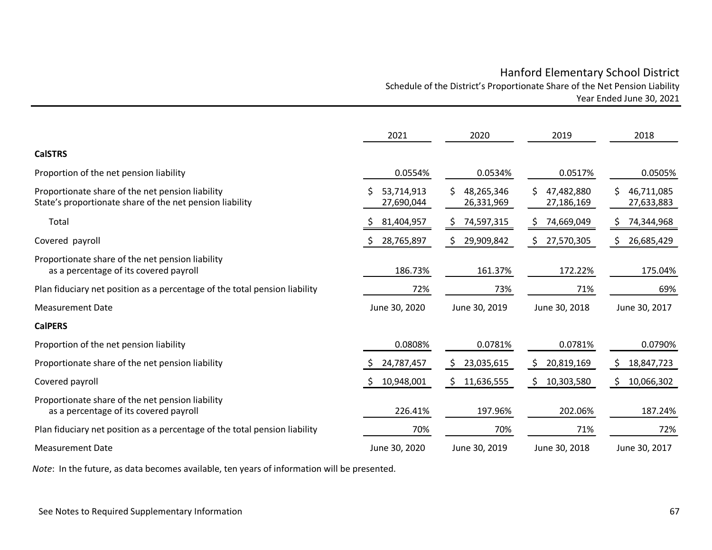# Hanford Elementary School District Schedule of the District's Proportionate Share of the Net Pension Liability Year Ended June 30, 2021

2021 2020 2019 2018 **CalSTRS** Proportion of the net pension liability and the networking of the networking of the networking of the networking of the networking of the networking of the networking of the networking of the networking of the networking o Proportionate share of the net pension liability and the state of the net pension liability and the state of the net pension liability and the state of the net pension liability and the state of the state of the net pensio State's proportionate share of the net pension liability 27,690,044 26,331,969 27,186,169 27,633,883 Total \$ 81,404,957 \$ 74,597,315 \$ 74,669,049 \$ 74,344,968 Covered payroll \$ 28,765,897 \$ 29,909,842 \$ 27,570,305 \$ 26,685,429 Proportionate share of the net pension liability as a percentage of its covered payroll and the state of the corresponding to the corresponding to the corresponding to the corresponding to the corresponding to the corresponding to the corresponding to the corresponding t Plan fiduciary net position as a percentage of the total pension liability  $\overline{72\%}$  72% 73% 71% 71% 71% 69% Measurement Date June 30, 2020 June 30, 2020 June 30, 2019 June 30, 2018 June 30, 2017 **CalPERS** Proportion of the net pension liability  $0.0781\%$  0.0781% 0.0781% 0.0781% 0.0781% 0.0781% 0.0781% 0.0781% 0.0781% 0.0781% 0.0781% 0.0781% 0.0781% 0.0781% 0.0781% 0.0781% 0.0781% 0.0781% 0.0781% 0.0781% 0.0781% 0.0781% 0.0 Proportionate share of the net pension liability **Example 24,787,457** \$ 23,035,615 \$ 20,819,169 \$ 18,847,723 Covered payroll \$ 10,948,001 \$ 11,636,555 \$ 10,303,580 \$ 10,066,302 Proportionate share of the net pension liability as a percentage of its covered payroll 226.41% 197.96% 202.06% 187.24% Plan fiduciary net position as a percentage of the total pension liability 70% 70% 70% 71% 71% 72% Measurement Date June 30, 2020 June 30, 2020 June 30, 2019 June 30, 2018 June 30, 2017

*Note*: In the future, as data becomes available, ten years of information will be presented.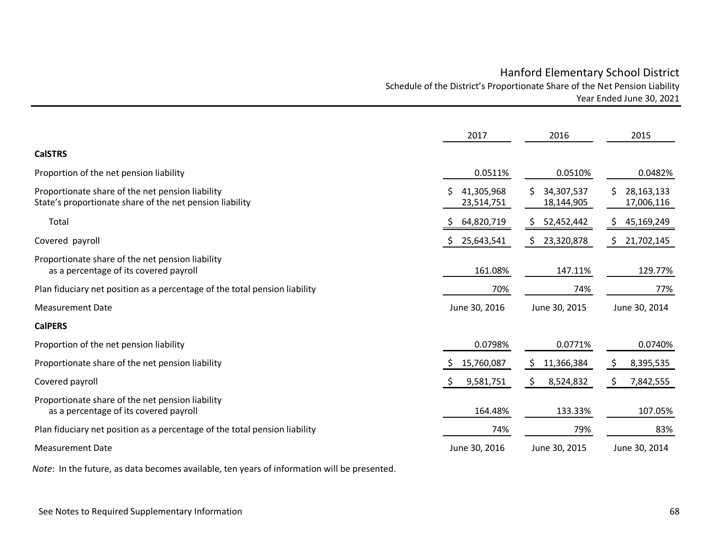# Hanford Elementary School District Schedule of the District's Proportionate Share of the Net Pension Liability Year Ended June 30, 2021

|                                                                                                              | 2017                           | 2016                           | 2015                     |
|--------------------------------------------------------------------------------------------------------------|--------------------------------|--------------------------------|--------------------------|
| <b>CalSTRS</b>                                                                                               |                                |                                |                          |
| Proportion of the net pension liability                                                                      | 0.0511%                        | 0.0510%                        | 0.0482%                  |
| Proportionate share of the net pension liability<br>State's proportionate share of the net pension liability | 41,305,968<br>S.<br>23,514,751 | 34,307,537<br>S.<br>18,144,905 | 28,163,133<br>17,006,116 |
| Total                                                                                                        | 64,820,719                     | 52,452,442                     | 45,169,249               |
| Covered payroll                                                                                              | 25,643,541<br>S                | 23,320,878<br>\$               | 21,702,145<br>\$         |
| Proportionate share of the net pension liability<br>as a percentage of its covered payroll                   | 161.08%                        | 147.11%                        | 129.77%                  |
| Plan fiduciary net position as a percentage of the total pension liability                                   | 70%                            | 74%                            | 77%                      |
| <b>Measurement Date</b>                                                                                      | June 30, 2016                  | June 30, 2015                  | June 30, 2014            |
| <b>CalPERS</b>                                                                                               |                                |                                |                          |
| Proportion of the net pension liability                                                                      | 0.0798%                        | 0.0771%                        | 0.0740%                  |
| Proportionate share of the net pension liability                                                             | 15,760,087                     | 11,366,384<br>Ş.               | 8,395,535<br>S           |
| Covered payroll                                                                                              | 9,581,751                      | 8,524,832<br>\$.               | 7,842,555<br>S           |
| Proportionate share of the net pension liability<br>as a percentage of its covered payroll                   | 164.48%                        | 133.33%                        | 107.05%                  |
| Plan fiduciary net position as a percentage of the total pension liability                                   | 74%                            | 79%                            | 83%                      |
| <b>Measurement Date</b>                                                                                      | June 30, 2016                  | June 30, 2015                  | June 30, 2014            |

*Note*: In the future, as data becomes available, ten years of information will be presented.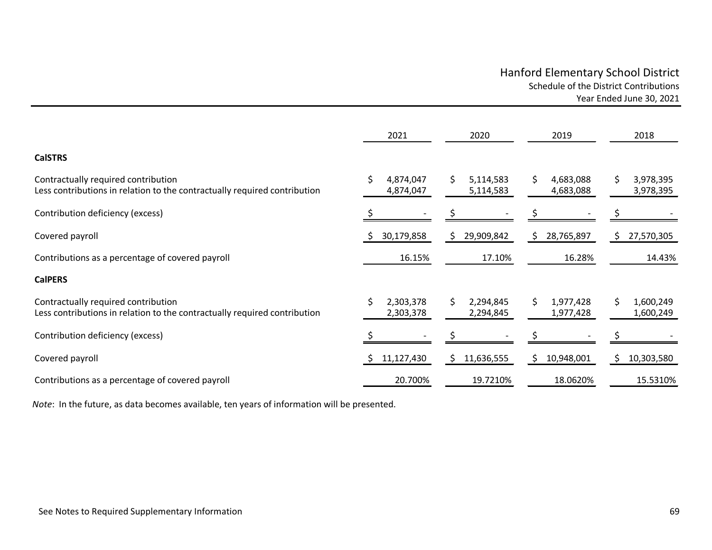## Hanford Elementary School District Schedule of the District Contributions Year Ended June 30, 2021

|                                                                                                                  | 2021                         | 2020                         | 2019                         | 2018                         |
|------------------------------------------------------------------------------------------------------------------|------------------------------|------------------------------|------------------------------|------------------------------|
| <b>CalSTRS</b>                                                                                                   |                              |                              |                              |                              |
| Contractually required contribution<br>Less contributions in relation to the contractually required contribution | Ś.<br>4,874,047<br>4,874,047 | \$<br>5,114,583<br>5,114,583 | Ś.<br>4,683,088<br>4,683,088 | \$<br>3,978,395<br>3,978,395 |
| Contribution deficiency (excess)                                                                                 |                              |                              |                              |                              |
| Covered payroll                                                                                                  | 30,179,858<br>S              | \$<br>29,909,842             | 28,765,897<br>\$             | 27,570,305<br>S.             |
| Contributions as a percentage of covered payroll                                                                 | 16.15%                       | 17.10%                       | 16.28%                       | 14.43%                       |
| <b>CalPERS</b>                                                                                                   |                              |                              |                              |                              |
| Contractually required contribution<br>Less contributions in relation to the contractually required contribution | 2,303,378<br>2,303,378       | \$<br>2,294,845<br>2,294,845 | 1,977,428<br>S.<br>1,977,428 | 1,600,249<br>1,600,249       |
| Contribution deficiency (excess)                                                                                 |                              |                              |                              |                              |
| Covered payroll                                                                                                  | 11,127,430<br>S              | S.<br>11,636,555             | S.<br>10,948,001             | 10,303,580<br>S.             |
| Contributions as a percentage of covered payroll                                                                 | 20.700%                      | 19.7210%                     | 18.0620%                     | 15.5310%                     |

*Note*: In the future, as data becomes available, ten years of information will be presented.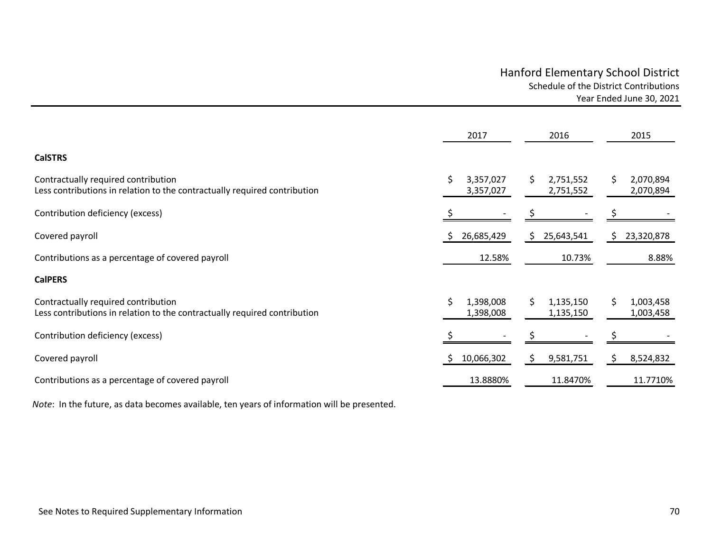## Hanford Elementary School District Schedule of the District Contributions Year Ended June 30, 2021

|                                                                                                                  | 2017                         | 2016                          | 2015                        |
|------------------------------------------------------------------------------------------------------------------|------------------------------|-------------------------------|-----------------------------|
| <b>CalSTRS</b>                                                                                                   |                              |                               |                             |
| Contractually required contribution<br>Less contributions in relation to the contractually required contribution | \$<br>3,357,027<br>3,357,027 | S.<br>2,751,552<br>2,751,552  | 2,070,894<br>2,070,894      |
| Contribution deficiency (excess)                                                                                 |                              |                               |                             |
| Covered payroll                                                                                                  | 26,685,429                   | 25,643,541<br>\$              | 23,320,878<br>S.            |
| Contributions as a percentage of covered payroll                                                                 | 12.58%                       | 10.73%                        | 8.88%                       |
| <b>CalPERS</b>                                                                                                   |                              |                               |                             |
| Contractually required contribution<br>Less contributions in relation to the contractually required contribution | \$<br>1,398,008<br>1,398,008 | \$.<br>1,135,150<br>1,135,150 | 1,003,458<br>Ś<br>1,003,458 |
| Contribution deficiency (excess)                                                                                 |                              |                               |                             |
| Covered payroll                                                                                                  | 10,066,302                   | Ś<br>9,581,751                | 8,524,832                   |
| Contributions as a percentage of covered payroll                                                                 | 13.8880%                     | 11.8470%                      | 11.7710%                    |

*Note*: In the future, as data becomes available, ten years of information will be presented.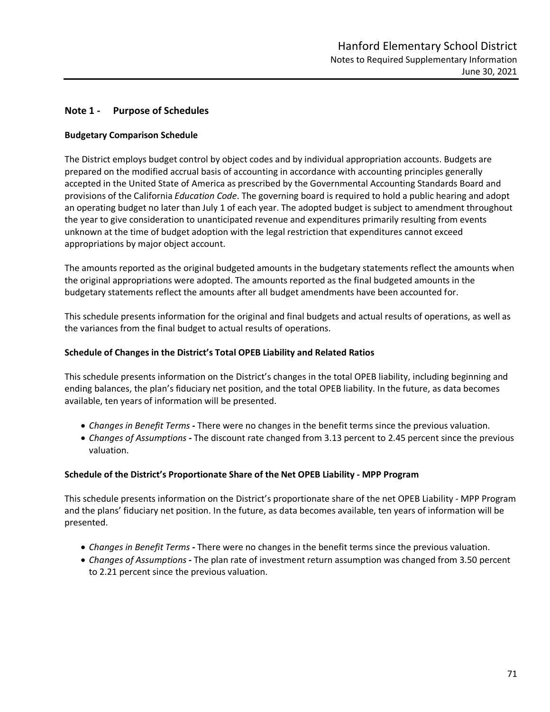## **Note 1 - Purpose of Schedules**

## **Budgetary Comparison Schedule**

The District employs budget control by object codes and by individual appropriation accounts. Budgets are prepared on the modified accrual basis of accounting in accordance with accounting principles generally accepted in the United State of America as prescribed by the Governmental Accounting Standards Board and provisions of the California *Education Code*. The governing board is required to hold a public hearing and adopt an operating budget no later than July 1 of each year. The adopted budget is subject to amendment throughout the year to give consideration to unanticipated revenue and expenditures primarily resulting from events unknown at the time of budget adoption with the legal restriction that expenditures cannot exceed appropriations by major object account.

The amounts reported as the original budgeted amounts in the budgetary statements reflect the amounts when the original appropriations were adopted. The amounts reported as the final budgeted amounts in the budgetary statements reflect the amounts after all budget amendments have been accounted for.

This schedule presents information for the original and final budgets and actual results of operations, as well as the variances from the final budget to actual results of operations.

## **Schedule of Changes in the District's Total OPEB Liability and Related Ratios**

This schedule presents information on the District's changes in the total OPEB liability, including beginning and ending balances, the plan's fiduciary net position, and the total OPEB liability. In the future, as data becomes available, ten years of information will be presented.

- *Changes in Benefit Terms* **-** There were no changes in the benefit terms since the previous valuation.
- *Changes of Assumptions* **-** The discount rate changed from 3.13 percent to 2.45 percent since the previous valuation.

## **Schedule of the District's Proportionate Share of the Net OPEB Liability - MPP Program**

This schedule presents information on the District's proportionate share of the net OPEB Liability - MPP Program and the plans' fiduciary net position. In the future, as data becomes available, ten years of information will be presented.

- *Changes in Benefit Terms* **-** There were no changes in the benefit terms since the previous valuation.
- *Changes of Assumptions* **-** The plan rate of investment return assumption was changed from 3.50 percent to 2.21 percent since the previous valuation.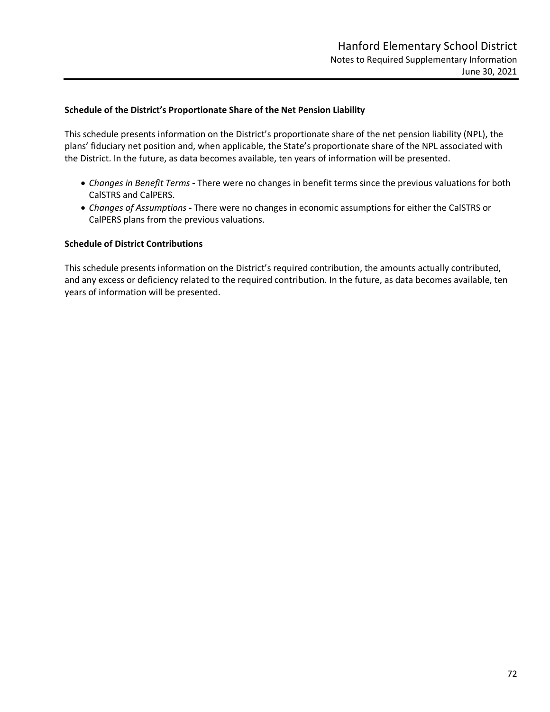## **Schedule of the District's Proportionate Share of the Net Pension Liability**

This schedule presents information on the District's proportionate share of the net pension liability (NPL), the plans' fiduciary net position and, when applicable, the State's proportionate share of the NPL associated with the District. In the future, as data becomes available, ten years of information will be presented.

- *Changes in Benefit Terms* **-** There were no changes in benefit terms since the previous valuations for both CalSTRS and CalPERS.
- *Changes of Assumptions* **-** There were no changes in economic assumptions for either the CalSTRS or CalPERS plans from the previous valuations.

## **Schedule of District Contributions**

This schedule presents information on the District's required contribution, the amounts actually contributed, and any excess or deficiency related to the required contribution. In the future, as data becomes available, ten years of information will be presented.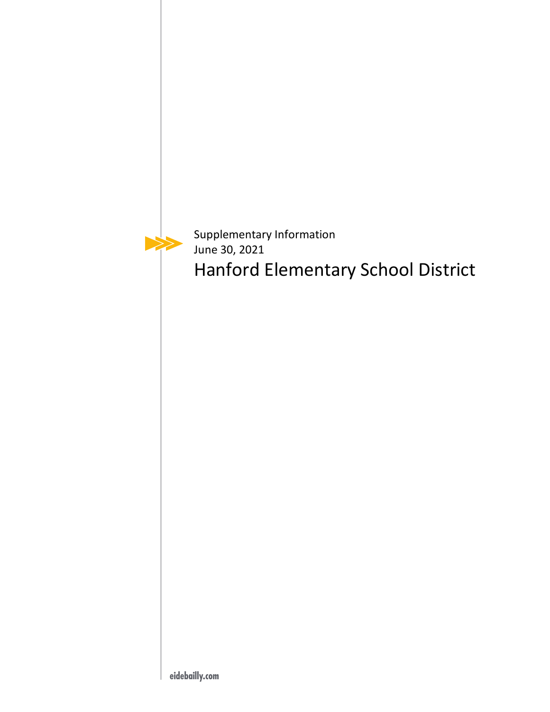⋗

Supplementary Information June 30, 2021 Hanford Elementary School District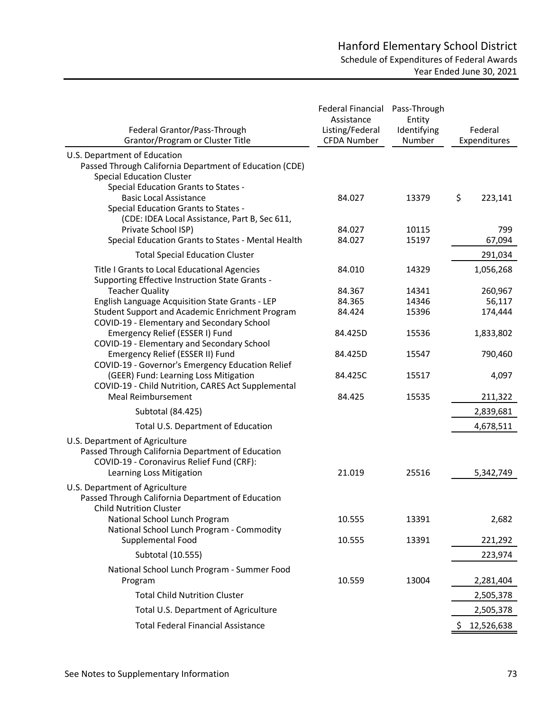| Federal Grantor/Pass-Through                                                                                                                                        | <b>Federal Financial</b><br>Assistance<br>Listing/Federal | Pass-Through<br>Entity<br>Identifying | Federal          |
|---------------------------------------------------------------------------------------------------------------------------------------------------------------------|-----------------------------------------------------------|---------------------------------------|------------------|
| Grantor/Program or Cluster Title                                                                                                                                    | <b>CFDA Number</b>                                        | Number                                | Expenditures     |
| U.S. Department of Education<br>Passed Through California Department of Education (CDE)<br><b>Special Education Cluster</b><br>Special Education Grants to States - |                                                           |                                       |                  |
| <b>Basic Local Assistance</b><br>Special Education Grants to States -<br>(CDE: IDEA Local Assistance, Part B, Sec 611,                                              | 84.027                                                    | 13379                                 | \$<br>223,141    |
| Private School ISP)                                                                                                                                                 | 84.027                                                    | 10115                                 | 799              |
| Special Education Grants to States - Mental Health                                                                                                                  | 84.027                                                    | 15197                                 | 67,094           |
| <b>Total Special Education Cluster</b>                                                                                                                              |                                                           |                                       | 291,034          |
| Title I Grants to Local Educational Agencies<br>Supporting Effective Instruction State Grants -                                                                     | 84.010                                                    | 14329                                 | 1,056,268        |
| <b>Teacher Quality</b>                                                                                                                                              | 84.367                                                    | 14341                                 | 260,967          |
| English Language Acquisition State Grants - LEP                                                                                                                     | 84.365                                                    | 14346                                 | 56,117           |
| Student Support and Academic Enrichment Program<br>COVID-19 - Elementary and Secondary School                                                                       | 84.424                                                    | 15396                                 | 174,444          |
| Emergency Relief (ESSER I) Fund<br>COVID-19 - Elementary and Secondary School                                                                                       | 84.425D                                                   | 15536                                 | 1,833,802        |
| Emergency Relief (ESSER II) Fund<br>COVID-19 - Governor's Emergency Education Relief                                                                                | 84.425D                                                   | 15547                                 | 790,460          |
| (GEER) Fund: Learning Loss Mitigation<br>COVID-19 - Child Nutrition, CARES Act Supplemental                                                                         | 84.425C                                                   | 15517                                 | 4,097            |
| <b>Meal Reimbursement</b>                                                                                                                                           | 84.425                                                    | 15535                                 | 211,322          |
| Subtotal (84.425)                                                                                                                                                   |                                                           |                                       | 2,839,681        |
| Total U.S. Department of Education                                                                                                                                  |                                                           |                                       | 4,678,511        |
| U.S. Department of Agriculture<br>Passed Through California Department of Education<br>COVID-19 - Coronavirus Relief Fund (CRF):<br>Learning Loss Mitigation        | 21.019                                                    | 25516                                 | 5,342,749        |
| U.S. Department of Agriculture<br>Passed Through California Department of Education<br><b>Child Nutrition Cluster</b>                                               |                                                           |                                       |                  |
| National School Lunch Program<br>National School Lunch Program - Commodity                                                                                          | 10.555                                                    | 13391                                 | 2,682            |
| Supplemental Food                                                                                                                                                   | 10.555                                                    | 13391                                 | 221,292          |
| Subtotal (10.555)                                                                                                                                                   |                                                           |                                       | 223,974          |
| National School Lunch Program - Summer Food<br>Program                                                                                                              | 10.559                                                    | 13004                                 | 2,281,404        |
| <b>Total Child Nutrition Cluster</b>                                                                                                                                |                                                           |                                       | 2,505,378        |
| Total U.S. Department of Agriculture                                                                                                                                |                                                           |                                       | 2,505,378        |
| <b>Total Federal Financial Assistance</b>                                                                                                                           |                                                           |                                       | \$<br>12,526,638 |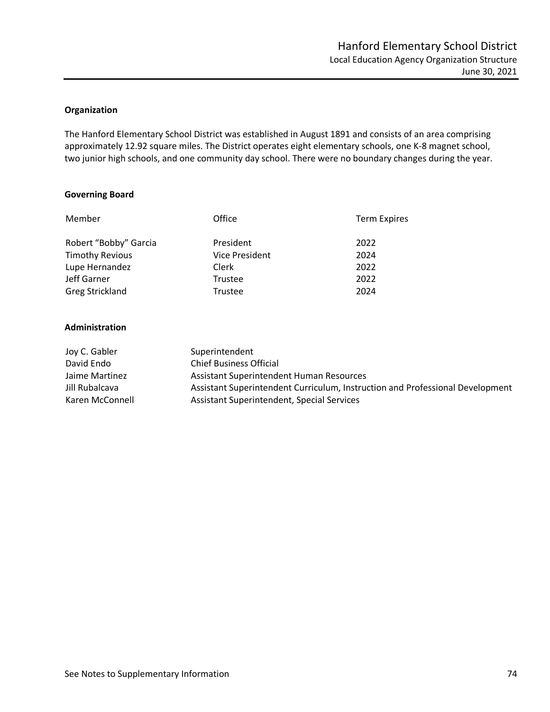## **Organization**

The Hanford Elementary School District was established in August 1891 and consists of an area comprising approximately 12.92 square miles. The District operates eight elementary schools, one K-8 magnet school, two junior high schools, and one community day school. There were no boundary changes during the year.

## **Governing Board**

| Member                 | Office                | <b>Term Expires</b> |
|------------------------|-----------------------|---------------------|
| Robert "Bobby" Garcia  | President             | 2022                |
| <b>Timothy Revious</b> | <b>Vice President</b> | 2024                |
| Lupe Hernandez         | Clerk                 | 2022                |
| Jeff Garner            | Trustee               | 2022                |
| <b>Greg Strickland</b> | Trustee               | 2024                |

## **Administration**

| Joy C. Gabler   | Superintendent                                                                |
|-----------------|-------------------------------------------------------------------------------|
| David Endo      | <b>Chief Business Official</b>                                                |
| Jaime Martinez  | Assistant Superintendent Human Resources                                      |
| Jill Rubalcava  | Assistant Superintendent Curriculum, Instruction and Professional Development |
| Karen McConnell | Assistant Superintendent, Special Services                                    |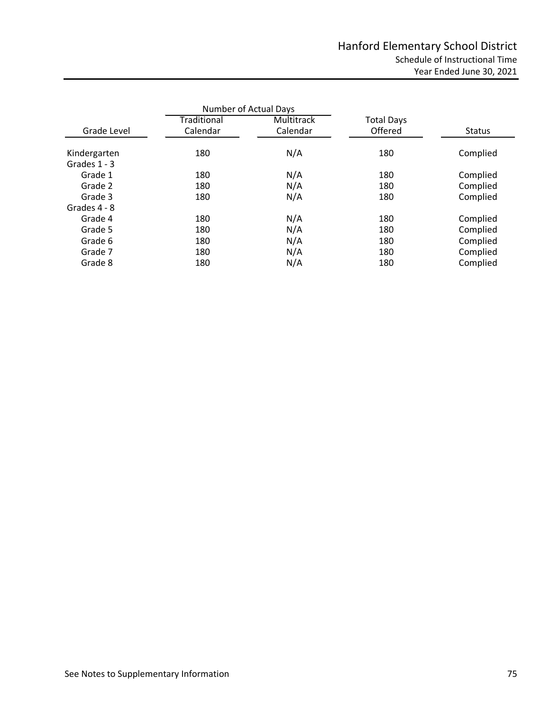|                                |                         | Number of Actual Days  |                              |               |
|--------------------------------|-------------------------|------------------------|------------------------------|---------------|
| Grade Level                    | Traditional<br>Calendar | Multitrack<br>Calendar | <b>Total Days</b><br>Offered | <b>Status</b> |
| Kindergarten<br>Grades $1 - 3$ | 180                     | N/A                    | 180                          | Complied      |
| Grade 1                        | 180                     | N/A                    | 180                          | Complied      |
| Grade 2                        | 180                     | N/A                    | 180                          | Complied      |
| Grade 3                        | 180                     | N/A                    | 180                          | Complied      |
| Grades 4 - 8                   |                         |                        |                              |               |
| Grade 4                        | 180                     | N/A                    | 180                          | Complied      |
| Grade 5                        | 180                     | N/A                    | 180                          | Complied      |
| Grade 6                        | 180                     | N/A                    | 180                          | Complied      |
| Grade 7                        | 180                     | N/A                    | 180                          | Complied      |
| Grade 8                        | 180                     | N/A                    | 180                          | Complied      |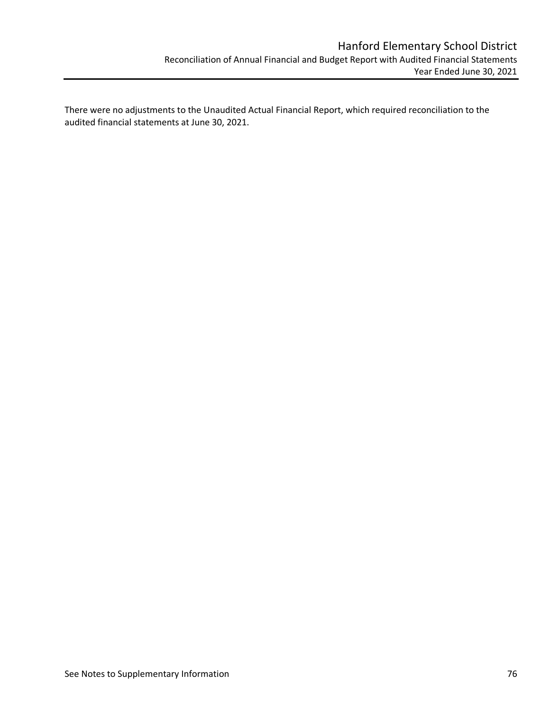There were no adjustments to the Unaudited Actual Financial Report, which required reconciliation to the audited financial statements at June 30, 2021.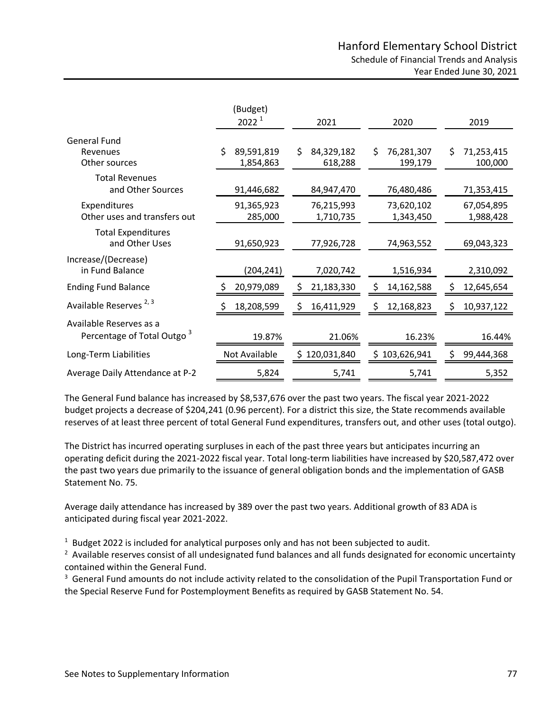|                                                                   | (Budget)<br>$2022^1$  | 2021                    | 2020                    | 2019                    |
|-------------------------------------------------------------------|-----------------------|-------------------------|-------------------------|-------------------------|
| <b>General Fund</b><br>Revenues                                   | \$<br>89,591,819      | 84,329,182<br>Ś.        | Ś.<br>76,281,307        | Ś.<br>71,253,415        |
| Other sources                                                     | 1,854,863             | 618,288                 | 199,179                 | 100,000                 |
| <b>Total Revenues</b><br>and Other Sources                        | 91,446,682            | 84,947,470              | 76,480,486              | 71,353,415              |
| Expenditures<br>Other uses and transfers out                      | 91,365,923<br>285,000 | 76,215,993<br>1,710,735 | 73,620,102<br>1,343,450 | 67,054,895<br>1,988,428 |
| <b>Total Expenditures</b><br>and Other Uses                       | 91,650,923            | 77,926,728              | 74,963,552              | 69,043,323              |
| Increase/(Decrease)<br>in Fund Balance                            | (204, 241)            | 7,020,742               | 1,516,934               | 2,310,092               |
| <b>Ending Fund Balance</b>                                        | 20,979,089            | 21,183,330<br>\$        | 14,162,588<br>Ş.        | \$<br>12,645,654        |
| Available Reserves <sup>2, 3</sup>                                | 18,208,599            | \$<br>16,411,929        | \$<br>12,168,823        | \$<br>10,937,122        |
| Available Reserves as a<br>Percentage of Total Outgo <sup>3</sup> | 19.87%                | 21.06%                  | 16.23%                  | 16.44%                  |
| Long-Term Liabilities                                             | Not Available         | \$120,031,840           | \$103,626,941           | 99,444,368<br>S         |
| Average Daily Attendance at P-2                                   | 5,824                 | 5,741                   | 5,741                   | 5,352                   |

The General Fund balance has increased by \$8,537,676 over the past two years. The fiscal year 2021-2022 budget projects a decrease of \$204,241 (0.96 percent). For a district this size, the State recommends available reserves of at least three percent of total General Fund expenditures, transfers out, and other uses (total outgo).

The District has incurred operating surpluses in each of the past three years but anticipates incurring an operating deficit during the 2021-2022 fiscal year. Total long-term liabilities have increased by \$20,587,472 over the past two years due primarily to the issuance of general obligation bonds and the implementation of GASB Statement No. 75.

Average daily attendance has increased by 389 over the past two years. Additional growth of 83 ADA is anticipated during fiscal year 2021-2022.

 $1$  Budget 2022 is included for analytical purposes only and has not been subjected to audit.

 $2$  Available reserves consist of all undesignated fund balances and all funds designated for economic uncertainty contained within the General Fund.

<sup>3</sup> General Fund amounts do not include activity related to the consolidation of the Pupil Transportation Fund or the Special Reserve Fund for Postemployment Benefits as required by GASB Statement No. 54.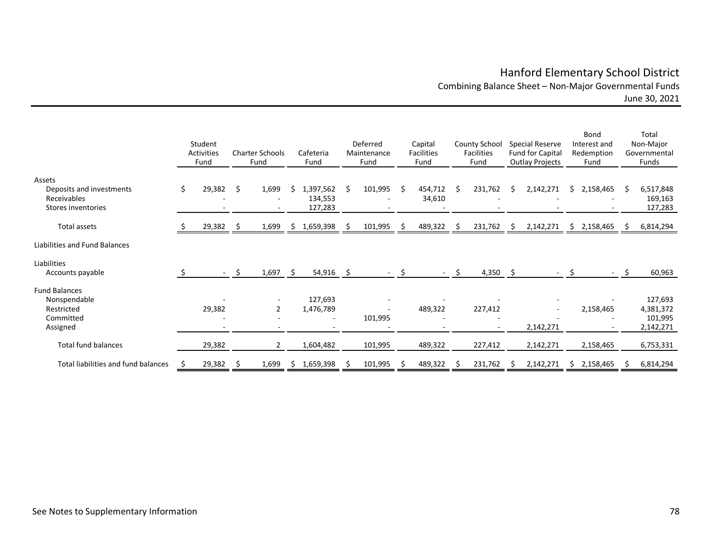# Hanford Elementary School District

Combining Balance Sheet – Non-Major Governmental Funds June 30, 2021

|                                                                             |    | Student<br><b>Activities</b><br>Fund |                     | <b>Charter Schools</b><br>Fund |      | Cafeteria<br>Fund               |    | Deferred<br>Maintenance<br>Fund |                     | Capital<br><b>Facilities</b><br>Fund |      | <b>County School</b><br><b>Facilities</b><br>Fund |      | Special Reserve<br><b>Fund for Capital</b><br><b>Outlay Projects</b> |    | Bond<br>Interest and<br>Redemption<br>Fund |     | Total<br>Non-Major<br>Governmental<br>Funds  |
|-----------------------------------------------------------------------------|----|--------------------------------------|---------------------|--------------------------------|------|---------------------------------|----|---------------------------------|---------------------|--------------------------------------|------|---------------------------------------------------|------|----------------------------------------------------------------------|----|--------------------------------------------|-----|----------------------------------------------|
| Assets<br>Deposits and investments<br>Receivables<br>Stores inventories     | \$ | 29,382                               | \$                  | 1,699                          | Ŝ.   | 1,397,562<br>134,553<br>127,283 | Ŝ. | 101,995                         | S                   | 454,712<br>34,610                    | Ŝ.   | 231,762                                           | Ŝ    | 2,142,271                                                            | Ś. | 2,158,465                                  | -S  | 6,517,848<br>169,163<br>127,283              |
| Total assets                                                                |    | 29,382                               | $\ddot{\mathsf{s}}$ | 1,699                          | - \$ | 1,659,398                       | S. | 101,995                         | S                   | 489,322                              | -Ŝ   | 231,762                                           | -S   | 2,142,271                                                            | Ś. | 2,158,465                                  | -S  | 6,814,294                                    |
| Liabilities and Fund Balances                                               |    |                                      |                     |                                |      |                                 |    |                                 |                     |                                      |      |                                                   |      |                                                                      |    |                                            |     |                                              |
| Liabilities<br>Accounts payable                                             |    | $\sim$                               | $\ddot{\mathsf{s}}$ | 1,697                          | - \$ | $54,916$ \$                     |    |                                 | $\ddot{\mathsf{s}}$ |                                      | $-5$ | 4,350                                             | - \$ |                                                                      | \$ | $\overline{\phantom{a}}$                   | -\$ | 60,963                                       |
| <b>Fund Balances</b><br>Nonspendable<br>Restricted<br>Committed<br>Assigned |    | 29,382                               |                     | 2                              |      | 127,693<br>1,476,789            |    | 101,995                         |                     | 489,322                              |      | 227,412                                           |      | 2,142,271                                                            |    | 2,158,465                                  |     | 127,693<br>4,381,372<br>101,995<br>2,142,271 |
| <b>Total fund balances</b>                                                  |    | 29,382                               |                     | $\overline{2}$                 |      | 1,604,482                       |    | 101,995                         |                     | 489,322                              |      | 227,412                                           |      | 2,142,271                                                            |    | 2,158,465                                  |     | 6,753,331                                    |
| Total liabilities and fund balances                                         | .S | 29,382                               | -S                  | 1,699                          | \$.  | 1,659,398                       |    | 101,995                         |                     | 489,322                              | S    | 231,762                                           | S    | 2,142,271                                                            | S. | 2,158,465                                  |     | 6,814,294                                    |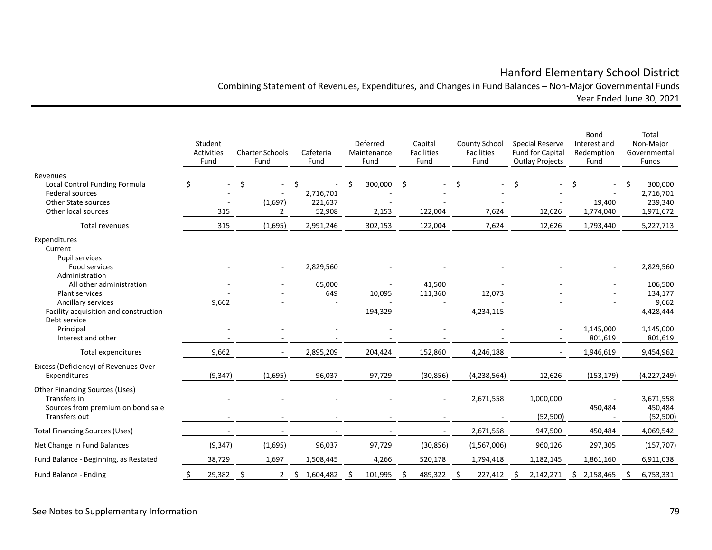# Hanford Elementary School District Combining Statement of Revenues, Expenditures, and Changes in Fund Balances – Non-Major Governmental Funds

Year Ended June 30, 2021

|                                                                                                                                  | Student<br>Activities<br>Fund |    | <b>Charter Schools</b><br>Fund |     | Cafeteria<br>Fund              |    | Deferred<br>Maintenance<br>Fund |     | Capital<br><b>Facilities</b><br>Fund | County School<br>Facilities<br>Fund |                     |    | <b>Special Reserve</b><br>Fund for Capital<br><b>Outlay Projects</b> |    |                      |    |                                              |  | Bond<br>Interest and<br>Redemption<br>Fund |  | Total<br>Non-Major<br>Governmental<br><b>Funds</b> |
|----------------------------------------------------------------------------------------------------------------------------------|-------------------------------|----|--------------------------------|-----|--------------------------------|----|---------------------------------|-----|--------------------------------------|-------------------------------------|---------------------|----|----------------------------------------------------------------------|----|----------------------|----|----------------------------------------------|--|--------------------------------------------|--|----------------------------------------------------|
| Revenues<br>Local Control Funding Formula<br><b>Federal sources</b><br><b>Other State sources</b><br>Other local sources         | \$<br>315                     | Ś. | (1,697)<br>2                   |     | 2,716,701<br>221,637<br>52,908 | Ś. | 300,000<br>2,153                | \$. | 122,004                              | Ś.                                  | 7,624               | Ś. | 12,626                                                               | Ś. | 19,400<br>1,774,040  | .S | 300,000<br>2,716,701<br>239,340<br>1,971,672 |  |                                            |  |                                                    |
| <b>Total revenues</b>                                                                                                            | 315                           |    | (1,695)                        |     | 2,991,246                      |    | 302,153                         |     | 122,004                              |                                     | 7,624               |    | 12,626                                                               |    | 1,793,440            |    | 5,227,713                                    |  |                                            |  |                                                    |
| Expenditures<br>Current<br>Pupil services<br>Food services<br>Administration                                                     |                               |    |                                |     | 2,829,560                      |    |                                 |     |                                      |                                     |                     |    |                                                                      |    |                      |    | 2,829,560                                    |  |                                            |  |                                                    |
| All other administration<br><b>Plant services</b><br>Ancillary services<br>Facility acquisition and construction<br>Debt service | 9,662                         |    |                                |     | 65,000<br>649                  |    | 10,095<br>194,329               |     | 41,500<br>111,360<br>$\blacksquare$  |                                     | 12,073<br>4,234,115 |    |                                                                      |    |                      |    | 106,500<br>134,177<br>9,662<br>4,428,444     |  |                                            |  |                                                    |
| Principal<br>Interest and other                                                                                                  |                               |    |                                |     |                                |    |                                 |     |                                      |                                     |                     |    |                                                                      |    | 1,145,000<br>801,619 |    | 1,145,000<br>801,619                         |  |                                            |  |                                                    |
| Total expenditures                                                                                                               | 9,662                         |    |                                |     | 2,895,209                      |    | 204,424                         |     | 152,860                              |                                     | 4,246,188           |    |                                                                      |    | 1,946,619            |    | 9,454,962                                    |  |                                            |  |                                                    |
| Excess (Deficiency) of Revenues Over<br>Expenditures                                                                             | (9, 347)                      |    | (1,695)                        |     | 96,037                         |    | 97,729                          |     | (30, 856)                            |                                     | (4, 238, 564)       |    | 12,626                                                               |    | (153, 179)           |    | (4, 227, 249)                                |  |                                            |  |                                                    |
| Other Financing Sources (Uses)<br>Transfers in<br>Sources from premium on bond sale<br>Transfers out                             |                               |    |                                |     |                                |    |                                 |     |                                      |                                     | 2,671,558           |    | 1,000,000<br>(52, 500)                                               |    | 450,484              |    | 3,671,558<br>450,484<br>(52, 500)            |  |                                            |  |                                                    |
| <b>Total Financing Sources (Uses)</b>                                                                                            |                               |    |                                |     |                                |    |                                 |     |                                      |                                     | 2,671,558           |    | 947,500                                                              |    | 450,484              |    | 4,069,542                                    |  |                                            |  |                                                    |
| Net Change in Fund Balances                                                                                                      | (9, 347)                      |    | (1,695)                        |     | 96,037                         |    | 97,729                          |     | (30, 856)                            |                                     | (1,567,006)         |    | 960,126                                                              |    | 297,305              |    | (157, 707)                                   |  |                                            |  |                                                    |
| Fund Balance - Beginning, as Restated                                                                                            | 38,729                        |    | 1,697                          |     | 1,508,445                      |    | 4,266                           |     | 520,178                              |                                     | 1,794,418           |    | 1,182,145                                                            |    | 1,861,160            |    | 6,911,038                                    |  |                                            |  |                                                    |
| Fund Balance - Ending                                                                                                            | 29,382                        | \$ | 2                              | -\$ | 1,604,482                      | -S | 101,995                         | -S  | 489,322                              | -\$                                 | 227,412             | -S | 2,142,271                                                            | S. | 2,158,465            | -S | 6,753,331                                    |  |                                            |  |                                                    |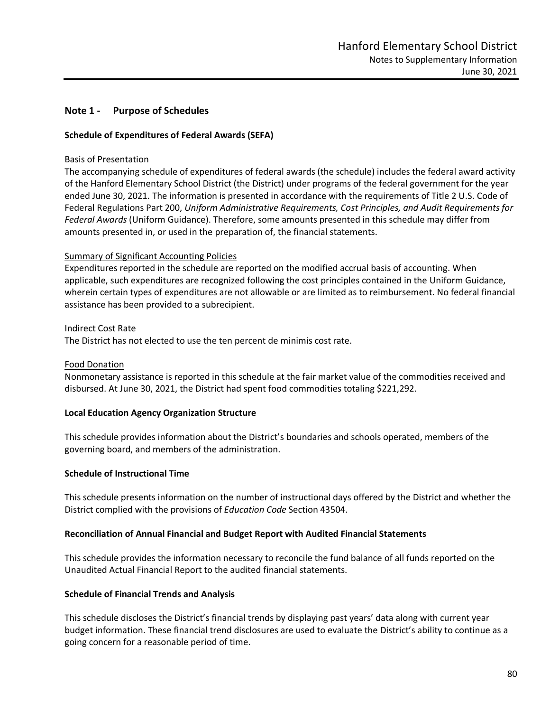## **Note 1 - Purpose of Schedules**

## **Schedule of Expenditures of Federal Awards (SEFA)**

## Basis of Presentation

The accompanying schedule of expenditures of federal awards (the schedule) includes the federal award activity of the Hanford Elementary School District (the District) under programs of the federal government for the year ended June 30, 2021. The information is presented in accordance with the requirements of Title 2 U.S. Code of Federal Regulations Part 200, *Uniform Administrative Requirements, Cost Principles, and Audit Requirements for Federal Awards* (Uniform Guidance). Therefore, some amounts presented in this schedule may differ from amounts presented in, or used in the preparation of, the financial statements.

## Summary of Significant Accounting Policies

Expenditures reported in the schedule are reported on the modified accrual basis of accounting. When applicable, such expenditures are recognized following the cost principles contained in the Uniform Guidance, wherein certain types of expenditures are not allowable or are limited as to reimbursement. No federal financial assistance has been provided to a subrecipient.

## Indirect Cost Rate

The District has not elected to use the ten percent de minimis cost rate.

## Food Donation

Nonmonetary assistance is reported in this schedule at the fair market value of the commodities received and disbursed. At June 30, 2021, the District had spent food commodities totaling \$221,292.

## **Local Education Agency Organization Structure**

This schedule provides information about the District's boundaries and schools operated, members of the governing board, and members of the administration.

## **Schedule of Instructional Time**

This schedule presents information on the number of instructional days offered by the District and whether the District complied with the provisions of *Education Code* Section 43504.

#### **Reconciliation of Annual Financial and Budget Report with Audited Financial Statements**

This schedule provides the information necessary to reconcile the fund balance of all funds reported on the Unaudited Actual Financial Report to the audited financial statements.

#### **Schedule of Financial Trends and Analysis**

This schedule discloses the District's financial trends by displaying past years' data along with current year budget information. These financial trend disclosures are used to evaluate the District's ability to continue as a going concern for a reasonable period of time.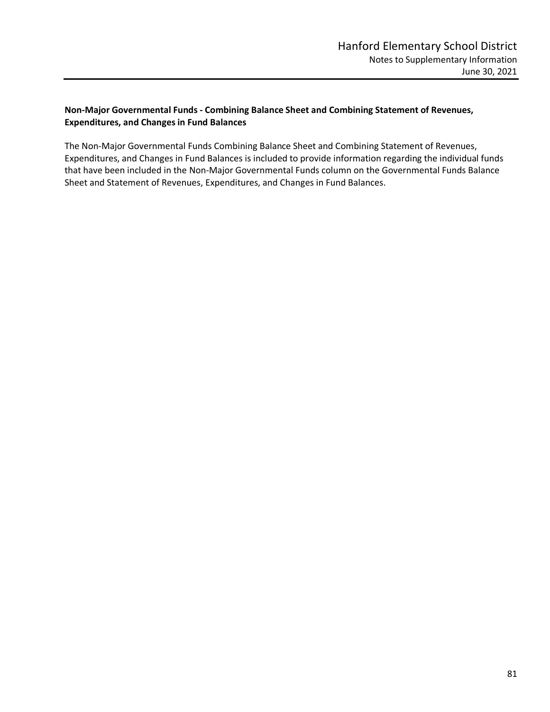## **Non-Major Governmental Funds - Combining Balance Sheet and Combining Statement of Revenues, Expenditures, and Changes in Fund Balances**

The Non-Major Governmental Funds Combining Balance Sheet and Combining Statement of Revenues, Expenditures, and Changes in Fund Balances is included to provide information regarding the individual funds that have been included in the Non-Major Governmental Funds column on the Governmental Funds Balance Sheet and Statement of Revenues, Expenditures, and Changes in Fund Balances.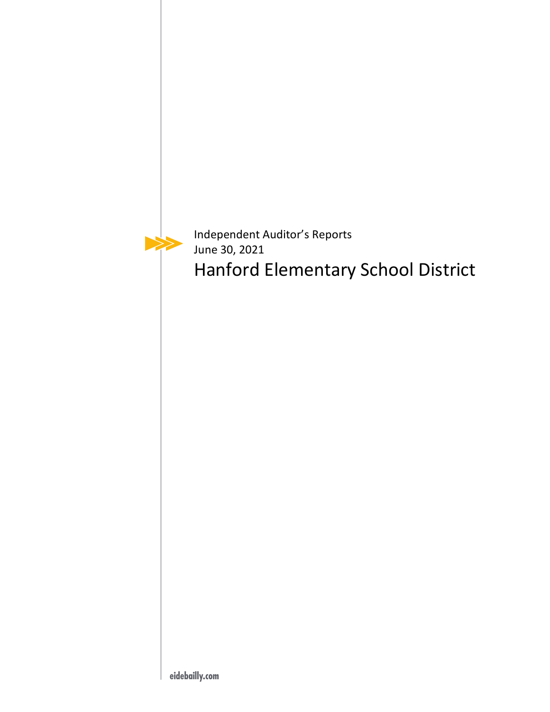

Independent Auditor's Reports June 30, 2021 Hanford Elementary School District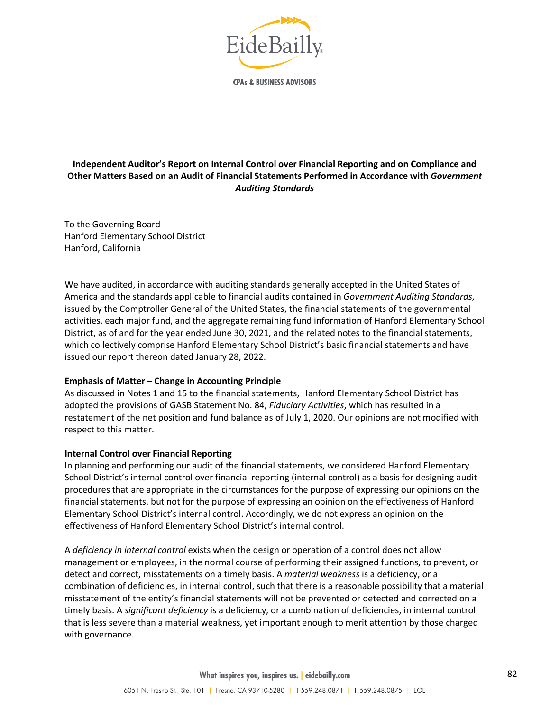

**CPAs & BUSINESS ADVISORS** 

## **Independent Auditor's Report on Internal Control over Financial Reporting and on Compliance and Other Matters Based on an Audit of Financial Statements Performed in Accordance with** *Government Auditing Standards*

To the Governing Board Hanford Elementary School District Hanford, California

We have audited, in accordance with auditing standards generally accepted in the United States of America and the standards applicable to financial audits contained in *Government Auditing Standards*, issued by the Comptroller General of the United States, the financial statements of the governmental activities, each major fund, and the aggregate remaining fund information of Hanford Elementary School District, as of and for the year ended June 30, 2021, and the related notes to the financial statements, which collectively comprise Hanford Elementary School District's basic financial statements and have issued our report thereon dated January 28, 2022.

## **Emphasis of Matter – Change in Accounting Principle**

As discussed in Notes 1 and 15 to the financial statements, Hanford Elementary School District has adopted the provisions of GASB Statement No. 84, *Fiduciary Activities*, which has resulted in a restatement of the net position and fund balance as of July 1, 2020. Our opinions are not modified with respect to this matter.

#### **Internal Control over Financial Reporting**

In planning and performing our audit of the financial statements, we considered Hanford Elementary School District's internal control over financial reporting (internal control) as a basis for designing audit procedures that are appropriate in the circumstances for the purpose of expressing our opinions on the financial statements, but not for the purpose of expressing an opinion on the effectiveness of Hanford Elementary School District's internal control. Accordingly, we do not express an opinion on the effectiveness of Hanford Elementary School District's internal control.

A *deficiency in internal control* exists when the design or operation of a control does not allow management or employees, in the normal course of performing their assigned functions, to prevent, or detect and correct, misstatements on a timely basis. A *material weakness* is a deficiency, or a combination of deficiencies, in internal control, such that there is a reasonable possibility that a material misstatement of the entity's financial statements will not be prevented or detected and corrected on a timely basis. A *significant deficiency* is a deficiency, or a combination of deficiencies, in internal control that is less severe than a material weakness, yet important enough to merit attention by those charged with governance.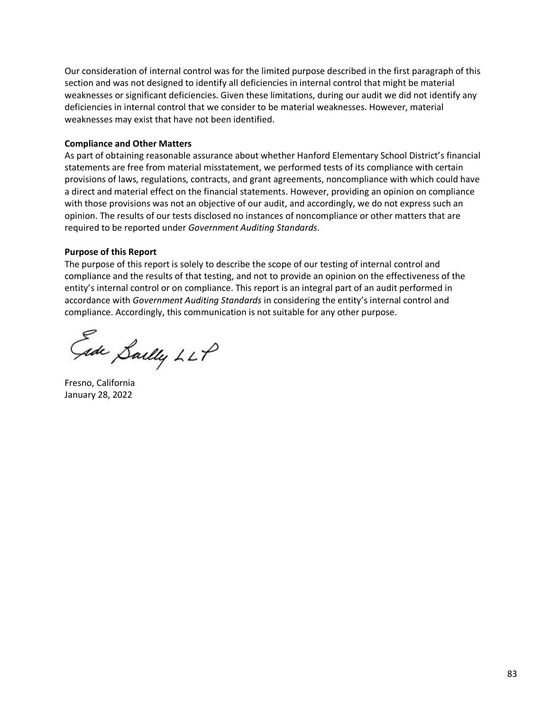Our consideration of internal control was for the limited purpose described in the first paragraph of this section and was not designed to identify all deficiencies in internal control that might be material weaknesses or significant deficiencies. Given these limitations, during our audit we did not identify any deficiencies in internal control that we consider to be material weaknesses. However, material weaknesses may exist that have not been identified.

## **Compliance and Other Matters**

As part of obtaining reasonable assurance about whether Hanford Elementary School District's financial statements are free from material misstatement, we performed tests of its compliance with certain provisions of laws, regulations, contracts, and grant agreements, noncompliance with which could have a direct and material effect on the financial statements. However, providing an opinion on compliance with those provisions was not an objective of our audit, and accordingly, we do not express such an opinion. The results of our tests disclosed no instances of noncompliance or other matters that are required to be reported under *Government Auditing Standards*.

## **Purpose of this Report**

The purpose of this report is solely to describe the scope of our testing of internal control and compliance and the results of that testing, and not to provide an opinion on the effectiveness of the entity's internal control or on compliance. This report is an integral part of an audit performed in accordance with *Government Auditing Standards* in considering the entity's internal control and compliance. Accordingly, this communication is not suitable for any other purpose.

Fede Sailly LLP

Fresno, California January 28, 2022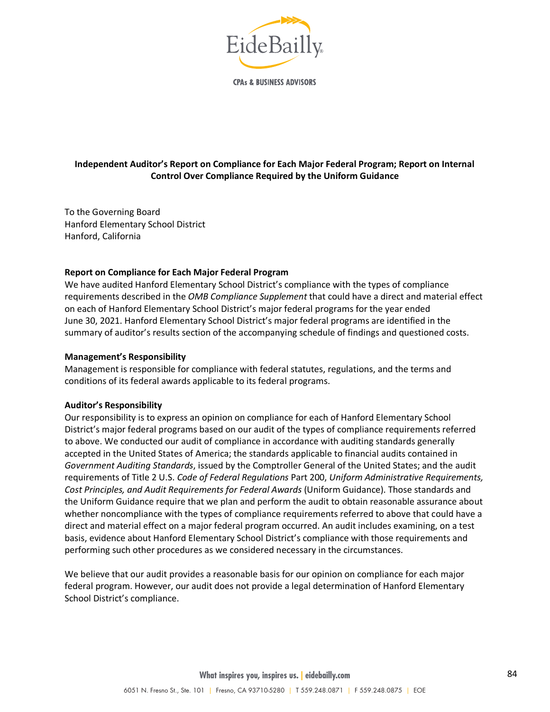

**CPAs & BUSINESS ADVISORS** 

## **Independent Auditor's Report on Compliance for Each Major Federal Program; Report on Internal Control Over Compliance Required by the Uniform Guidance**

To the Governing Board Hanford Elementary School District Hanford, California

## **Report on Compliance for Each Major Federal Program**

We have audited Hanford Elementary School District's compliance with the types of compliance requirements described in the *OMB Compliance Supplement* that could have a direct and material effect on each of Hanford Elementary School District's major federal programs for the year ended June 30, 2021. Hanford Elementary School District's major federal programs are identified in the summary of auditor's results section of the accompanying schedule of findings and questioned costs.

## **Management's Responsibility**

Management is responsible for compliance with federal statutes, regulations, and the terms and conditions of its federal awards applicable to its federal programs.

## **Auditor's Responsibility**

Our responsibility is to express an opinion on compliance for each of Hanford Elementary School District's major federal programs based on our audit of the types of compliance requirements referred to above. We conducted our audit of compliance in accordance with auditing standards generally accepted in the United States of America; the standards applicable to financial audits contained in *Government Auditing Standards*, issued by the Comptroller General of the United States; and the audit requirements of Title 2 U.S. *Code of Federal Regulations* Part 200, *Uniform Administrative Requirements, Cost Principles, and Audit Requirements for Federal Awards* (Uniform Guidance). Those standards and the Uniform Guidance require that we plan and perform the audit to obtain reasonable assurance about whether noncompliance with the types of compliance requirements referred to above that could have a direct and material effect on a major federal program occurred. An audit includes examining, on a test basis, evidence about Hanford Elementary School District's compliance with those requirements and performing such other procedures as we considered necessary in the circumstances.

We believe that our audit provides a reasonable basis for our opinion on compliance for each major federal program. However, our audit does not provide a legal determination of Hanford Elementary School District's compliance.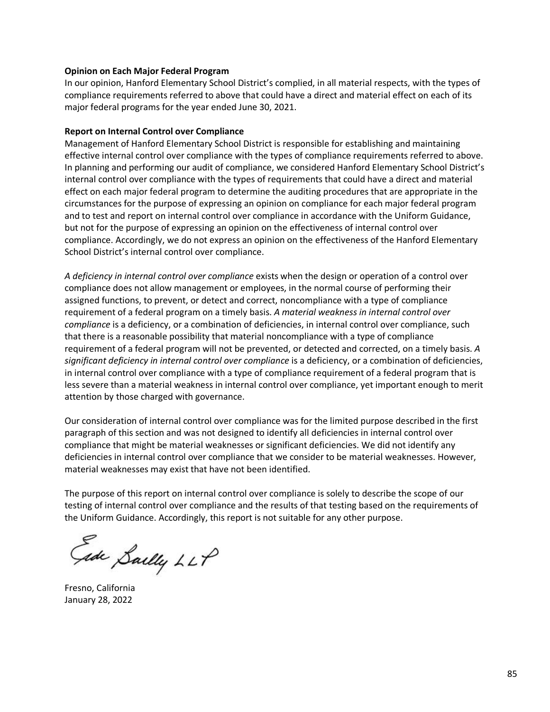## **Opinion on Each Major Federal Program**

In our opinion, Hanford Elementary School District's complied, in all material respects, with the types of compliance requirements referred to above that could have a direct and material effect on each of its major federal programs for the year ended June 30, 2021.

## **Report on Internal Control over Compliance**

Management of Hanford Elementary School District is responsible for establishing and maintaining effective internal control over compliance with the types of compliance requirements referred to above. In planning and performing our audit of compliance, we considered Hanford Elementary School District's internal control over compliance with the types of requirements that could have a direct and material effect on each major federal program to determine the auditing procedures that are appropriate in the circumstances for the purpose of expressing an opinion on compliance for each major federal program and to test and report on internal control over compliance in accordance with the Uniform Guidance, but not for the purpose of expressing an opinion on the effectiveness of internal control over compliance. Accordingly, we do not express an opinion on the effectiveness of the Hanford Elementary School District's internal control over compliance.

*A deficiency in internal control over compliance* exists when the design or operation of a control over compliance does not allow management or employees, in the normal course of performing their assigned functions, to prevent, or detect and correct, noncompliance with a type of compliance requirement of a federal program on a timely basis. *A material weakness in internal control over compliance* is a deficiency, or a combination of deficiencies, in internal control over compliance, such that there is a reasonable possibility that material noncompliance with a type of compliance requirement of a federal program will not be prevented, or detected and corrected, on a timely basis. *A significant deficiency in internal control over compliance* is a deficiency, or a combination of deficiencies, in internal control over compliance with a type of compliance requirement of a federal program that is less severe than a material weakness in internal control over compliance, yet important enough to merit attention by those charged with governance.

Our consideration of internal control over compliance was for the limited purpose described in the first paragraph of this section and was not designed to identify all deficiencies in internal control over compliance that might be material weaknesses or significant deficiencies. We did not identify any deficiencies in internal control over compliance that we consider to be material weaknesses. However, material weaknesses may exist that have not been identified.

The purpose of this report on internal control over compliance is solely to describe the scope of our testing of internal control over compliance and the results of that testing based on the requirements of the Uniform Guidance. Accordingly, this report is not suitable for any other purpose.

Gide Sailly LLP

Fresno, California January 28, 2022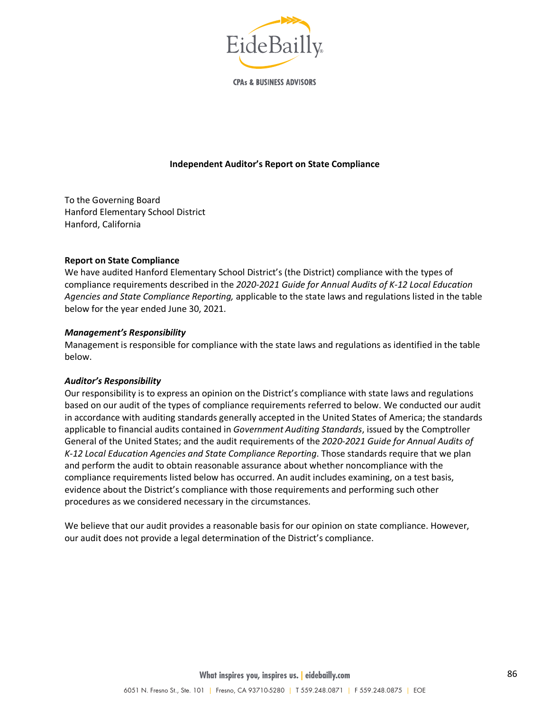

**CPAs & BUSINESS ADVISORS** 

## **Independent Auditor's Report on State Compliance**

To the Governing Board Hanford Elementary School District Hanford, California

#### **Report on State Compliance**

We have audited Hanford Elementary School District's (the District) compliance with the types of compliance requirements described in the *2020-2021 Guide for Annual Audits of K-12 Local Education Agencies and State Compliance Reporting,* applicable to the state laws and regulations listed in the table below for the year ended June 30, 2021.

## *Management's Responsibility*

Management is responsible for compliance with the state laws and regulations as identified in the table below.

#### *Auditor's Responsibility*

Our responsibility is to express an opinion on the District's compliance with state laws and regulations based on our audit of the types of compliance requirements referred to below. We conducted our audit in accordance with auditing standards generally accepted in the United States of America; the standards applicable to financial audits contained in *Government Auditing Standards*, issued by the Comptroller General of the United States; and the audit requirements of the *2020-2021 Guide for Annual Audits of K-12 Local Education Agencies and State Compliance Reporting*. Those standards require that we plan and perform the audit to obtain reasonable assurance about whether noncompliance with the compliance requirements listed below has occurred. An audit includes examining, on a test basis, evidence about the District's compliance with those requirements and performing such other procedures as we considered necessary in the circumstances.

We believe that our audit provides a reasonable basis for our opinion on state compliance. However, our audit does not provide a legal determination of the District's compliance.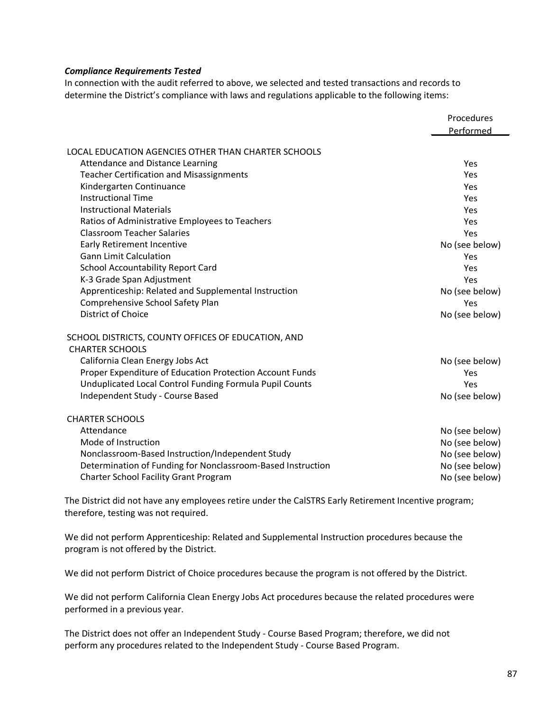#### *Compliance Requirements Tested*

In connection with the audit referred to above, we selected and tested transactions and records to determine the District's compliance with laws and regulations applicable to the following items:

|                                                             | Procedures     |
|-------------------------------------------------------------|----------------|
|                                                             | Performed      |
| LOCAL EDUCATION AGENCIES OTHER THAN CHARTER SCHOOLS         |                |
| Attendance and Distance Learning                            | Yes            |
| <b>Teacher Certification and Misassignments</b>             | <b>Yes</b>     |
| Kindergarten Continuance                                    | <b>Yes</b>     |
| <b>Instructional Time</b>                                   | <b>Yes</b>     |
| <b>Instructional Materials</b>                              | Yes            |
| Ratios of Administrative Employees to Teachers              | Yes            |
| <b>Classroom Teacher Salaries</b>                           | Yes            |
| Early Retirement Incentive                                  | No (see below) |
| <b>Gann Limit Calculation</b>                               | Yes            |
| <b>School Accountability Report Card</b>                    | Yes            |
| K-3 Grade Span Adjustment                                   | Yes            |
| Apprenticeship: Related and Supplemental Instruction        | No (see below) |
| Comprehensive School Safety Plan                            | Yes            |
| <b>District of Choice</b>                                   | No (see below) |
| SCHOOL DISTRICTS, COUNTY OFFICES OF EDUCATION, AND          |                |
| <b>CHARTER SCHOOLS</b>                                      |                |
| California Clean Energy Jobs Act                            | No (see below) |
| Proper Expenditure of Education Protection Account Funds    | Yes            |
| Unduplicated Local Control Funding Formula Pupil Counts     | Yes            |
| Independent Study - Course Based                            | No (see below) |
| <b>CHARTER SCHOOLS</b>                                      |                |
| Attendance                                                  | No (see below) |
| Mode of Instruction                                         | No (see below) |
| Nonclassroom-Based Instruction/Independent Study            | No (see below) |
| Determination of Funding for Nonclassroom-Based Instruction | No (see below) |
| <b>Charter School Facility Grant Program</b>                | No (see below) |
|                                                             |                |

The District did not have any employees retire under the CalSTRS Early Retirement Incentive program; therefore, testing was not required.

We did not perform Apprenticeship: Related and Supplemental Instruction procedures because the program is not offered by the District.

We did not perform District of Choice procedures because the program is not offered by the District.

We did not perform California Clean Energy Jobs Act procedures because the related procedures were performed in a previous year.

The District does not offer an Independent Study - Course Based Program; therefore, we did not perform any procedures related to the Independent Study - Course Based Program.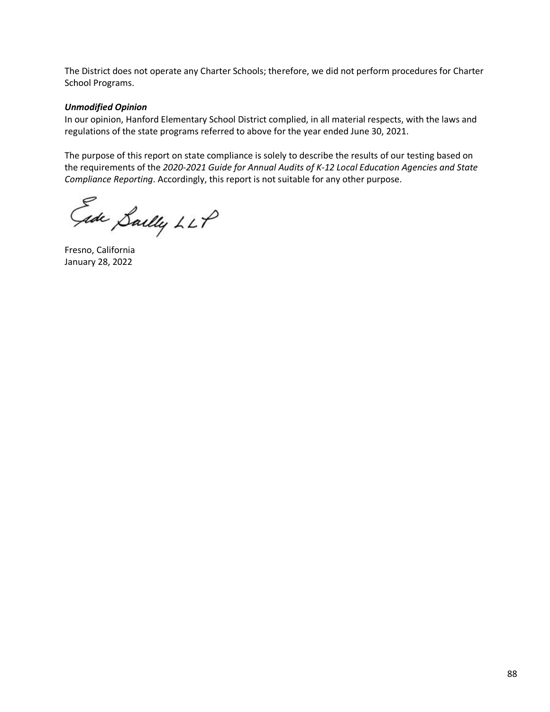The District does not operate any Charter Schools; therefore, we did not perform procedures for Charter School Programs.

## *Unmodified Opinion*

In our opinion, Hanford Elementary School District complied, in all material respects, with the laws and regulations of the state programs referred to above for the year ended June 30, 2021.

The purpose of this report on state compliance is solely to describe the results of our testing based on the requirements of the *2020-2021 Guide for Annual Audits of K-12 Local Education Agencies and State Compliance Reporting*. Accordingly, this report is not suitable for any other purpose.

Eade Sailly LLP

Fresno, California January 28, 2022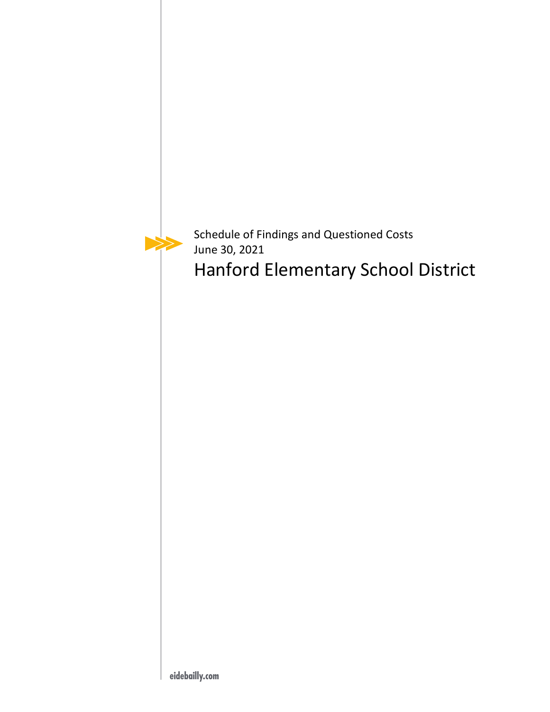

Schedule of Findings and Questioned Costs June 30, 2021 Hanford Elementary School District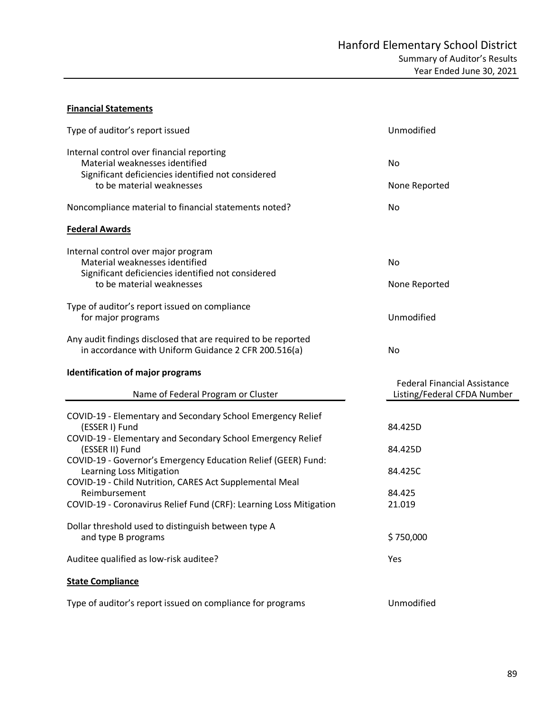# **Financial Statements**

| Type of auditor's report issued                                                                                                                                                                                                                                | Unmodified                             |
|----------------------------------------------------------------------------------------------------------------------------------------------------------------------------------------------------------------------------------------------------------------|----------------------------------------|
| Internal control over financial reporting<br>Material weaknesses identified<br>Significant deficiencies identified not considered<br>to be material weaknesses                                                                                                 | No<br>None Reported                    |
| Noncompliance material to financial statements noted?                                                                                                                                                                                                          | No                                     |
| <b>Federal Awards</b>                                                                                                                                                                                                                                          |                                        |
| Internal control over major program<br>Material weaknesses identified<br>Significant deficiencies identified not considered<br>to be material weaknesses<br>Type of auditor's report issued on compliance                                                      | No<br>None Reported                    |
| for major programs                                                                                                                                                                                                                                             | Unmodified                             |
| Any audit findings disclosed that are required to be reported<br>in accordance with Uniform Guidance 2 CFR 200.516(a)                                                                                                                                          | No                                     |
| <b>Identification of major programs</b>                                                                                                                                                                                                                        | <b>Federal Financial Assistance</b>    |
| Name of Federal Program or Cluster                                                                                                                                                                                                                             | Listing/Federal CFDA Number            |
| COVID-19 - Elementary and Secondary School Emergency Relief<br>(ESSER I) Fund<br>COVID-19 - Elementary and Secondary School Emergency Relief                                                                                                                   | 84.425D                                |
| (ESSER II) Fund<br>COVID-19 - Governor's Emergency Education Relief (GEER) Fund:<br>Learning Loss Mitigation<br>COVID-19 - Child Nutrition, CARES Act Supplemental Meal<br>Reimbursement<br>COVID-19 - Coronavirus Relief Fund (CRF): Learning Loss Mitigation | 84.425D<br>84.425C<br>84.425<br>21.019 |
| Dollar threshold used to distinguish between type A<br>and type B programs                                                                                                                                                                                     | \$750,000                              |
| Auditee qualified as low-risk auditee?                                                                                                                                                                                                                         | Yes                                    |
| <b>State Compliance</b>                                                                                                                                                                                                                                        |                                        |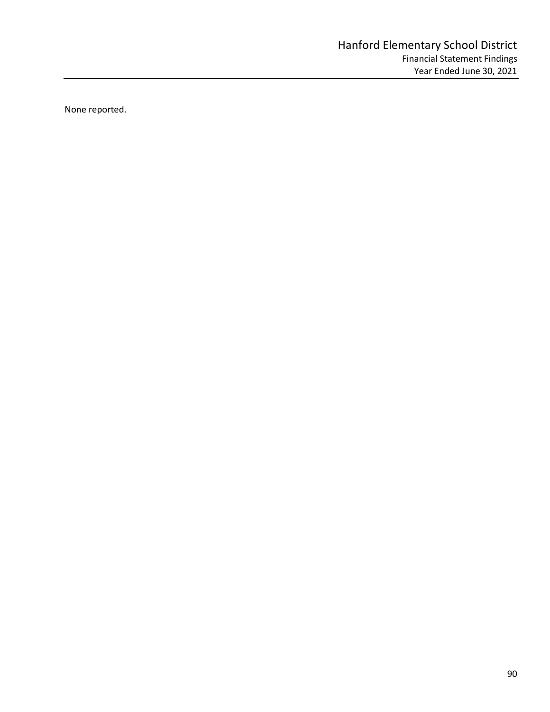None reported.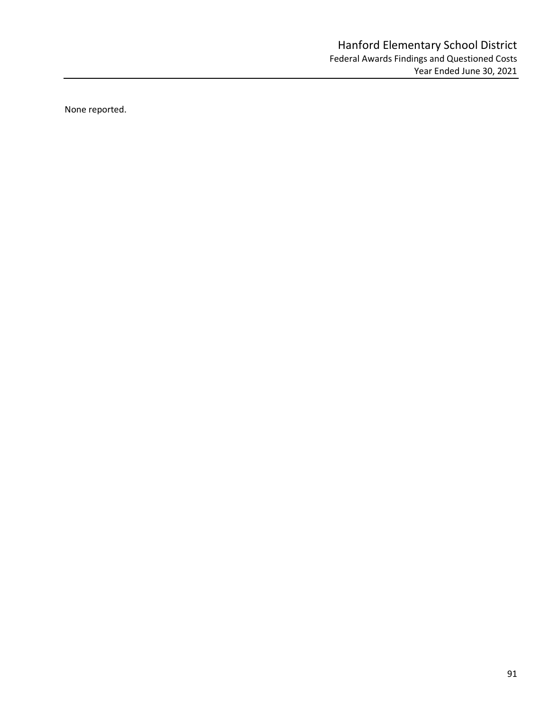None reported.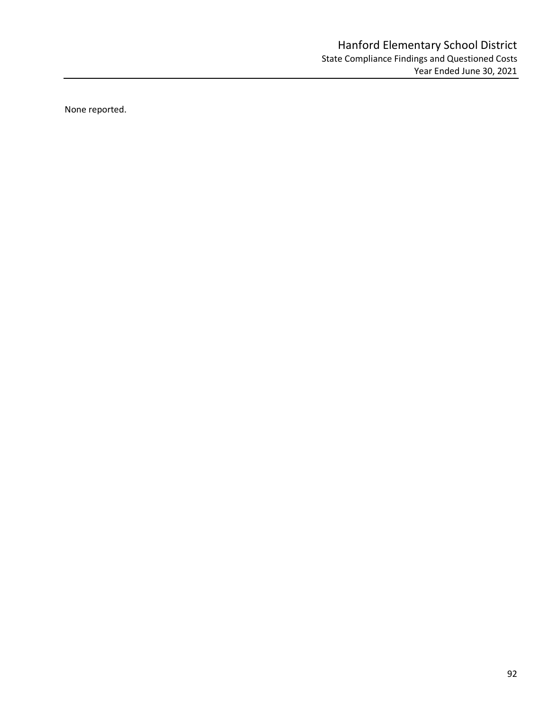None reported.